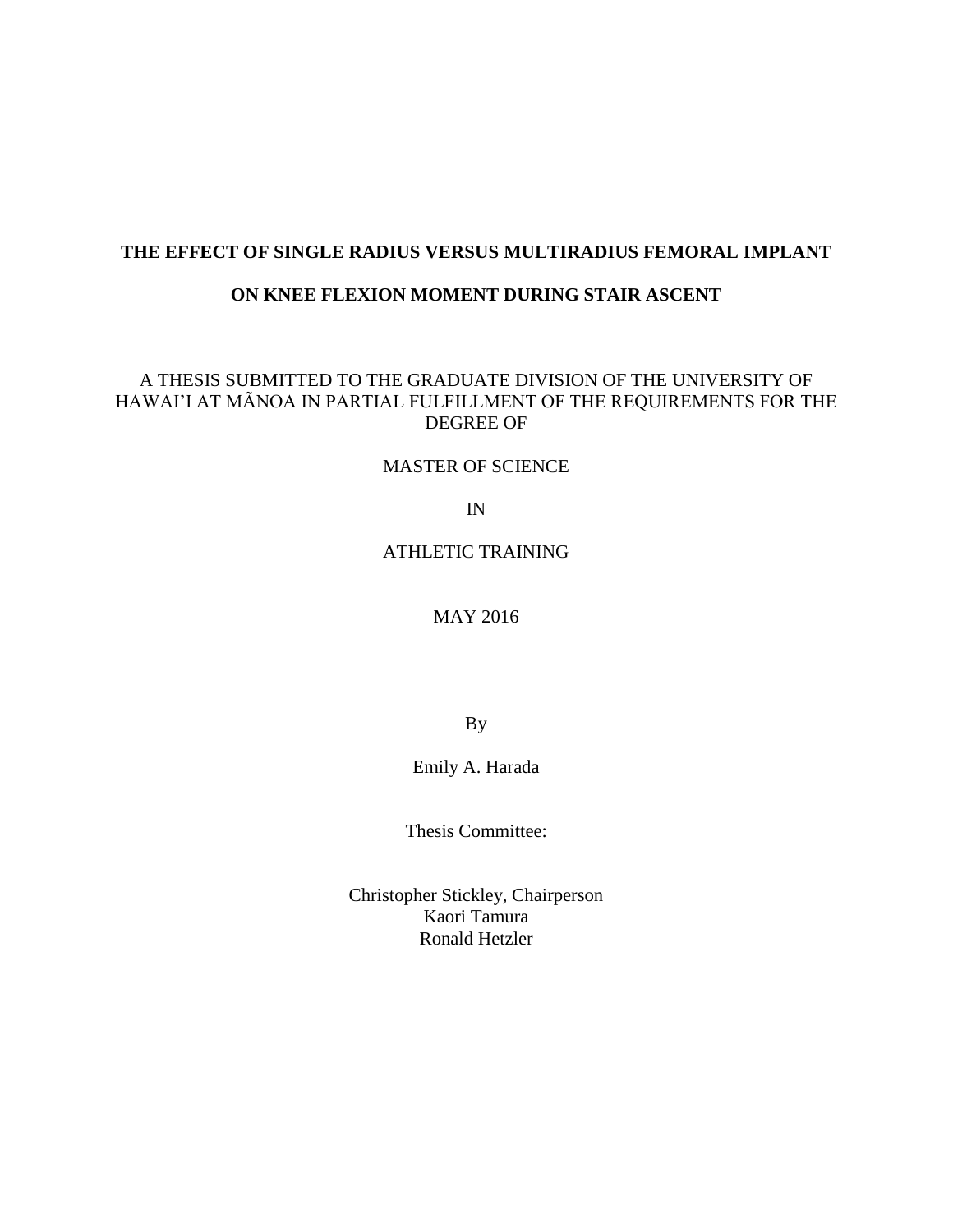# **THE EFFECT OF SINGLE RADIUS VERSUS MULTIRADIUS FEMORAL IMPLANT**

# **ON KNEE FLEXION MOMENT DURING STAIR ASCENT**

# A THESIS SUBMITTED TO THE GRADUATE DIVISION OF THE UNIVERSITY OF HAWAI'I AT MÃNOA IN PARTIAL FULFILLMENT OF THE REQUIREMENTS FOR THE DEGREE OF

# MASTER OF SCIENCE

IN

## ATHLETIC TRAINING

MAY 2016

By

Emily A. Harada

Thesis Committee:

Christopher Stickley, Chairperson Kaori Tamura Ronald Hetzler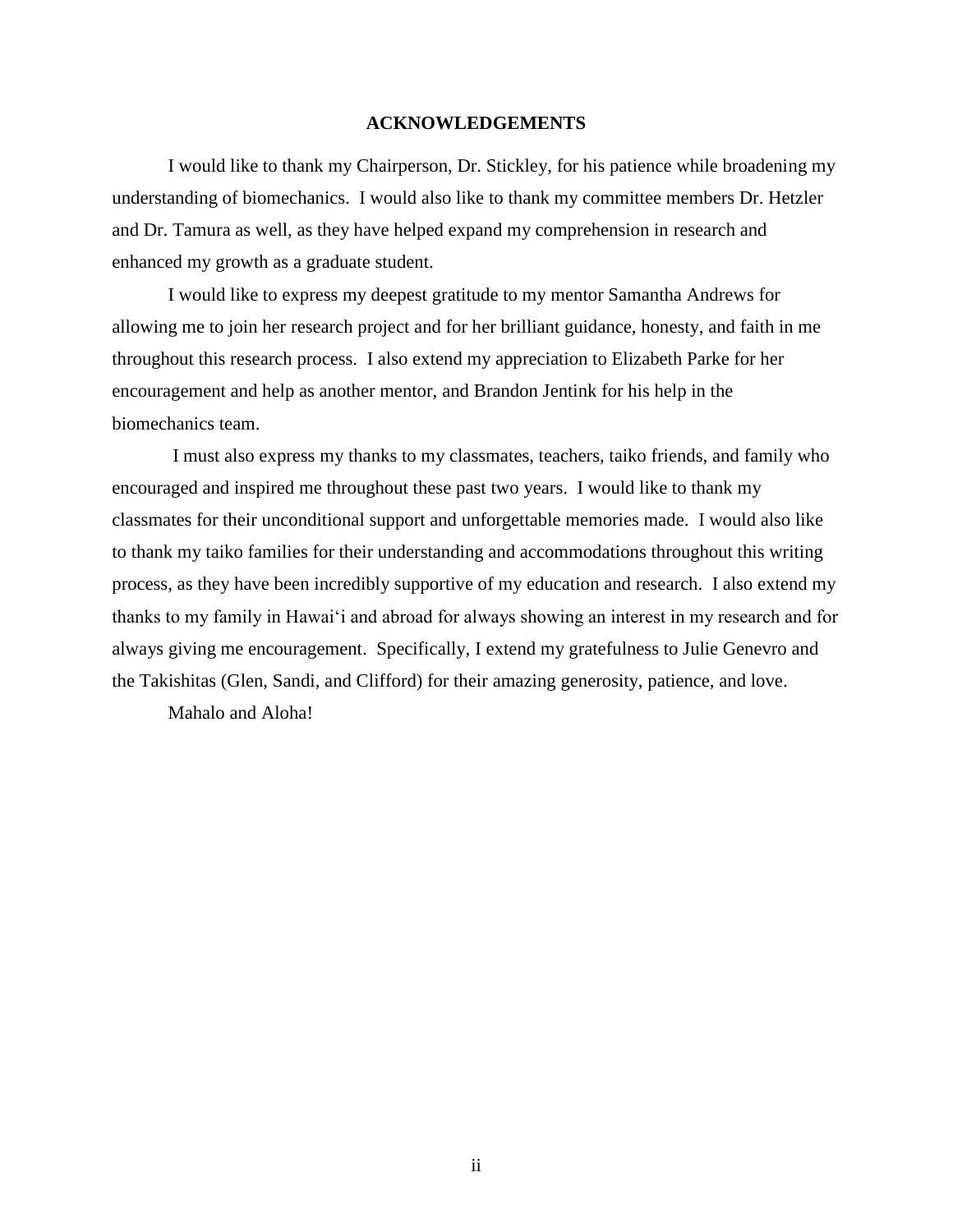#### **ACKNOWLEDGEMENTS**

I would like to thank my Chairperson, Dr. Stickley, for his patience while broadening my understanding of biomechanics. I would also like to thank my committee members Dr. Hetzler and Dr. Tamura as well, as they have helped expand my comprehension in research and enhanced my growth as a graduate student.

I would like to express my deepest gratitude to my mentor Samantha Andrews for allowing me to join her research project and for her brilliant guidance, honesty, and faith in me throughout this research process. I also extend my appreciation to Elizabeth Parke for her encouragement and help as another mentor, and Brandon Jentink for his help in the biomechanics team.

I must also express my thanks to my classmates, teachers, taiko friends, and family who encouraged and inspired me throughout these past two years. I would like to thank my classmates for their unconditional support and unforgettable memories made. I would also like to thank my taiko families for their understanding and accommodations throughout this writing process, as they have been incredibly supportive of my education and research. I also extend my thanks to my family in Hawai'i and abroad for always showing an interest in my research and for always giving me encouragement. Specifically, I extend my gratefulness to Julie Genevro and the Takishitas (Glen, Sandi, and Clifford) for their amazing generosity, patience, and love.

Mahalo and Aloha!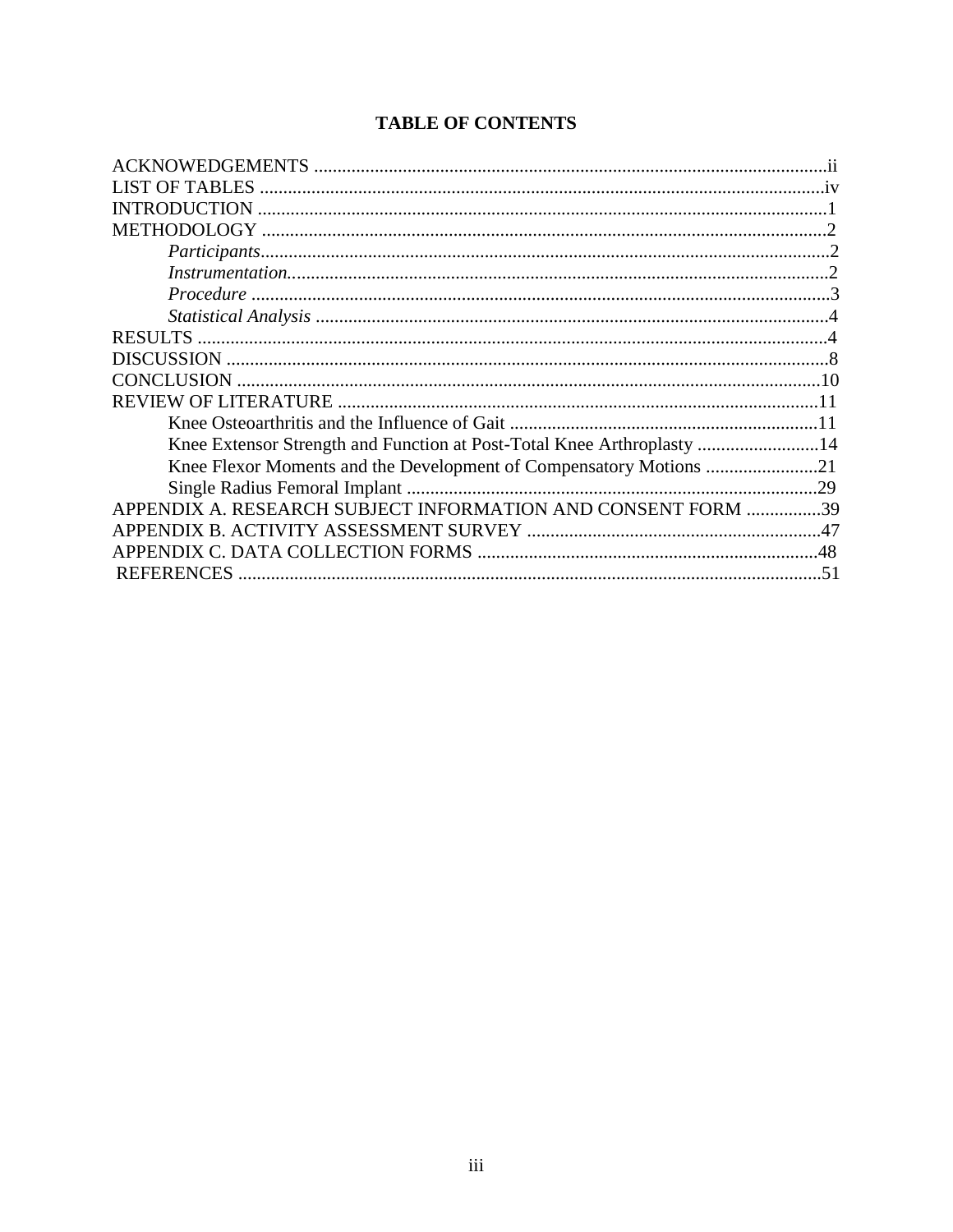# **TABLE OF CONTENTS**

| <b>LIST OF TABLES</b>                                                  |     |
|------------------------------------------------------------------------|-----|
|                                                                        |     |
|                                                                        |     |
|                                                                        |     |
|                                                                        |     |
|                                                                        |     |
|                                                                        |     |
|                                                                        |     |
|                                                                        |     |
|                                                                        |     |
|                                                                        |     |
|                                                                        |     |
| Knee Extensor Strength and Function at Post-Total Knee Arthroplasty 14 |     |
| Knee Flexor Moments and the Development of Compensatory Motions 21     |     |
|                                                                        |     |
| APPENDIX A. RESEARCH SUBJECT INFORMATION AND CONSENT FORM 39           |     |
|                                                                        |     |
|                                                                        |     |
|                                                                        | .51 |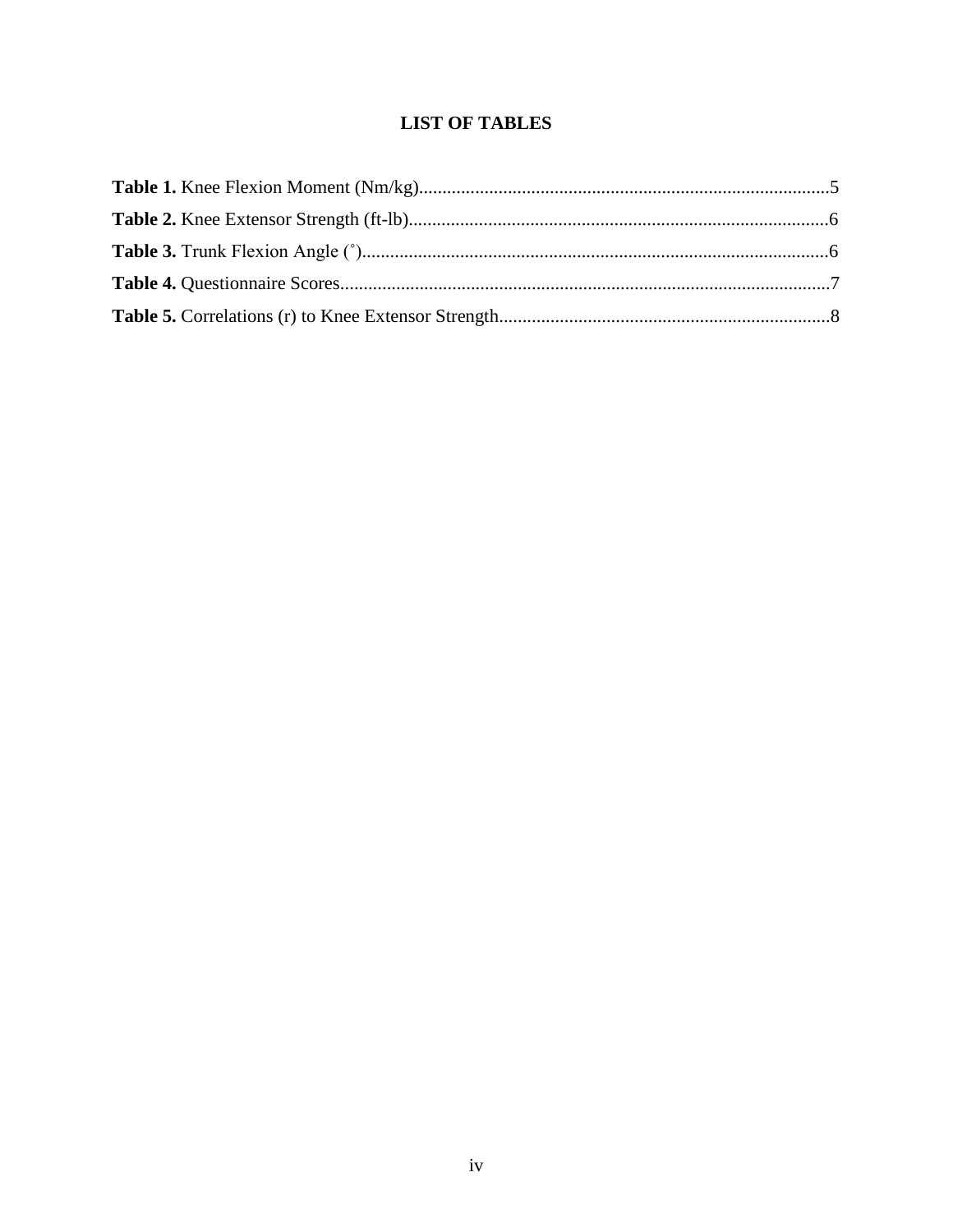# **LIST OF TABLES**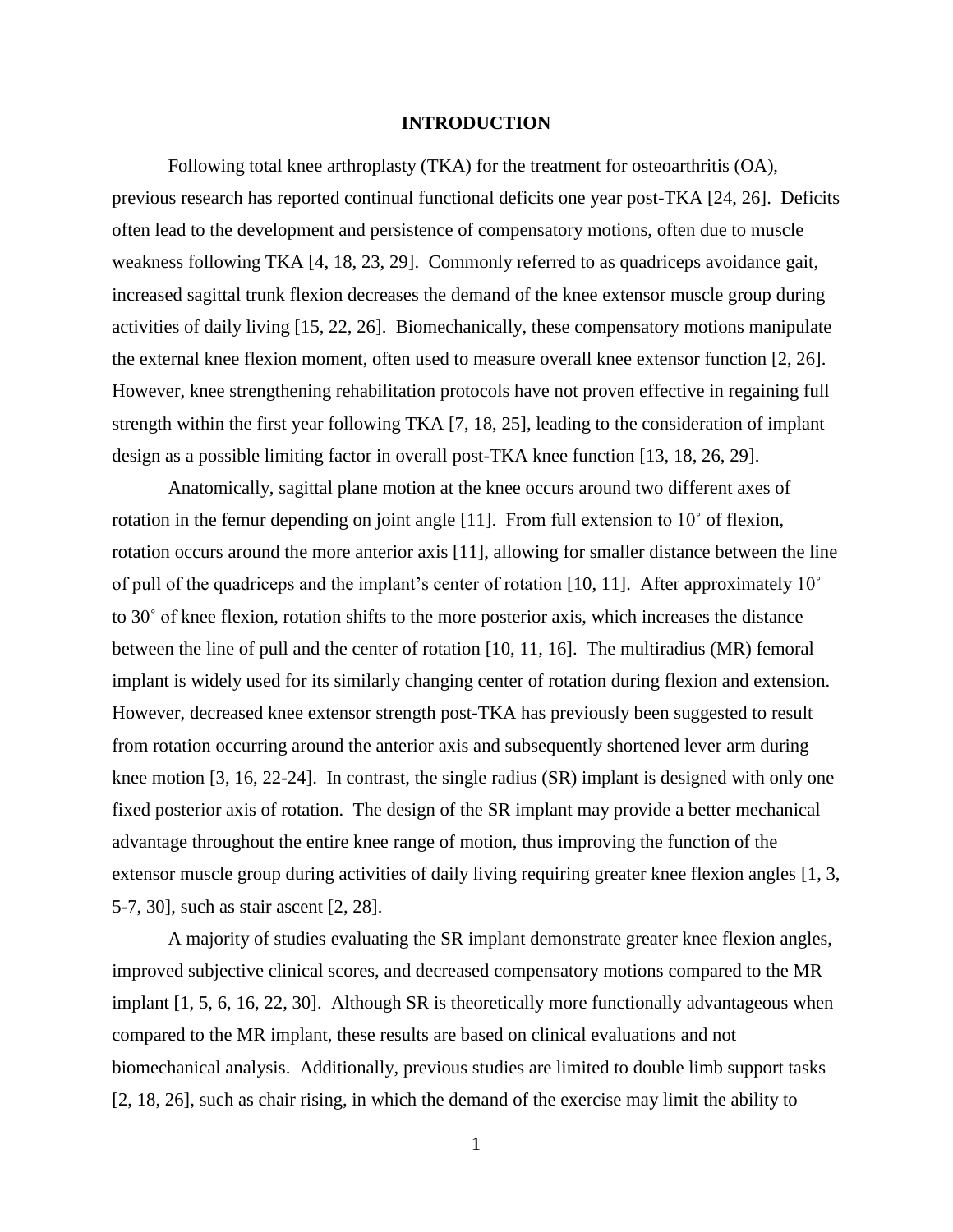#### **INTRODUCTION**

Following total knee arthroplasty (TKA) for the treatment for osteoarthritis (OA), previous research has reported continual functional deficits one year post-TKA [24, 26]. Deficits often lead to the development and persistence of compensatory motions, often due to muscle weakness following TKA [4, 18, 23, 29]. Commonly referred to as quadriceps avoidance gait, increased sagittal trunk flexion decreases the demand of the knee extensor muscle group during activities of daily living [15, 22, 26]. Biomechanically, these compensatory motions manipulate the external knee flexion moment, often used to measure overall knee extensor function [2, 26]. However, knee strengthening rehabilitation protocols have not proven effective in regaining full strength within the first year following TKA [7, 18, 25], leading to the consideration of implant design as a possible limiting factor in overall post-TKA knee function [13, 18, 26, 29].

Anatomically, sagittal plane motion at the knee occurs around two different axes of rotation in the femur depending on joint angle [11]. From full extension to 10˚ of flexion, rotation occurs around the more anterior axis [11], allowing for smaller distance between the line of pull of the quadriceps and the implant's center of rotation [10, 11]. After approximately 10˚ to 30˚ of knee flexion, rotation shifts to the more posterior axis, which increases the distance between the line of pull and the center of rotation [10, 11, 16]. The multiradius (MR) femoral implant is widely used for its similarly changing center of rotation during flexion and extension. However, decreased knee extensor strength post-TKA has previously been suggested to result from rotation occurring around the anterior axis and subsequently shortened lever arm during knee motion [3, 16, 22-24]. In contrast, the single radius (SR) implant is designed with only one fixed posterior axis of rotation. The design of the SR implant may provide a better mechanical advantage throughout the entire knee range of motion, thus improving the function of the extensor muscle group during activities of daily living requiring greater knee flexion angles [1, 3, 5-7, 30], such as stair ascent [2, 28].

A majority of studies evaluating the SR implant demonstrate greater knee flexion angles, improved subjective clinical scores, and decreased compensatory motions compared to the MR implant [1, 5, 6, 16, 22, 30]. Although SR is theoretically more functionally advantageous when compared to the MR implant, these results are based on clinical evaluations and not biomechanical analysis. Additionally, previous studies are limited to double limb support tasks [2, 18, 26], such as chair rising, in which the demand of the exercise may limit the ability to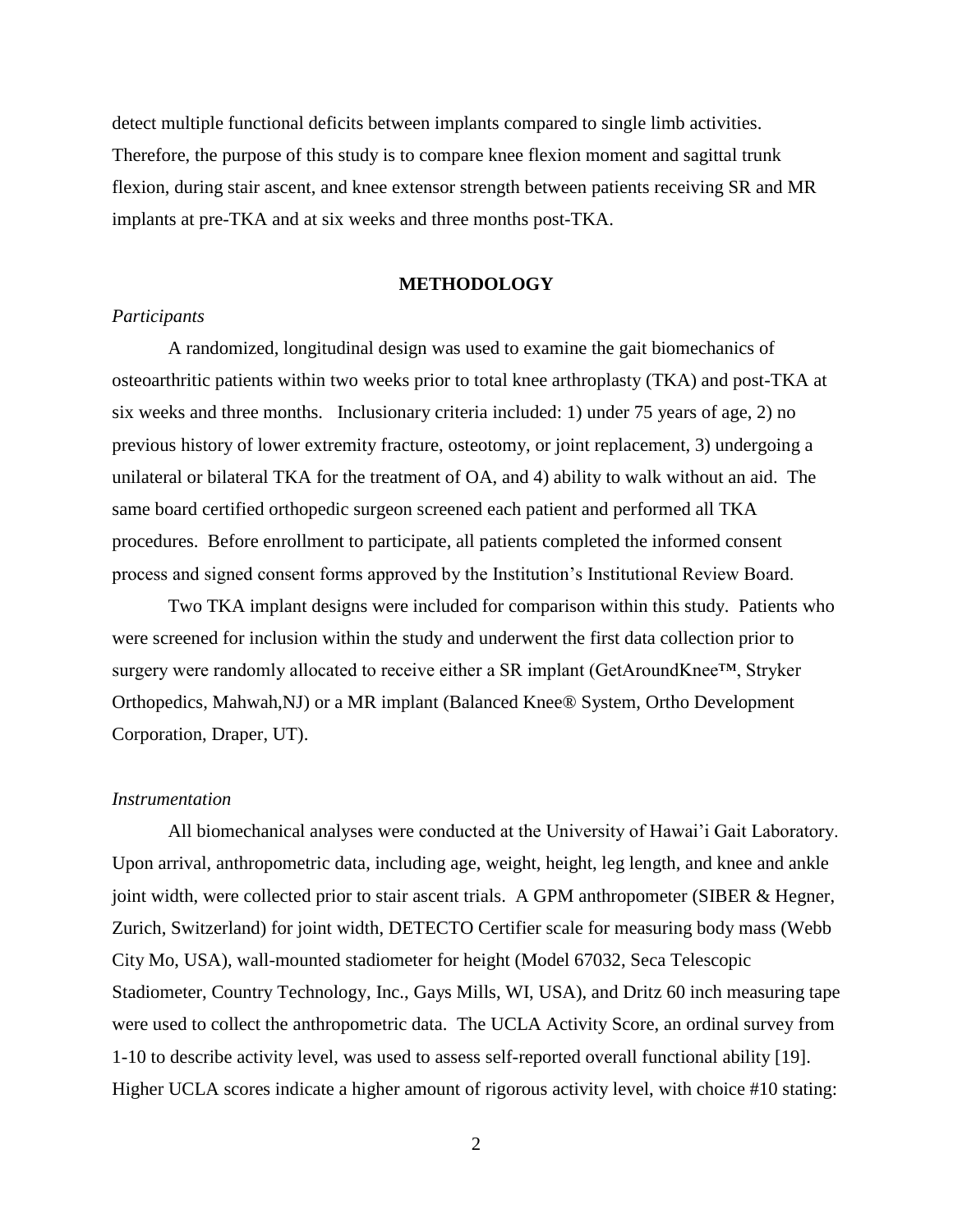detect multiple functional deficits between implants compared to single limb activities. Therefore, the purpose of this study is to compare knee flexion moment and sagittal trunk flexion, during stair ascent, and knee extensor strength between patients receiving SR and MR implants at pre-TKA and at six weeks and three months post-TKA.

#### **METHODOLOGY**

#### *Participants*

A randomized, longitudinal design was used to examine the gait biomechanics of osteoarthritic patients within two weeks prior to total knee arthroplasty (TKA) and post-TKA at six weeks and three months. Inclusionary criteria included: 1) under 75 years of age, 2) no previous history of lower extremity fracture, osteotomy, or joint replacement, 3) undergoing a unilateral or bilateral TKA for the treatment of OA, and 4) ability to walk without an aid. The same board certified orthopedic surgeon screened each patient and performed all TKA procedures. Before enrollment to participate, all patients completed the informed consent process and signed consent forms approved by the Institution's Institutional Review Board.

Two TKA implant designs were included for comparison within this study. Patients who were screened for inclusion within the study and underwent the first data collection prior to surgery were randomly allocated to receive either a SR implant (GetAroundKnee™, Stryker Orthopedics, Mahwah,NJ) or a MR implant (Balanced Knee® System, Ortho Development Corporation, Draper, UT).

### *Instrumentation*

All biomechanical analyses were conducted at the University of Hawai'i Gait Laboratory. Upon arrival, anthropometric data, including age, weight, height, leg length, and knee and ankle joint width, were collected prior to stair ascent trials. A GPM anthropometer (SIBER & Hegner, Zurich, Switzerland) for joint width, DETECTO Certifier scale for measuring body mass (Webb City Mo, USA), wall-mounted stadiometer for height (Model 67032, Seca Telescopic Stadiometer, Country Technology, Inc., Gays Mills, WI, USA), and Dritz 60 inch measuring tape were used to collect the anthropometric data. The UCLA Activity Score, an ordinal survey from 1-10 to describe activity level, was used to assess self-reported overall functional ability [19]. Higher UCLA scores indicate a higher amount of rigorous activity level, with choice #10 stating: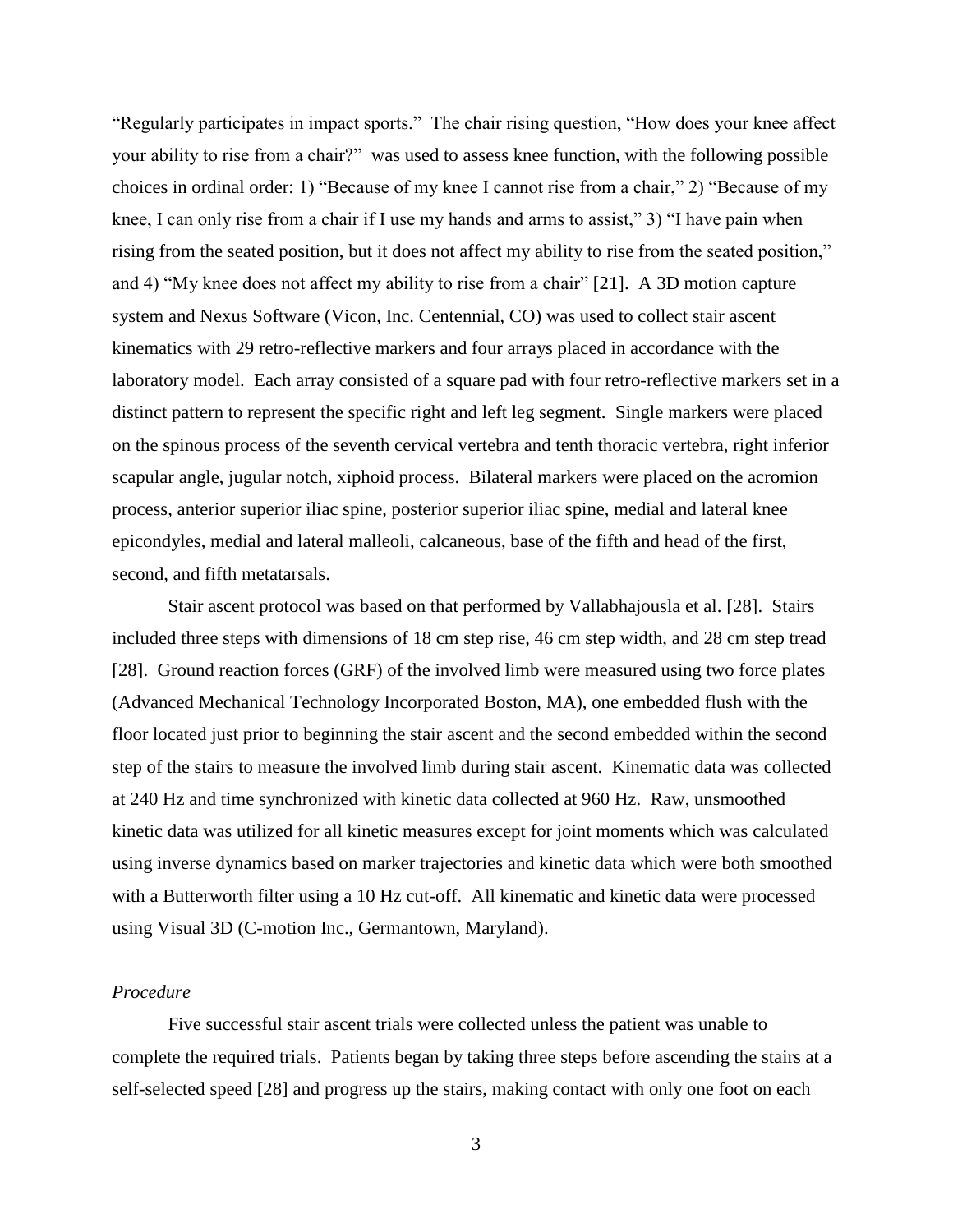"Regularly participates in impact sports." The chair rising question, "How does your knee affect your ability to rise from a chair?" was used to assess knee function, with the following possible choices in ordinal order: 1) "Because of my knee I cannot rise from a chair," 2) "Because of my knee, I can only rise from a chair if I use my hands and arms to assist," 3) "I have pain when rising from the seated position, but it does not affect my ability to rise from the seated position," and 4) "My knee does not affect my ability to rise from a chair" [21]. A 3D motion capture system and Nexus Software (Vicon, Inc. Centennial, CO) was used to collect stair ascent kinematics with 29 retro-reflective markers and four arrays placed in accordance with the laboratory model. Each array consisted of a square pad with four retro-reflective markers set in a distinct pattern to represent the specific right and left leg segment. Single markers were placed on the spinous process of the seventh cervical vertebra and tenth thoracic vertebra, right inferior scapular angle, jugular notch, xiphoid process. Bilateral markers were placed on the acromion process, anterior superior iliac spine, posterior superior iliac spine, medial and lateral knee epicondyles, medial and lateral malleoli, calcaneous, base of the fifth and head of the first, second, and fifth metatarsals.

Stair ascent protocol was based on that performed by Vallabhajousla et al. [28]. Stairs included three steps with dimensions of 18 cm step rise, 46 cm step width, and 28 cm step tread [28]. Ground reaction forces (GRF) of the involved limb were measured using two force plates (Advanced Mechanical Technology Incorporated Boston, MA), one embedded flush with the floor located just prior to beginning the stair ascent and the second embedded within the second step of the stairs to measure the involved limb during stair ascent. Kinematic data was collected at 240 Hz and time synchronized with kinetic data collected at 960 Hz. Raw, unsmoothed kinetic data was utilized for all kinetic measures except for joint moments which was calculated using inverse dynamics based on marker trajectories and kinetic data which were both smoothed with a Butterworth filter using a 10 Hz cut-off. All kinematic and kinetic data were processed using Visual 3D (C-motion Inc., Germantown, Maryland).

# *Procedure*

Five successful stair ascent trials were collected unless the patient was unable to complete the required trials. Patients began by taking three steps before ascending the stairs at a self-selected speed [28] and progress up the stairs, making contact with only one foot on each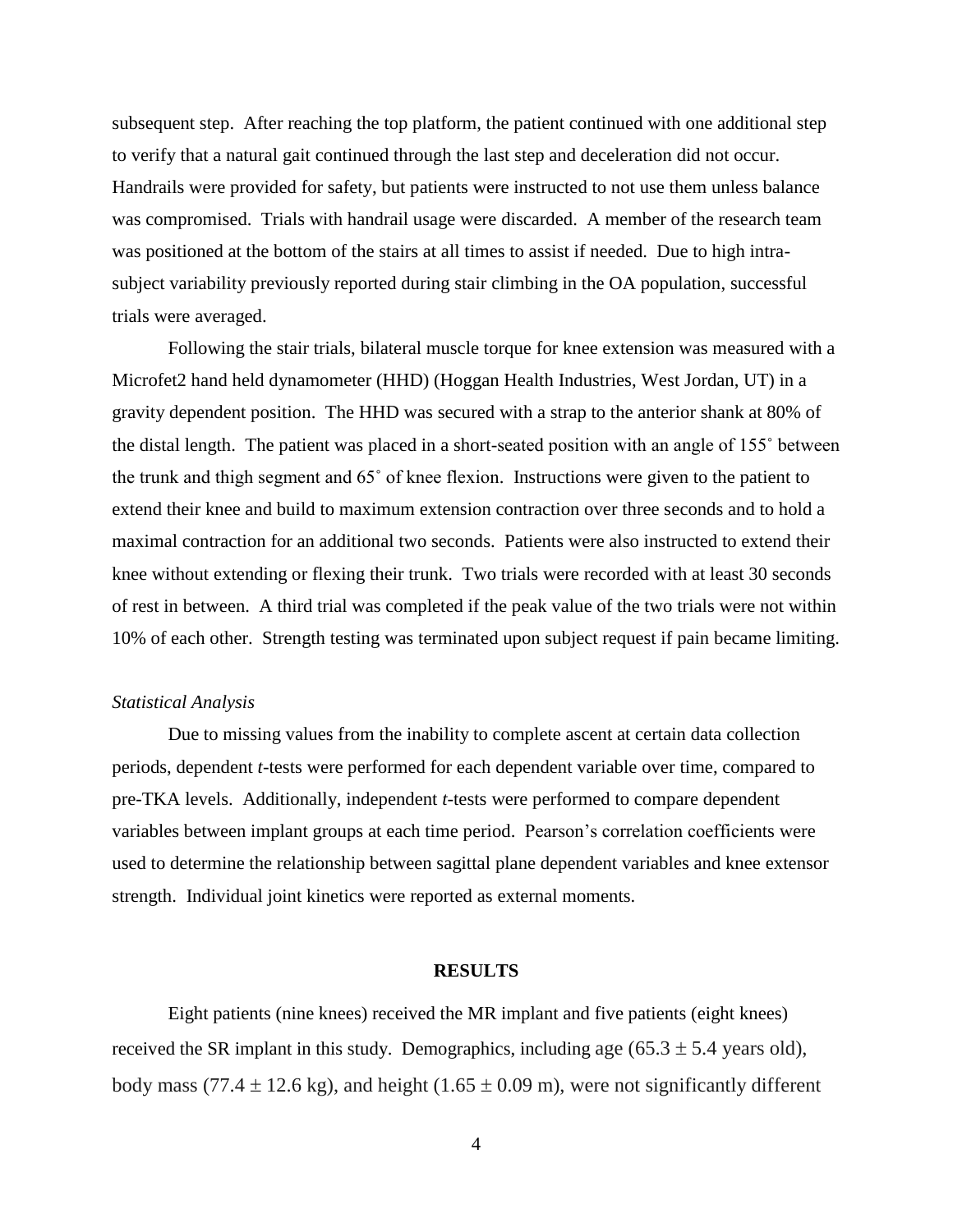subsequent step. After reaching the top platform, the patient continued with one additional step to verify that a natural gait continued through the last step and deceleration did not occur. Handrails were provided for safety, but patients were instructed to not use them unless balance was compromised. Trials with handrail usage were discarded. A member of the research team was positioned at the bottom of the stairs at all times to assist if needed. Due to high intrasubject variability previously reported during stair climbing in the OA population, successful trials were averaged.

Following the stair trials, bilateral muscle torque for knee extension was measured with a Microfet2 hand held dynamometer (HHD) (Hoggan Health Industries, West Jordan, UT) in a gravity dependent position. The HHD was secured with a strap to the anterior shank at 80% of the distal length. The patient was placed in a short-seated position with an angle of 155˚ between the trunk and thigh segment and 65˚ of knee flexion. Instructions were given to the patient to extend their knee and build to maximum extension contraction over three seconds and to hold a maximal contraction for an additional two seconds. Patients were also instructed to extend their knee without extending or flexing their trunk. Two trials were recorded with at least 30 seconds of rest in between. A third trial was completed if the peak value of the two trials were not within 10% of each other. Strength testing was terminated upon subject request if pain became limiting.

### *Statistical Analysis*

Due to missing values from the inability to complete ascent at certain data collection periods, dependent *t-*tests were performed for each dependent variable over time, compared to pre-TKA levels. Additionally, independent *t-*tests were performed to compare dependent variables between implant groups at each time period. Pearson's correlation coefficients were used to determine the relationship between sagittal plane dependent variables and knee extensor strength. Individual joint kinetics were reported as external moments.

#### **RESULTS**

Eight patients (nine knees) received the MR implant and five patients (eight knees) received the SR implant in this study. Demographics, including age  $(65.3 \pm 5.4$  years old), body mass (77.4  $\pm$  12.6 kg), and height (1.65  $\pm$  0.09 m), were not significantly different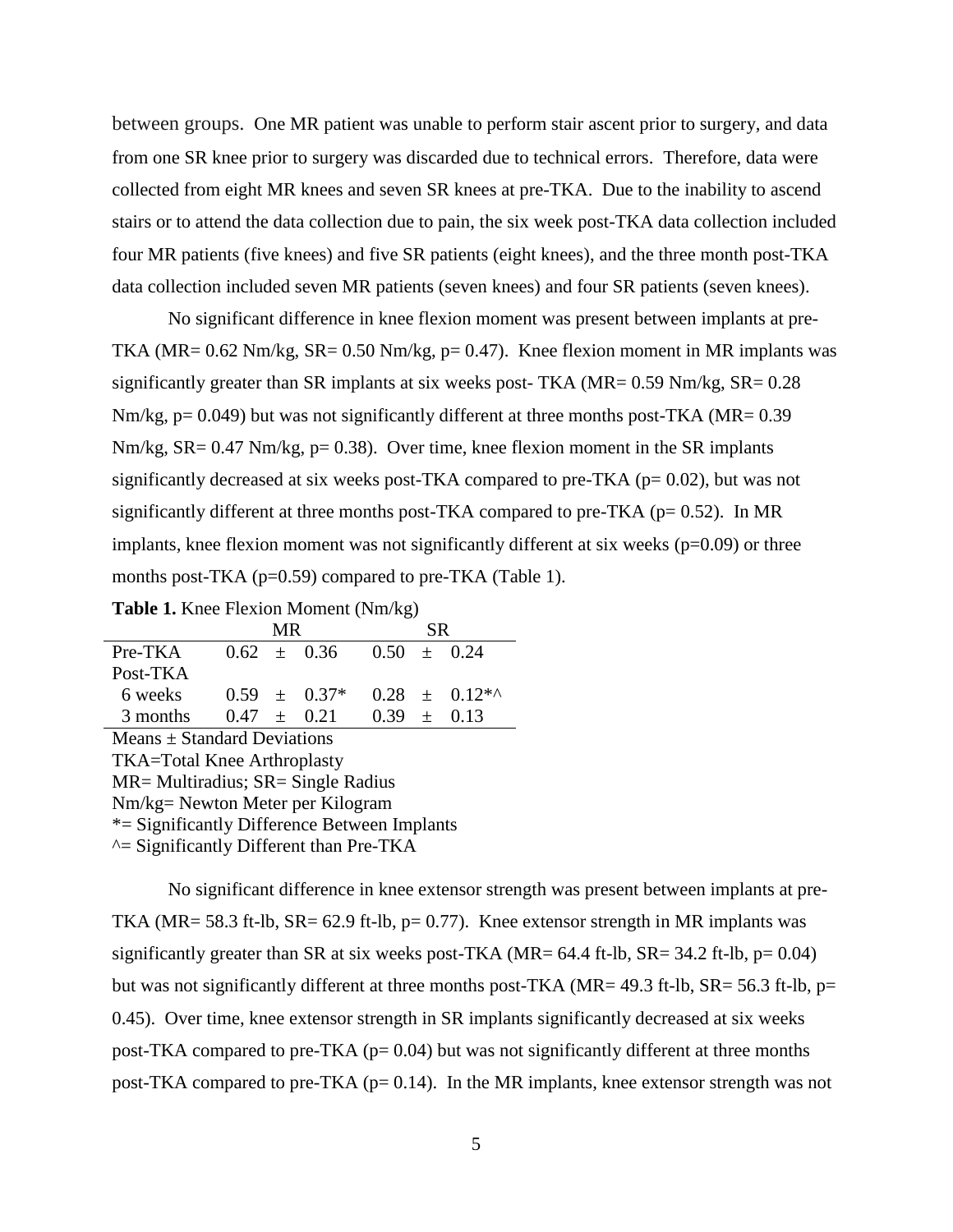between groups. One MR patient was unable to perform stair ascent prior to surgery, and data from one SR knee prior to surgery was discarded due to technical errors. Therefore, data were collected from eight MR knees and seven SR knees at pre-TKA. Due to the inability to ascend stairs or to attend the data collection due to pain, the six week post-TKA data collection included four MR patients (five knees) and five SR patients (eight knees), and the three month post-TKA data collection included seven MR patients (seven knees) and four SR patients (seven knees).

No significant difference in knee flexion moment was present between implants at pre-TKA ( $MR = 0.62$  Nm/kg,  $SR = 0.50$  Nm/kg,  $p = 0.47$ ). Knee flexion moment in MR implants was significantly greater than SR implants at six weeks post- TKA ( $MR = 0.59$  Nm/kg,  $SR = 0.28$ ) Nm/kg,  $p= 0.049$ ) but was not significantly different at three months post-TKA (MR=  $0.39$ ) Nm/kg, SR= 0.47 Nm/kg, p= 0.38). Over time, knee flexion moment in the SR implants significantly decreased at six weeks post-TKA compared to pre-TKA ( $p= 0.02$ ), but was not significantly different at three months post-TKA compared to pre-TKA ( $p= 0.52$ ). In MR implants, knee flexion moment was not significantly different at six weeks  $(p=0.09)$  or three months post-TKA (p=0.59) compared to pre-TKA (Table 1).

|  |  |  | <b>Table 1.</b> Knee Flexion Moment (Nm/kg) |  |  |
|--|--|--|---------------------------------------------|--|--|
|--|--|--|---------------------------------------------|--|--|

|                                    |                 | <b>MR</b> |                 |                 | <b>SR</b> |                   |  |  |  |
|------------------------------------|-----------------|-----------|-----------------|-----------------|-----------|-------------------|--|--|--|
| Pre-TKA                            |                 |           | $0.62 \pm 0.36$ | 0.50            |           | $+$ 0.24          |  |  |  |
| Post-TKA                           |                 |           |                 |                 |           |                   |  |  |  |
| 6 weeks                            |                 |           | $0.59 + 0.37*$  |                 |           | $0.28 + 0.12^{*}$ |  |  |  |
| 3 months                           | $0.47 \pm 0.21$ |           |                 | $0.39 \pm 0.13$ |           |                   |  |  |  |
| Means $\pm$ Standard Deviations    |                 |           |                 |                 |           |                   |  |  |  |
| TKA=Total Knee Arthroplasty        |                 |           |                 |                 |           |                   |  |  |  |
| MR= Multiradius; SR= Single Radius |                 |           |                 |                 |           |                   |  |  |  |
| Nm/kg= Newton Meter per Kilogram   |                 |           |                 |                 |           |                   |  |  |  |

\*= Significantly Difference Between Implants

 $\triangle$  = Significantly Different than Pre-TKA

No significant difference in knee extensor strength was present between implants at pre-TKA ( $MR = 58.3$  ft-lb,  $SR = 62.9$  ft-lb,  $p = 0.77$ ). Knee extensor strength in MR implants was significantly greater than SR at six weeks post-TKA (MR=  $64.4$  ft-lb, SR=  $34.2$  ft-lb,  $p=0.04$ ) but was not significantly different at three months post-TKA (MR= 49.3 ft-lb, SR= 56.3 ft-lb, p= 0.45). Over time, knee extensor strength in SR implants significantly decreased at six weeks post-TKA compared to pre-TKA ( $p= 0.04$ ) but was not significantly different at three months post-TKA compared to pre-TKA ( $p= 0.14$ ). In the MR implants, knee extensor strength was not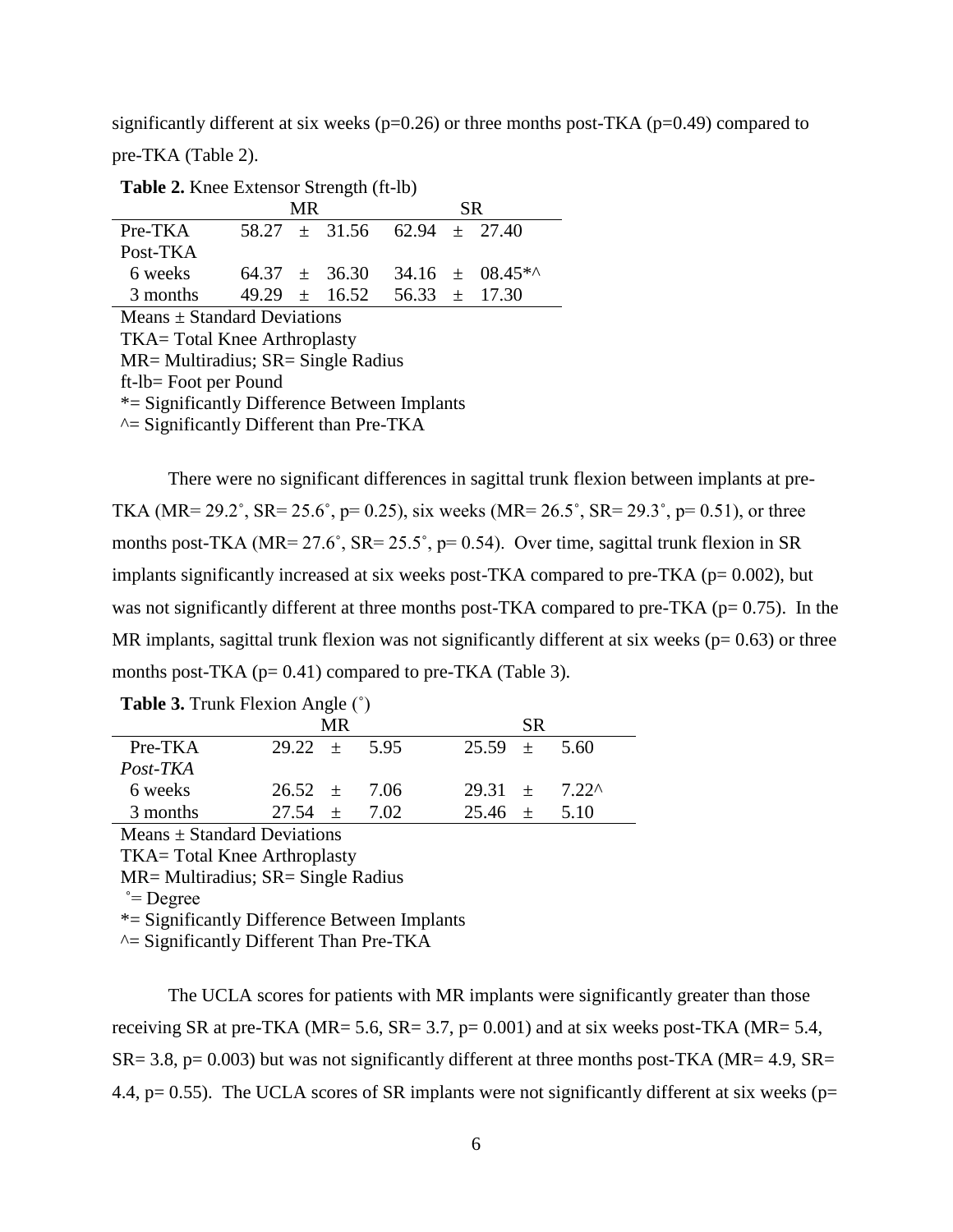significantly different at six weeks ( $p=0.26$ ) or three months post-TKA ( $p=0.49$ ) compared to pre-TKA (Table 2).

**Table 2.** Knee Extensor Strength (ft-lb)

|                                        |  | MR. |                   |                                     |  | SR.               |  |  |  |  |
|----------------------------------------|--|-----|-------------------|-------------------------------------|--|-------------------|--|--|--|--|
| Pre-TKA                                |  |     |                   | $58.27 \pm 31.56$ $62.94 \pm 27.40$ |  |                   |  |  |  |  |
| Post-TKA                               |  |     |                   |                                     |  |                   |  |  |  |  |
| 6 weeks                                |  |     | $64.37 \pm 36.30$ |                                     |  | $34.16 + 08.45$   |  |  |  |  |
| 3 months                               |  |     | $49.29 + 16.52$   |                                     |  | $56.33 \pm 17.30$ |  |  |  |  |
| Means $\pm$ Standard Deviations        |  |     |                   |                                     |  |                   |  |  |  |  |
| TKA=Total Knee Arthroplasty            |  |     |                   |                                     |  |                   |  |  |  |  |
| $MR = Multiradius; SR = Single Radius$ |  |     |                   |                                     |  |                   |  |  |  |  |

ft-lb= Foot per Pound

\*= Significantly Difference Between Implants

 $\triangle$ = Significantly Different than Pre-TKA

There were no significant differences in sagittal trunk flexion between implants at pre-TKA (MR=  $29.2^{\circ}$ , SR=  $25.6^{\circ}$ , p= 0.25), six weeks (MR=  $26.5^{\circ}$ , SR=  $29.3^{\circ}$ , p= 0.51), or three months post-TKA (MR=  $27.6^\circ$ , SR=  $25.5^\circ$ , p= 0.54). Over time, sagittal trunk flexion in SR implants significantly increased at six weeks post-TKA compared to pre-TKA ( $p= 0.002$ ), but was not significantly different at three months post-TKA compared to pre-TKA ( $p= 0.75$ ). In the MR implants, sagittal trunk flexion was not significantly different at six weeks ( $p= 0.63$ ) or three months post-TKA ( $p= 0.41$ ) compared to pre-TKA (Table 3).

|           | <b>MR</b>        |        |                        | <b>SR</b> |      |
|-----------|------------------|--------|------------------------|-----------|------|
| $Pre-TKA$ | $29.22 \pm 5.95$ |        | $25.59 \pm 5.60$       |           |      |
| Post-TKA  |                  |        |                        |           |      |
| 6 weeks   | $26.52 + 7.06$   |        | $29.31 + 7.22^{\circ}$ |           |      |
| 3 months  | $27.54 +$        | - 7.02 | $25.46 +$              |           | 5.10 |

**Table 3.** Trunk Flexion Angle (˚)

 $Means \pm Standard$  Deviations

TKA= Total Knee Arthroplasty

MR= Multiradius; SR= Single Radius

 $\degree$ = Degree

\*= Significantly Difference Between Implants

 $\triangle$ = Significantly Different Than Pre-TKA

The UCLA scores for patients with MR implants were significantly greater than those receiving SR at pre-TKA (MR= 5.6, SR= 3.7, p=  $0.001$ ) and at six weeks post-TKA (MR= 5.4,  $SR = 3.8$ ,  $p = 0.003$ ) but was not significantly different at three months post-TKA (MR= 4.9, SR= 4.4,  $p= 0.55$ ). The UCLA scores of SR implants were not significantly different at six weeks ( $p=$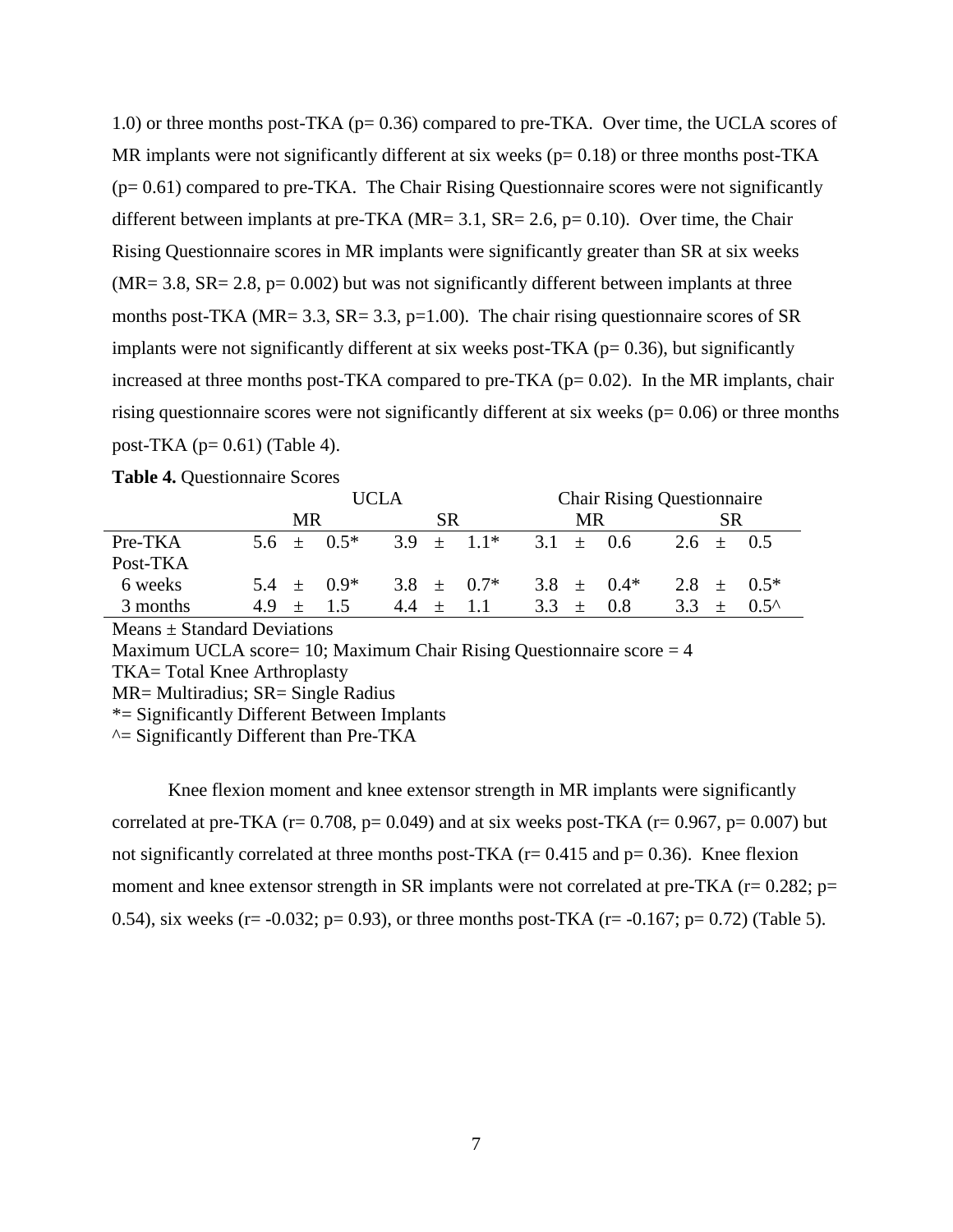1.0) or three months post-TKA (p= 0.36) compared to pre-TKA. Over time, the UCLA scores of MR implants were not significantly different at six weeks ( $p= 0.18$ ) or three months post-TKA (p= 0.61) compared to pre-TKA. The Chair Rising Questionnaire scores were not significantly different between implants at pre-TKA ( $MR = 3.1$ ,  $SR = 2.6$ ,  $p = 0.10$ ). Over time, the Chair Rising Questionnaire scores in MR implants were significantly greater than SR at six weeks  $(MR = 3.8, SR = 2.8, p = 0.002)$  but was not significantly different between implants at three months post-TKA ( $MR = 3.3$ ,  $SR = 3.3$ ,  $p=1.00$ ). The chair rising questionnaire scores of  $SR$ implants were not significantly different at six weeks post-TKA ( $p= 0.36$ ), but significantly increased at three months post-TKA compared to pre-TKA ( $p= 0.02$ ). In the MR implants, chair rising questionnaire scores were not significantly different at six weeks ( $p= 0.06$ ) or three months post-TKA ( $p= 0.61$ ) (Table 4).

|          | <b>UCLA</b>     |    |        |           |                 | <b>Chair Rising Questionnaire</b> |     |                |               |                |
|----------|-----------------|----|--------|-----------|-----------------|-----------------------------------|-----|----------------|---------------|----------------|
|          | MR.             |    |        | <b>SR</b> |                 |                                   | MR. |                |               |                |
| Pre-TKA  | $5.6 \pm 0.5^*$ |    |        |           | $3.9 \pm 1.1^*$ | $3.1 \pm 0.6$                     |     |                | $2.6 \pm 0.5$ |                |
| Post-TKA |                 |    |        |           |                 |                                   |     |                |               |                |
| 6 weeks  | $5.4 \pm 0.9^*$ |    |        |           | 3.8 $\pm$ 0.7*  |                                   |     | 3.8 $\pm$ 0.4* |               | 2.8 $\pm$ 0.5* |
| 3 months | 4.9<br>$+$      | 15 | $44 +$ |           | $-11$           | $3.3 +$                           |     | 0.8            | $3.3 +$       | $0.5^{\circ}$  |

**Table 4.** Questionnaire Scores

Means ± Standard Deviations

Maximum UCLA score= 10; Maximum Chair Rising Questionnaire score  $= 4$ 

TKA= Total Knee Arthroplasty

\*= Significantly Different Between Implants

 $\triangle$ = Significantly Different than Pre-TKA

Knee flexion moment and knee extensor strength in MR implants were significantly correlated at pre-TKA ( $r= 0.708$ ,  $p= 0.049$ ) and at six weeks post-TKA ( $r= 0.967$ ,  $p= 0.007$ ) but not significantly correlated at three months post-TKA ( $r= 0.415$  and  $p= 0.36$ ). Knee flexion moment and knee extensor strength in SR implants were not correlated at pre-TKA ( $r= 0.282$ ;  $p=$ 0.54), six weeks (r= -0.032; p= 0.93), or three months post-TKA (r= -0.167; p= 0.72) (Table 5).

MR= Multiradius; SR= Single Radius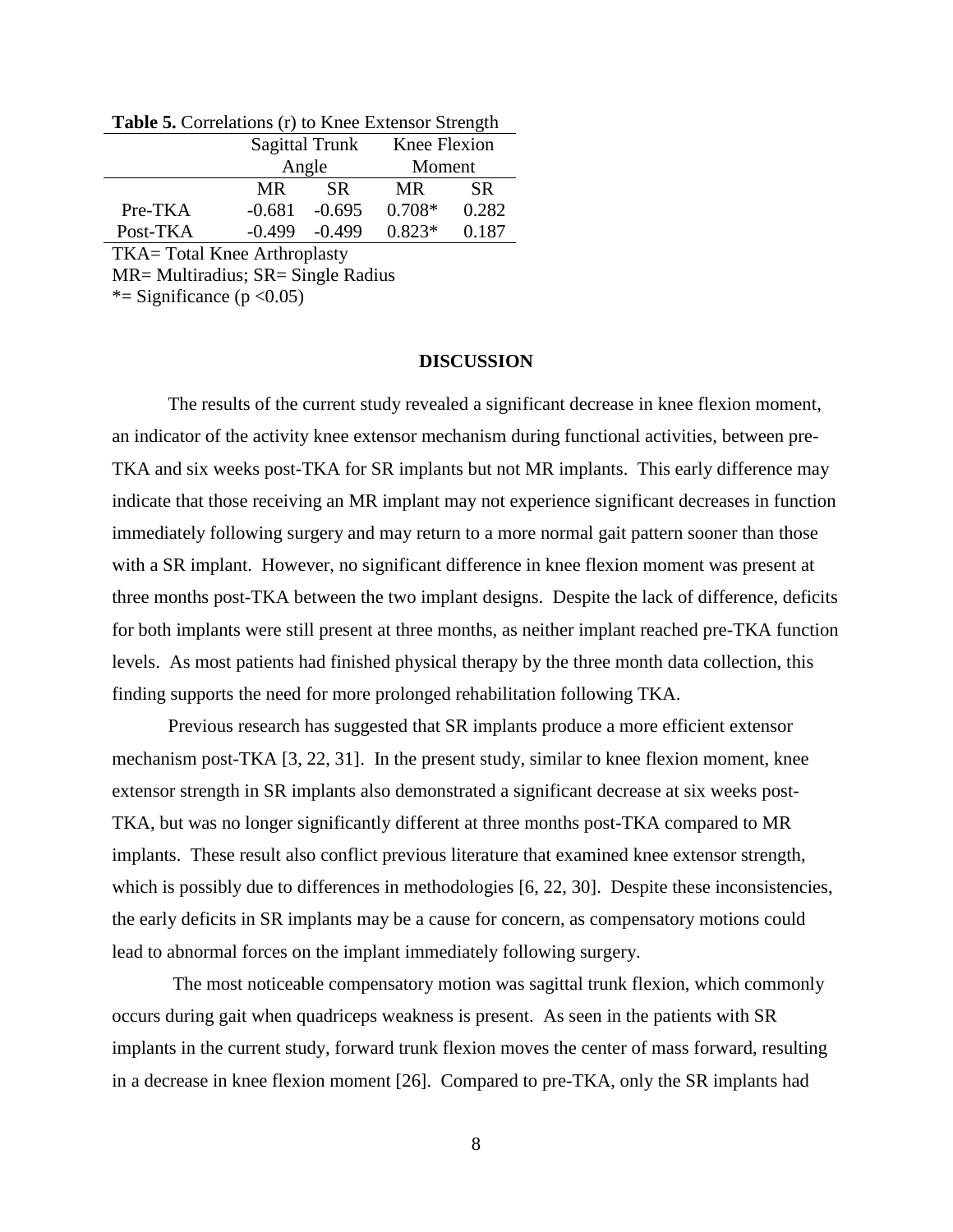|          |          | <b>Sagittal Trunk</b> | Knee Flexion |           |
|----------|----------|-----------------------|--------------|-----------|
|          |          | Angle                 | Moment       |           |
|          | MR       | <b>SR</b>             | MR.          | <b>SR</b> |
| Pre-TKA  | $-0.681$ | $-0.695$              | $0.708*$     | 0.282     |
| Post-TKA | $-0.499$ | $-0.499$              | $0.823*$     | 0.187     |

**Table 5.** Correlations (r) to Knee Extensor Strength

TKA= Total Knee Arthroplasty

MR= Multiradius; SR= Single Radius

\*= Significance ( $p < 0.05$ )

#### **DISCUSSION**

The results of the current study revealed a significant decrease in knee flexion moment, an indicator of the activity knee extensor mechanism during functional activities, between pre-TKA and six weeks post-TKA for SR implants but not MR implants. This early difference may indicate that those receiving an MR implant may not experience significant decreases in function immediately following surgery and may return to a more normal gait pattern sooner than those with a SR implant. However, no significant difference in knee flexion moment was present at three months post-TKA between the two implant designs. Despite the lack of difference, deficits for both implants were still present at three months, as neither implant reached pre-TKA function levels. As most patients had finished physical therapy by the three month data collection, this finding supports the need for more prolonged rehabilitation following TKA.

Previous research has suggested that SR implants produce a more efficient extensor mechanism post-TKA [3, 22, 31]. In the present study, similar to knee flexion moment, knee extensor strength in SR implants also demonstrated a significant decrease at six weeks post-TKA, but was no longer significantly different at three months post-TKA compared to MR implants. These result also conflict previous literature that examined knee extensor strength, which is possibly due to differences in methodologies [6, 22, 30]. Despite these inconsistencies, the early deficits in SR implants may be a cause for concern, as compensatory motions could lead to abnormal forces on the implant immediately following surgery.

The most noticeable compensatory motion was sagittal trunk flexion, which commonly occurs during gait when quadriceps weakness is present. As seen in the patients with SR implants in the current study, forward trunk flexion moves the center of mass forward, resulting in a decrease in knee flexion moment [26]. Compared to pre-TKA, only the SR implants had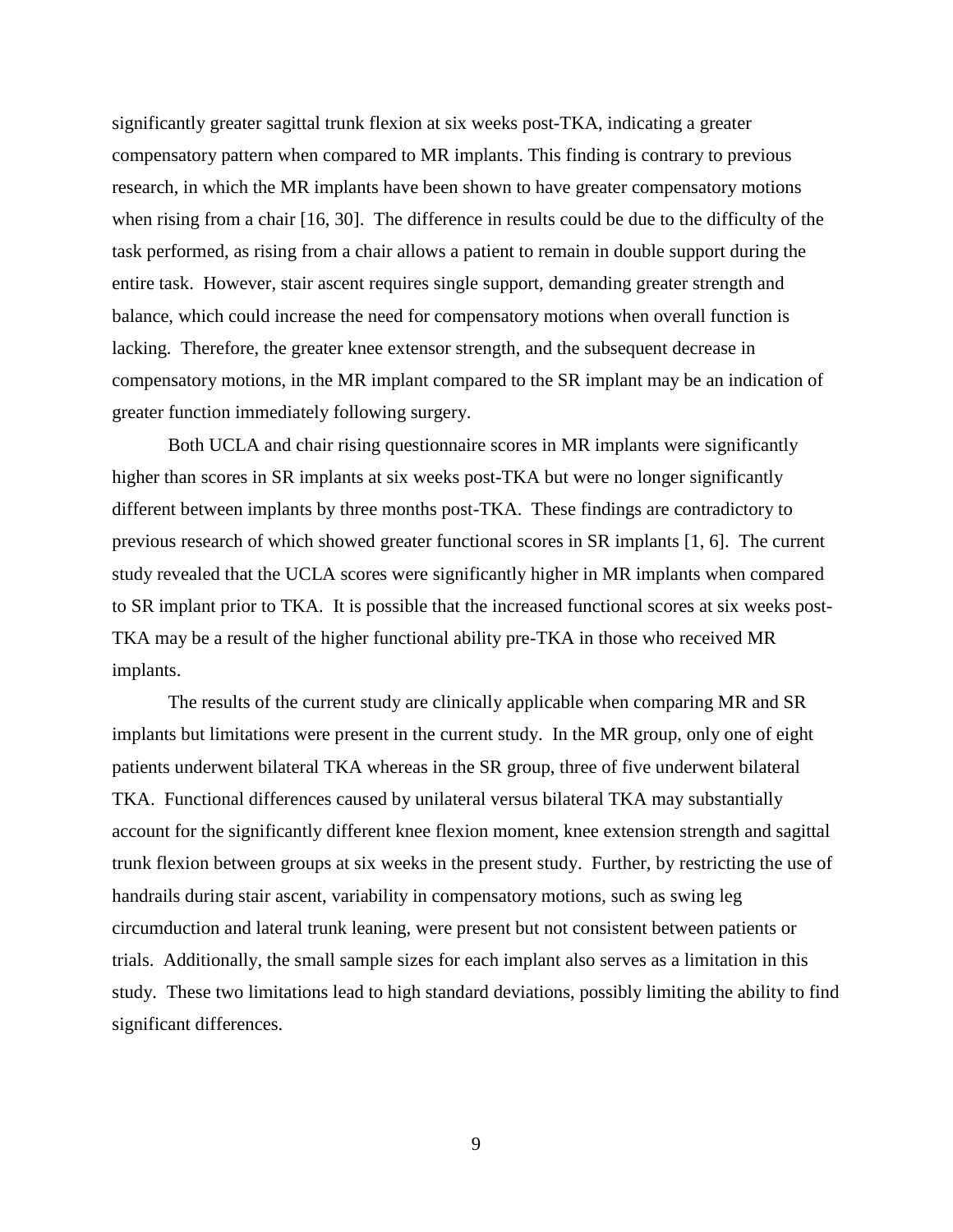significantly greater sagittal trunk flexion at six weeks post-TKA, indicating a greater compensatory pattern when compared to MR implants. This finding is contrary to previous research, in which the MR implants have been shown to have greater compensatory motions when rising from a chair [16, 30]. The difference in results could be due to the difficulty of the task performed, as rising from a chair allows a patient to remain in double support during the entire task. However, stair ascent requires single support, demanding greater strength and balance, which could increase the need for compensatory motions when overall function is lacking. Therefore, the greater knee extensor strength, and the subsequent decrease in compensatory motions, in the MR implant compared to the SR implant may be an indication of greater function immediately following surgery.

Both UCLA and chair rising questionnaire scores in MR implants were significantly higher than scores in SR implants at six weeks post-TKA but were no longer significantly different between implants by three months post-TKA. These findings are contradictory to previous research of which showed greater functional scores in SR implants [1, 6]. The current study revealed that the UCLA scores were significantly higher in MR implants when compared to SR implant prior to TKA. It is possible that the increased functional scores at six weeks post-TKA may be a result of the higher functional ability pre-TKA in those who received MR implants.

The results of the current study are clinically applicable when comparing MR and SR implants but limitations were present in the current study. In the MR group, only one of eight patients underwent bilateral TKA whereas in the SR group, three of five underwent bilateral TKA. Functional differences caused by unilateral versus bilateral TKA may substantially account for the significantly different knee flexion moment, knee extension strength and sagittal trunk flexion between groups at six weeks in the present study. Further, by restricting the use of handrails during stair ascent, variability in compensatory motions, such as swing leg circumduction and lateral trunk leaning, were present but not consistent between patients or trials. Additionally, the small sample sizes for each implant also serves as a limitation in this study. These two limitations lead to high standard deviations, possibly limiting the ability to find significant differences.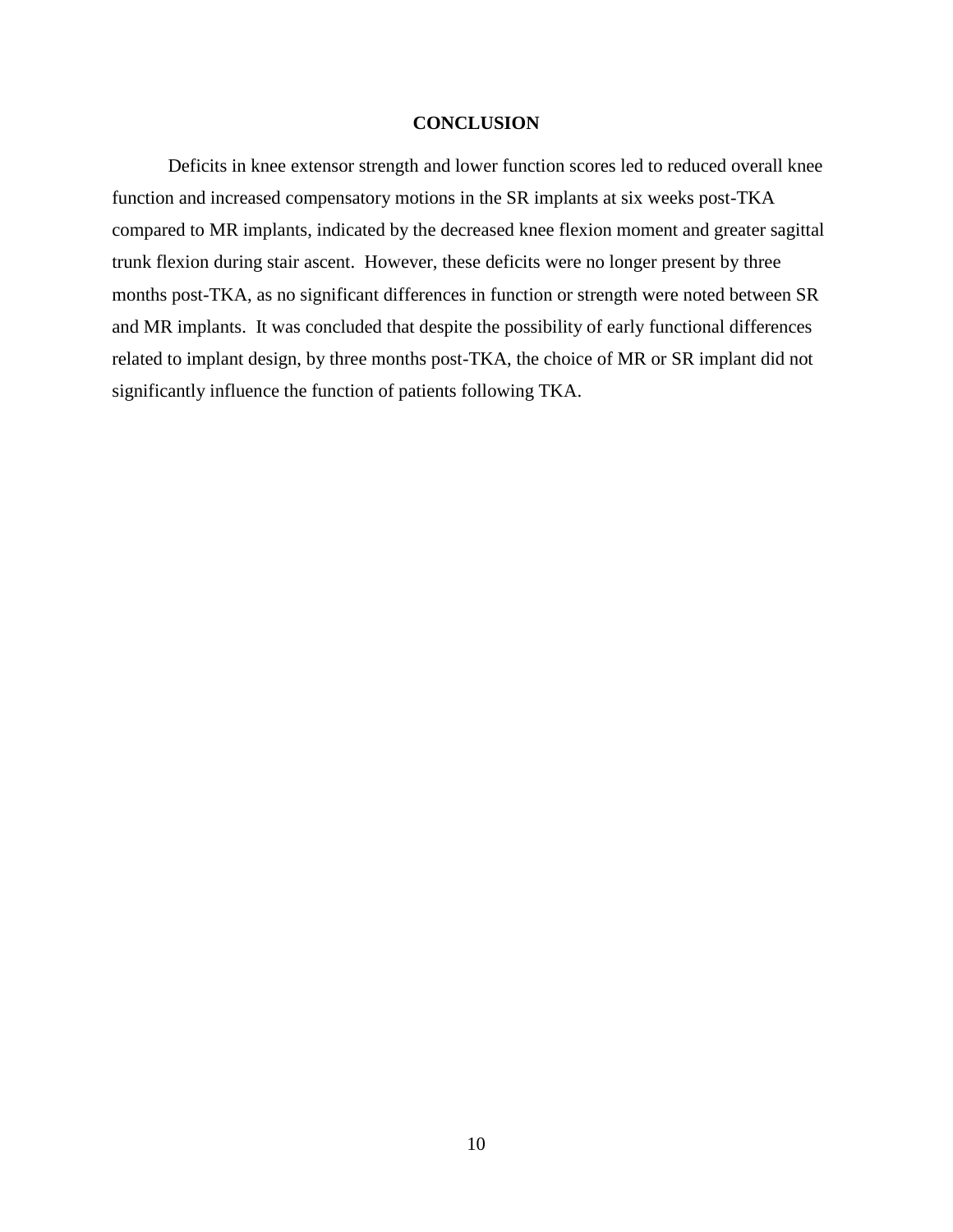## **CONCLUSION**

Deficits in knee extensor strength and lower function scores led to reduced overall knee function and increased compensatory motions in the SR implants at six weeks post-TKA compared to MR implants, indicated by the decreased knee flexion moment and greater sagittal trunk flexion during stair ascent. However, these deficits were no longer present by three months post-TKA, as no significant differences in function or strength were noted between SR and MR implants. It was concluded that despite the possibility of early functional differences related to implant design, by three months post-TKA, the choice of MR or SR implant did not significantly influence the function of patients following TKA.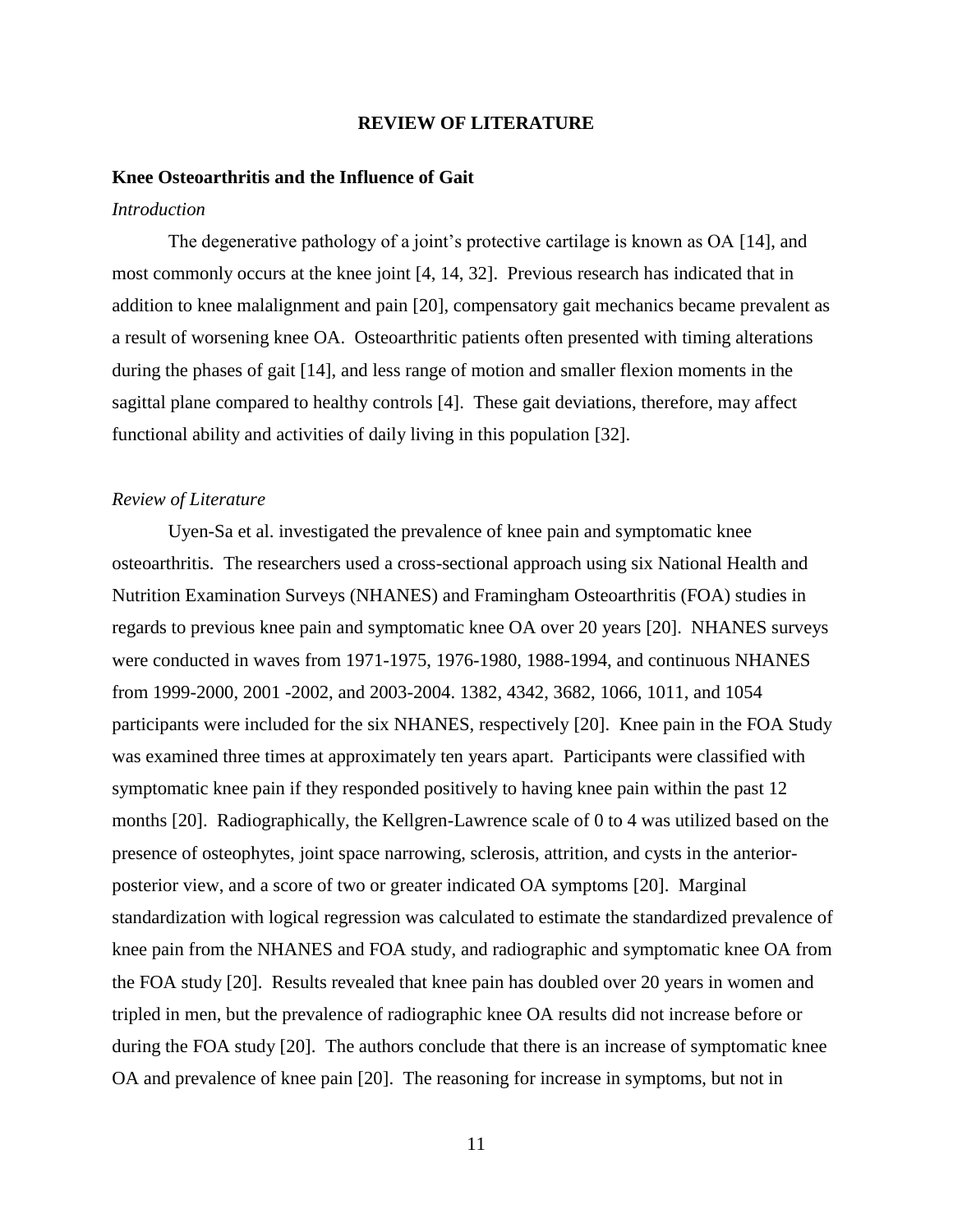#### **REVIEW OF LITERATURE**

#### **Knee Osteoarthritis and the Influence of Gait**

#### *Introduction*

The degenerative pathology of a joint's protective cartilage is known as OA [14], and most commonly occurs at the knee joint [4, 14, 32]. Previous research has indicated that in addition to knee malalignment and pain [20], compensatory gait mechanics became prevalent as a result of worsening knee OA. Osteoarthritic patients often presented with timing alterations during the phases of gait [14], and less range of motion and smaller flexion moments in the sagittal plane compared to healthy controls [4]. These gait deviations, therefore, may affect functional ability and activities of daily living in this population [32].

#### *Review of Literature*

Uyen-Sa et al. investigated the prevalence of knee pain and symptomatic knee osteoarthritis. The researchers used a cross-sectional approach using six National Health and Nutrition Examination Surveys (NHANES) and Framingham Osteoarthritis (FOA) studies in regards to previous knee pain and symptomatic knee OA over 20 years [20]. NHANES surveys were conducted in waves from 1971-1975, 1976-1980, 1988-1994, and continuous NHANES from 1999-2000, 2001 -2002, and 2003-2004. 1382, 4342, 3682, 1066, 1011, and 1054 participants were included for the six NHANES, respectively [20]. Knee pain in the FOA Study was examined three times at approximately ten years apart. Participants were classified with symptomatic knee pain if they responded positively to having knee pain within the past 12 months [20]. Radiographically, the Kellgren-Lawrence scale of 0 to 4 was utilized based on the presence of osteophytes, joint space narrowing, sclerosis, attrition, and cysts in the anteriorposterior view, and a score of two or greater indicated OA symptoms [20]. Marginal standardization with logical regression was calculated to estimate the standardized prevalence of knee pain from the NHANES and FOA study, and radiographic and symptomatic knee OA from the FOA study [20]. Results revealed that knee pain has doubled over 20 years in women and tripled in men, but the prevalence of radiographic knee OA results did not increase before or during the FOA study [20]. The authors conclude that there is an increase of symptomatic knee OA and prevalence of knee pain [20]. The reasoning for increase in symptoms, but not in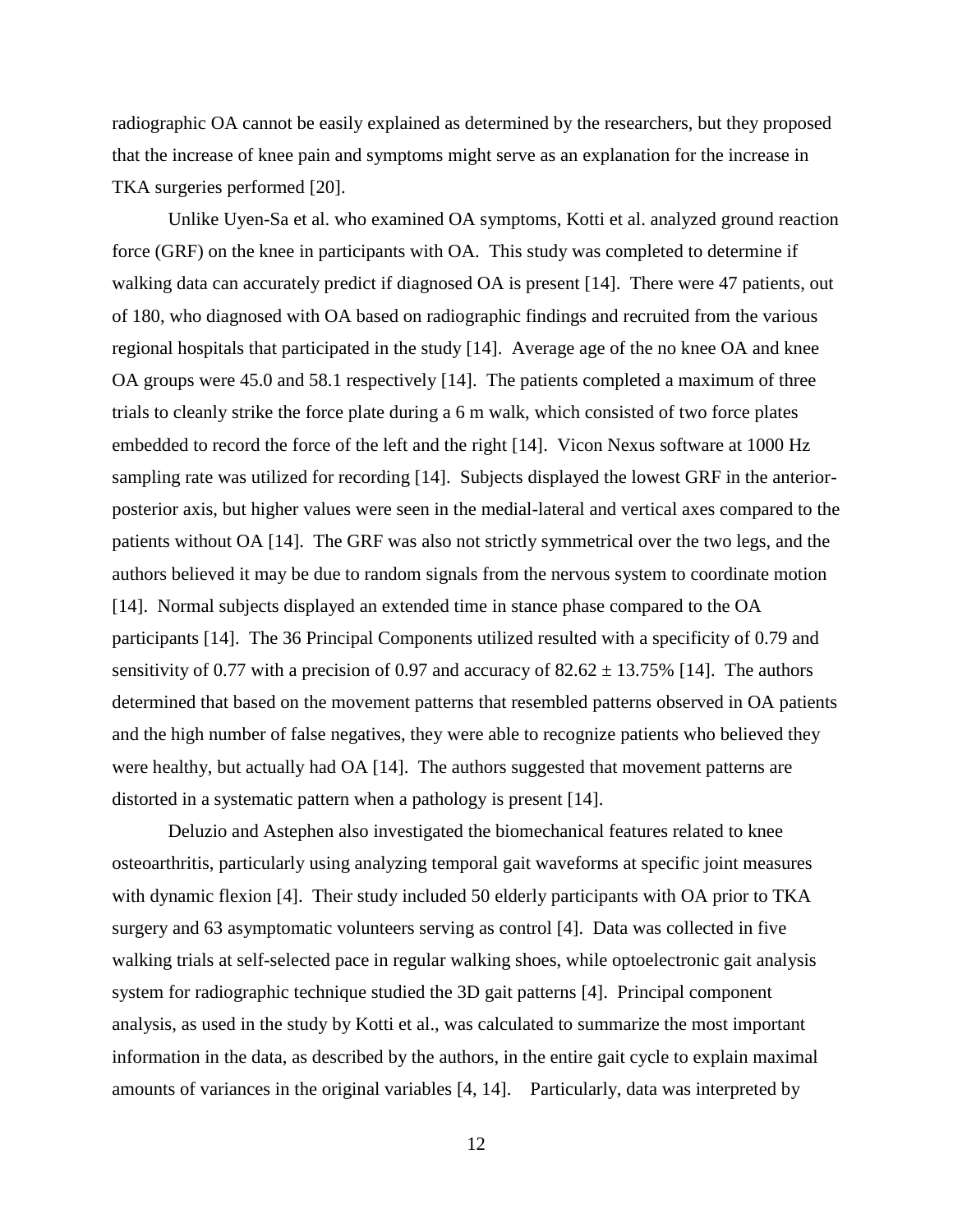radiographic OA cannot be easily explained as determined by the researchers, but they proposed that the increase of knee pain and symptoms might serve as an explanation for the increase in TKA surgeries performed [20].

Unlike Uyen-Sa et al. who examined OA symptoms, Kotti et al. analyzed ground reaction force (GRF) on the knee in participants with OA. This study was completed to determine if walking data can accurately predict if diagnosed OA is present [14]. There were 47 patients, out of 180, who diagnosed with OA based on radiographic findings and recruited from the various regional hospitals that participated in the study [14]. Average age of the no knee OA and knee OA groups were 45.0 and 58.1 respectively [14]. The patients completed a maximum of three trials to cleanly strike the force plate during a 6 m walk, which consisted of two force plates embedded to record the force of the left and the right [14]. Vicon Nexus software at 1000 Hz sampling rate was utilized for recording [14]. Subjects displayed the lowest GRF in the anteriorposterior axis, but higher values were seen in the medial-lateral and vertical axes compared to the patients without OA [14]. The GRF was also not strictly symmetrical over the two legs, and the authors believed it may be due to random signals from the nervous system to coordinate motion [14]. Normal subjects displayed an extended time in stance phase compared to the OA participants [14]. The 36 Principal Components utilized resulted with a specificity of 0.79 and sensitivity of 0.77 with a precision of 0.97 and accuracy of  $82.62 \pm 13.75\%$  [14]. The authors determined that based on the movement patterns that resembled patterns observed in OA patients and the high number of false negatives, they were able to recognize patients who believed they were healthy, but actually had OA [14]. The authors suggested that movement patterns are distorted in a systematic pattern when a pathology is present [14].

Deluzio and Astephen also investigated the biomechanical features related to knee osteoarthritis, particularly using analyzing temporal gait waveforms at specific joint measures with dynamic flexion [4]. Their study included 50 elderly participants with OA prior to TKA surgery and 63 asymptomatic volunteers serving as control [4]. Data was collected in five walking trials at self-selected pace in regular walking shoes, while optoelectronic gait analysis system for radiographic technique studied the 3D gait patterns [4]. Principal component analysis, as used in the study by Kotti et al., was calculated to summarize the most important information in the data, as described by the authors, in the entire gait cycle to explain maximal amounts of variances in the original variables [4, 14]. Particularly, data was interpreted by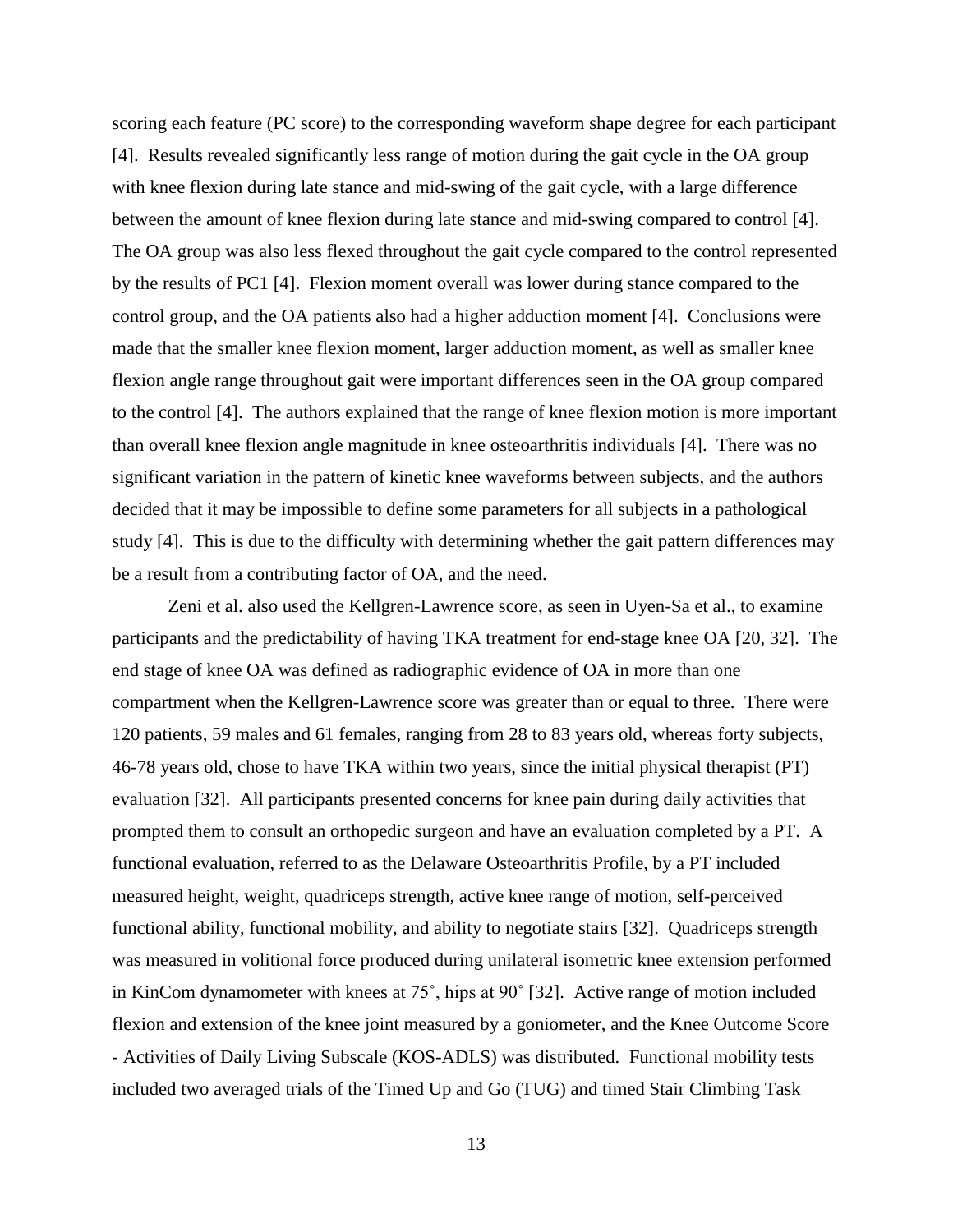scoring each feature (PC score) to the corresponding waveform shape degree for each participant [4]. Results revealed significantly less range of motion during the gait cycle in the OA group with knee flexion during late stance and mid-swing of the gait cycle, with a large difference between the amount of knee flexion during late stance and mid-swing compared to control [4]. The OA group was also less flexed throughout the gait cycle compared to the control represented by the results of PC1 [4]. Flexion moment overall was lower during stance compared to the control group, and the OA patients also had a higher adduction moment [4]. Conclusions were made that the smaller knee flexion moment, larger adduction moment, as well as smaller knee flexion angle range throughout gait were important differences seen in the OA group compared to the control [4]. The authors explained that the range of knee flexion motion is more important than overall knee flexion angle magnitude in knee osteoarthritis individuals [4]. There was no significant variation in the pattern of kinetic knee waveforms between subjects, and the authors decided that it may be impossible to define some parameters for all subjects in a pathological study [4]. This is due to the difficulty with determining whether the gait pattern differences may be a result from a contributing factor of OA, and the need.

Zeni et al. also used the Kellgren-Lawrence score, as seen in Uyen-Sa et al., to examine participants and the predictability of having TKA treatment for end-stage knee OA [20, 32]. The end stage of knee OA was defined as radiographic evidence of OA in more than one compartment when the Kellgren-Lawrence score was greater than or equal to three. There were 120 patients, 59 males and 61 females, ranging from 28 to 83 years old, whereas forty subjects, 46-78 years old, chose to have TKA within two years, since the initial physical therapist (PT) evaluation [32]. All participants presented concerns for knee pain during daily activities that prompted them to consult an orthopedic surgeon and have an evaluation completed by a PT. A functional evaluation, referred to as the Delaware Osteoarthritis Profile, by a PT included measured height, weight, quadriceps strength, active knee range of motion, self-perceived functional ability, functional mobility, and ability to negotiate stairs [32]. Quadriceps strength was measured in volitional force produced during unilateral isometric knee extension performed in KinCom dynamometer with knees at 75˚, hips at 90˚ [32]. Active range of motion included flexion and extension of the knee joint measured by a goniometer, and the Knee Outcome Score - Activities of Daily Living Subscale (KOS-ADLS) was distributed. Functional mobility tests included two averaged trials of the Timed Up and Go (TUG) and timed Stair Climbing Task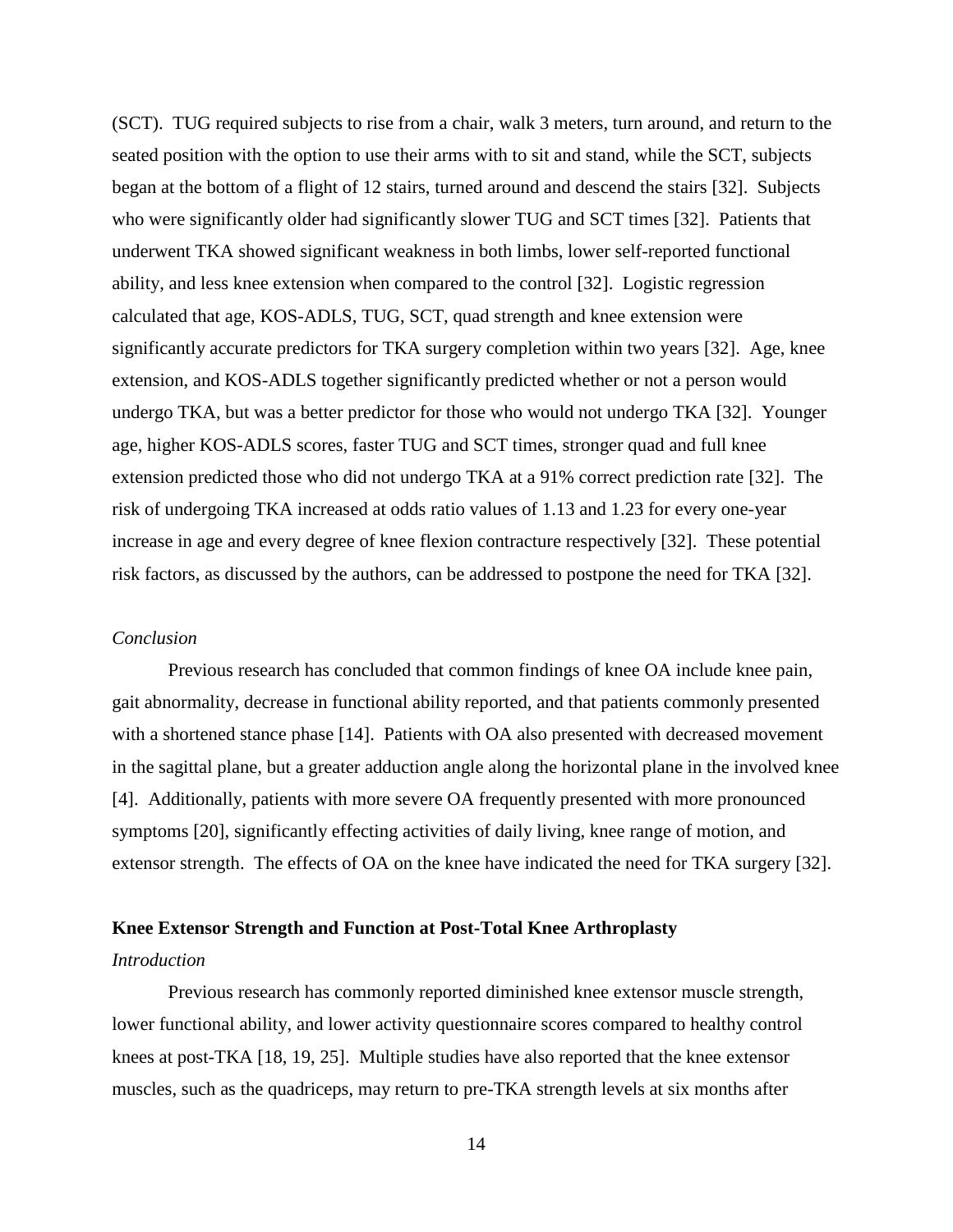(SCT). TUG required subjects to rise from a chair, walk 3 meters, turn around, and return to the seated position with the option to use their arms with to sit and stand, while the SCT, subjects began at the bottom of a flight of 12 stairs, turned around and descend the stairs [32]. Subjects who were significantly older had significantly slower TUG and SCT times [32]. Patients that underwent TKA showed significant weakness in both limbs, lower self-reported functional ability, and less knee extension when compared to the control [32]. Logistic regression calculated that age, KOS-ADLS, TUG, SCT, quad strength and knee extension were significantly accurate predictors for TKA surgery completion within two years [32]. Age, knee extension, and KOS-ADLS together significantly predicted whether or not a person would undergo TKA, but was a better predictor for those who would not undergo TKA [32]. Younger age, higher KOS-ADLS scores, faster TUG and SCT times, stronger quad and full knee extension predicted those who did not undergo TKA at a 91% correct prediction rate [32]. The risk of undergoing TKA increased at odds ratio values of 1.13 and 1.23 for every one-year increase in age and every degree of knee flexion contracture respectively [32]. These potential risk factors, as discussed by the authors, can be addressed to postpone the need for TKA [32].

#### *Conclusion*

Previous research has concluded that common findings of knee OA include knee pain, gait abnormality, decrease in functional ability reported, and that patients commonly presented with a shortened stance phase [14]. Patients with OA also presented with decreased movement in the sagittal plane, but a greater adduction angle along the horizontal plane in the involved knee [4]. Additionally, patients with more severe OA frequently presented with more pronounced symptoms [20], significantly effecting activities of daily living, knee range of motion, and extensor strength. The effects of OA on the knee have indicated the need for TKA surgery [32].

### **Knee Extensor Strength and Function at Post-Total Knee Arthroplasty**

## *Introduction*

Previous research has commonly reported diminished knee extensor muscle strength, lower functional ability, and lower activity questionnaire scores compared to healthy control knees at post-TKA [18, 19, 25]. Multiple studies have also reported that the knee extensor muscles, such as the quadriceps, may return to pre-TKA strength levels at six months after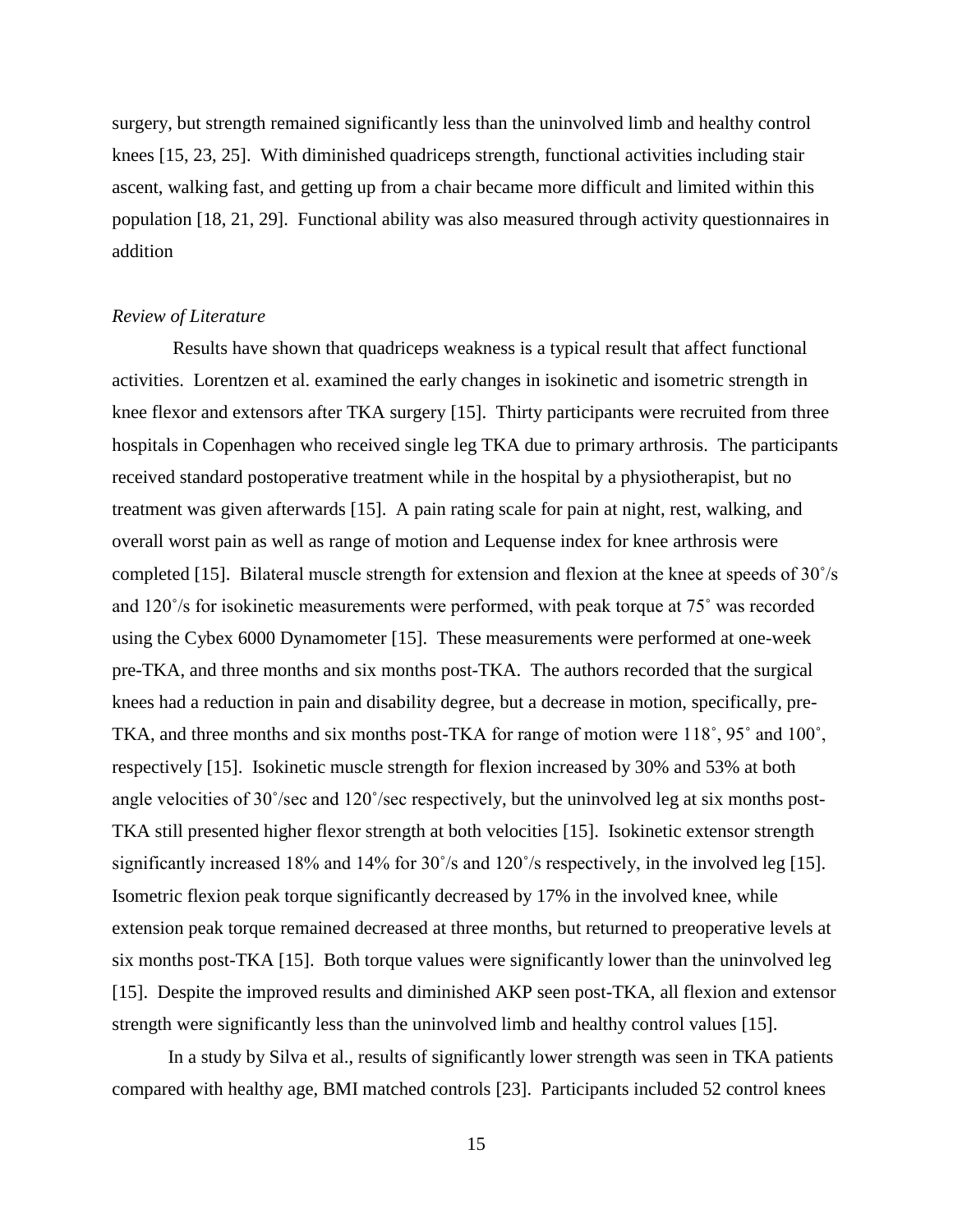surgery, but strength remained significantly less than the uninvolved limb and healthy control knees [15, 23, 25]. With diminished quadriceps strength, functional activities including stair ascent, walking fast, and getting up from a chair became more difficult and limited within this population [18, 21, 29]. Functional ability was also measured through activity questionnaires in addition

#### *Review of Literature*

Results have shown that quadriceps weakness is a typical result that affect functional activities. Lorentzen et al. examined the early changes in isokinetic and isometric strength in knee flexor and extensors after TKA surgery [15]. Thirty participants were recruited from three hospitals in Copenhagen who received single leg TKA due to primary arthrosis. The participants received standard postoperative treatment while in the hospital by a physiotherapist, but no treatment was given afterwards [15]. A pain rating scale for pain at night, rest, walking, and overall worst pain as well as range of motion and Lequense index for knee arthrosis were completed [15]. Bilateral muscle strength for extension and flexion at the knee at speeds of 30˚/s and 120˚/s for isokinetic measurements were performed, with peak torque at 75˚ was recorded using the Cybex 6000 Dynamometer [15]. These measurements were performed at one-week pre-TKA, and three months and six months post-TKA. The authors recorded that the surgical knees had a reduction in pain and disability degree, but a decrease in motion, specifically, pre-TKA, and three months and six months post-TKA for range of motion were 118˚, 95˚ and 100˚, respectively [15]. Isokinetic muscle strength for flexion increased by 30% and 53% at both angle velocities of 30˚/sec and 120˚/sec respectively, but the uninvolved leg at six months post-TKA still presented higher flexor strength at both velocities [15]. Isokinetic extensor strength significantly increased 18% and 14% for 30˚/s and 120˚/s respectively, in the involved leg [15]. Isometric flexion peak torque significantly decreased by 17% in the involved knee, while extension peak torque remained decreased at three months, but returned to preoperative levels at six months post-TKA [15]. Both torque values were significantly lower than the uninvolved leg [15]. Despite the improved results and diminished AKP seen post-TKA, all flexion and extensor strength were significantly less than the uninvolved limb and healthy control values [15].

In a study by Silva et al., results of significantly lower strength was seen in TKA patients compared with healthy age, BMI matched controls [23]. Participants included 52 control knees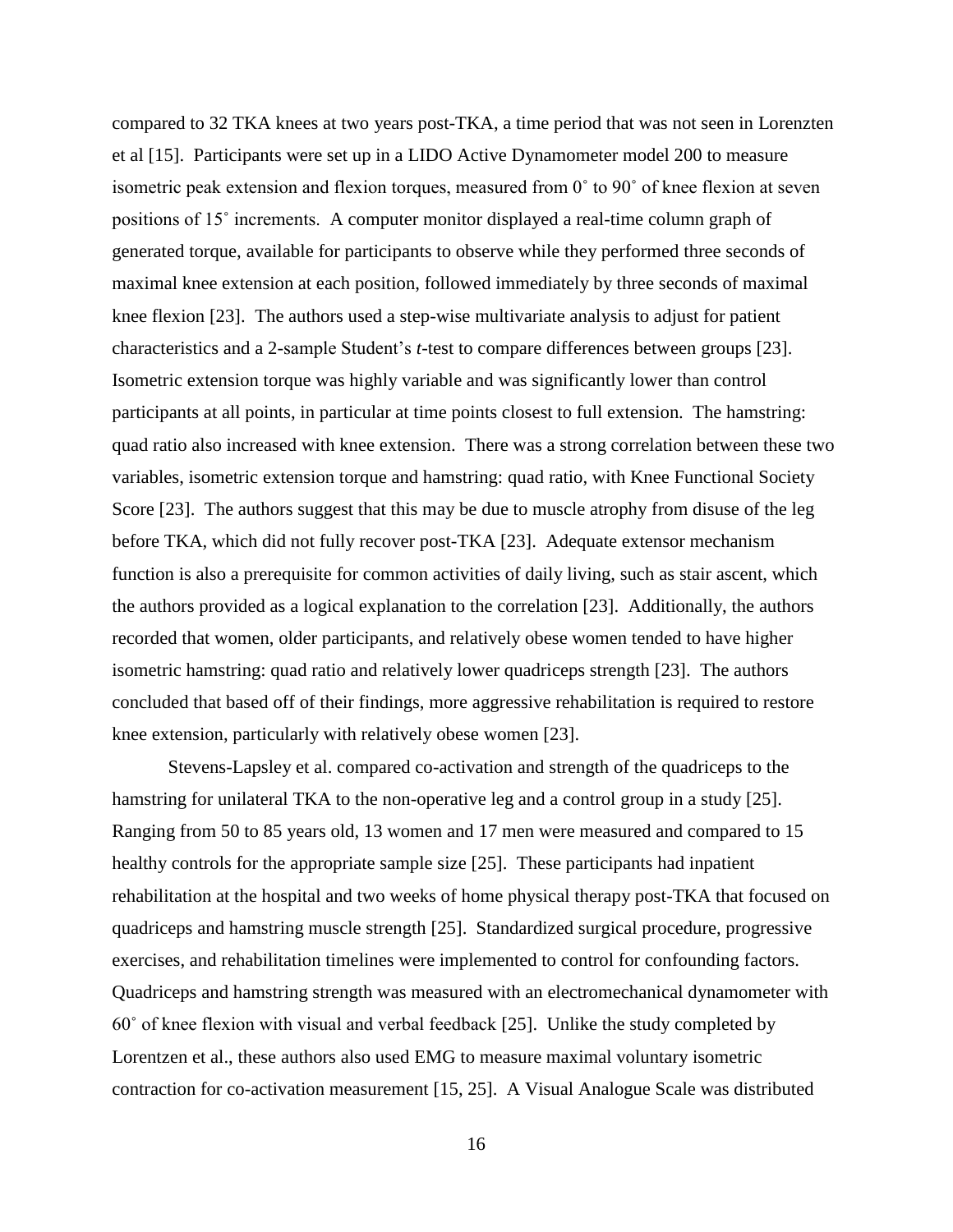compared to 32 TKA knees at two years post-TKA, a time period that was not seen in Lorenzten et al [15]. Participants were set up in a LIDO Active Dynamometer model 200 to measure isometric peak extension and flexion torques, measured from 0˚ to 90˚ of knee flexion at seven positions of 15˚ increments. A computer monitor displayed a real-time column graph of generated torque, available for participants to observe while they performed three seconds of maximal knee extension at each position, followed immediately by three seconds of maximal knee flexion [23]. The authors used a step-wise multivariate analysis to adjust for patient characteristics and a 2-sample Student's *t*-test to compare differences between groups [23]. Isometric extension torque was highly variable and was significantly lower than control participants at all points, in particular at time points closest to full extension. The hamstring: quad ratio also increased with knee extension. There was a strong correlation between these two variables, isometric extension torque and hamstring: quad ratio, with Knee Functional Society Score [23]. The authors suggest that this may be due to muscle atrophy from disuse of the leg before TKA, which did not fully recover post-TKA [23]. Adequate extensor mechanism function is also a prerequisite for common activities of daily living, such as stair ascent, which the authors provided as a logical explanation to the correlation [23]. Additionally, the authors recorded that women, older participants, and relatively obese women tended to have higher isometric hamstring: quad ratio and relatively lower quadriceps strength [23]. The authors concluded that based off of their findings, more aggressive rehabilitation is required to restore knee extension, particularly with relatively obese women [23].

Stevens-Lapsley et al. compared co-activation and strength of the quadriceps to the hamstring for unilateral TKA to the non-operative leg and a control group in a study [25]. Ranging from 50 to 85 years old, 13 women and 17 men were measured and compared to 15 healthy controls for the appropriate sample size [25]. These participants had inpatient rehabilitation at the hospital and two weeks of home physical therapy post-TKA that focused on quadriceps and hamstring muscle strength [25]. Standardized surgical procedure, progressive exercises, and rehabilitation timelines were implemented to control for confounding factors. Quadriceps and hamstring strength was measured with an electromechanical dynamometer with 60˚ of knee flexion with visual and verbal feedback [25]. Unlike the study completed by Lorentzen et al., these authors also used EMG to measure maximal voluntary isometric contraction for co-activation measurement [15, 25]. A Visual Analogue Scale was distributed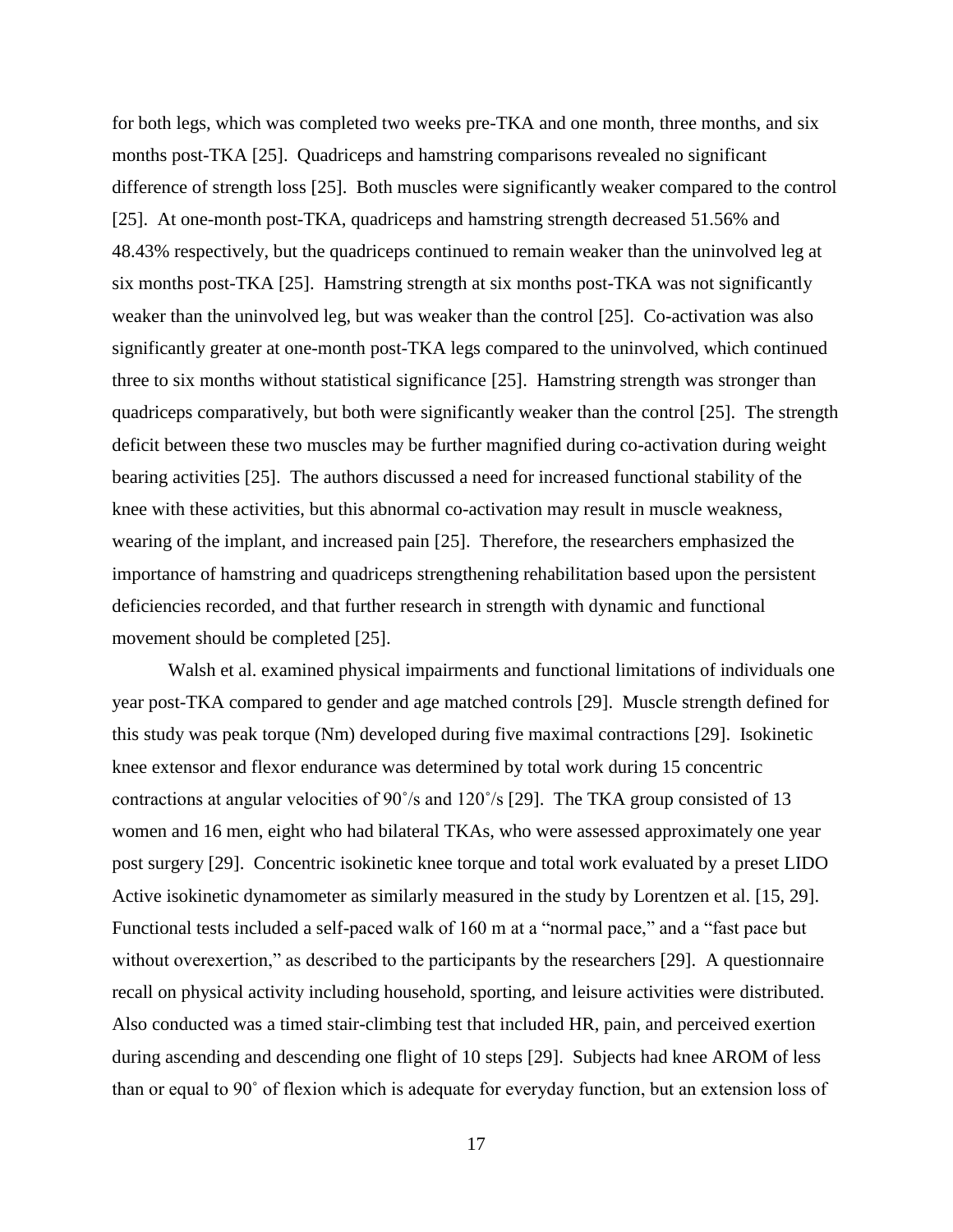for both legs, which was completed two weeks pre-TKA and one month, three months, and six months post-TKA [25]. Quadriceps and hamstring comparisons revealed no significant difference of strength loss [25]. Both muscles were significantly weaker compared to the control [25]. At one-month post-TKA, quadriceps and hamstring strength decreased 51.56% and 48.43% respectively, but the quadriceps continued to remain weaker than the uninvolved leg at six months post-TKA [25]. Hamstring strength at six months post-TKA was not significantly weaker than the uninvolved leg, but was weaker than the control [25]. Co-activation was also significantly greater at one-month post-TKA legs compared to the uninvolved, which continued three to six months without statistical significance [25]. Hamstring strength was stronger than quadriceps comparatively, but both were significantly weaker than the control [25]. The strength deficit between these two muscles may be further magnified during co-activation during weight bearing activities [25]. The authors discussed a need for increased functional stability of the knee with these activities, but this abnormal co-activation may result in muscle weakness, wearing of the implant, and increased pain [25]. Therefore, the researchers emphasized the importance of hamstring and quadriceps strengthening rehabilitation based upon the persistent deficiencies recorded, and that further research in strength with dynamic and functional movement should be completed [25].

Walsh et al. examined physical impairments and functional limitations of individuals one year post-TKA compared to gender and age matched controls [29]. Muscle strength defined for this study was peak torque (Nm) developed during five maximal contractions [29]. Isokinetic knee extensor and flexor endurance was determined by total work during 15 concentric contractions at angular velocities of 90˚/s and 120˚/s [29]. The TKA group consisted of 13 women and 16 men, eight who had bilateral TKAs, who were assessed approximately one year post surgery [29]. Concentric isokinetic knee torque and total work evaluated by a preset LIDO Active isokinetic dynamometer as similarly measured in the study by Lorentzen et al. [15, 29]. Functional tests included a self-paced walk of 160 m at a "normal pace," and a "fast pace but without overexertion," as described to the participants by the researchers [29]. A questionnaire recall on physical activity including household, sporting, and leisure activities were distributed. Also conducted was a timed stair-climbing test that included HR, pain, and perceived exertion during ascending and descending one flight of 10 steps [29]. Subjects had knee AROM of less than or equal to 90˚ of flexion which is adequate for everyday function, but an extension loss of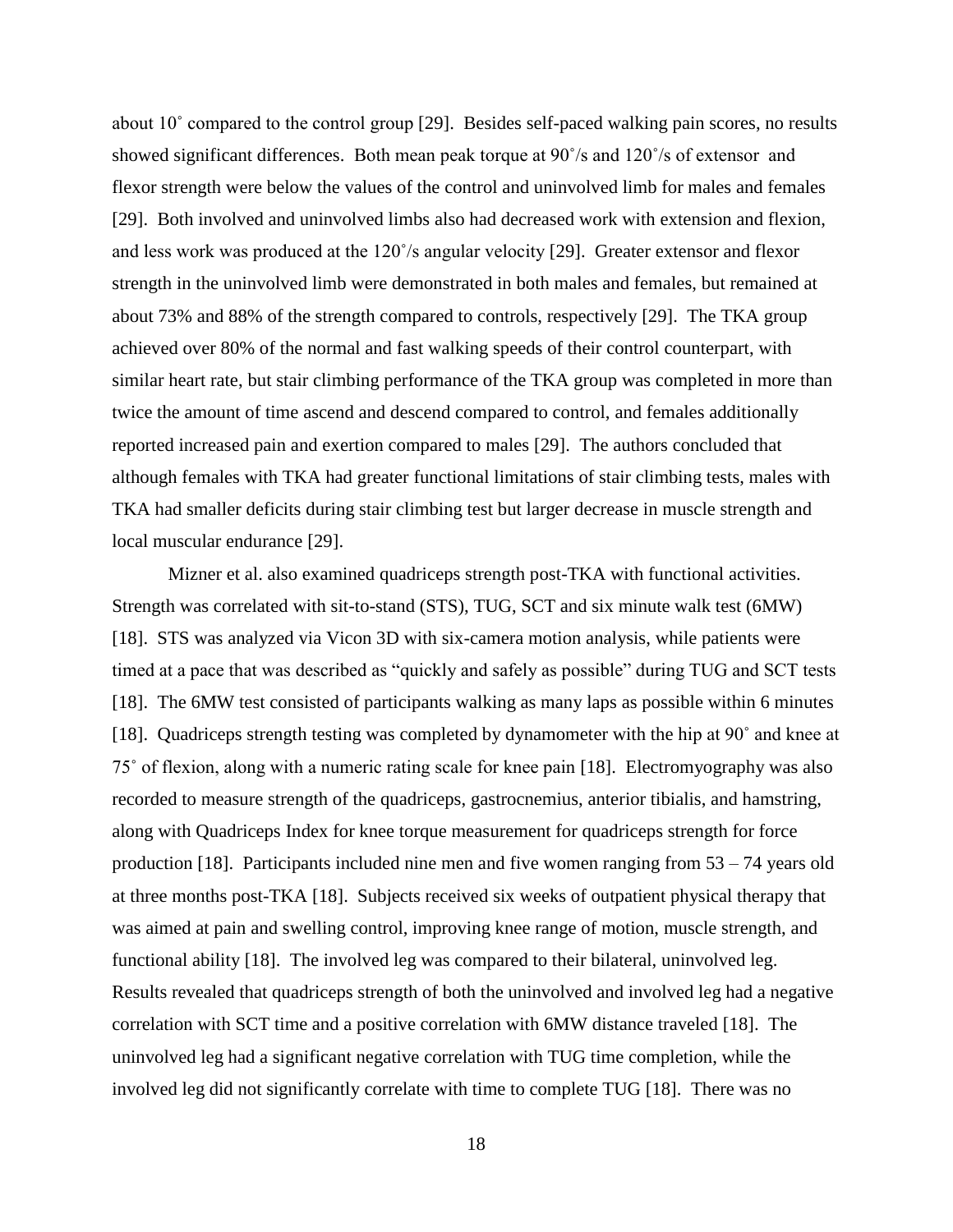about 10˚ compared to the control group [29]. Besides self-paced walking pain scores, no results showed significant differences. Both mean peak torque at 90˚/s and 120˚/s of extensor and flexor strength were below the values of the control and uninvolved limb for males and females [29]. Both involved and uninvolved limbs also had decreased work with extension and flexion, and less work was produced at the 120˚/s angular velocity [29]. Greater extensor and flexor strength in the uninvolved limb were demonstrated in both males and females, but remained at about 73% and 88% of the strength compared to controls, respectively [29]. The TKA group achieved over 80% of the normal and fast walking speeds of their control counterpart, with similar heart rate, but stair climbing performance of the TKA group was completed in more than twice the amount of time ascend and descend compared to control, and females additionally reported increased pain and exertion compared to males [29]. The authors concluded that although females with TKA had greater functional limitations of stair climbing tests, males with TKA had smaller deficits during stair climbing test but larger decrease in muscle strength and local muscular endurance [29].

Mizner et al. also examined quadriceps strength post-TKA with functional activities. Strength was correlated with sit-to-stand (STS), TUG, SCT and six minute walk test (6MW) [18]. STS was analyzed via Vicon 3D with six-camera motion analysis, while patients were timed at a pace that was described as "quickly and safely as possible" during TUG and SCT tests [18]. The 6MW test consisted of participants walking as many laps as possible within 6 minutes [18]. Quadriceps strength testing was completed by dynamometer with the hip at 90˚ and knee at 75˚ of flexion, along with a numeric rating scale for knee pain [18]. Electromyography was also recorded to measure strength of the quadriceps, gastrocnemius, anterior tibialis, and hamstring, along with Quadriceps Index for knee torque measurement for quadriceps strength for force production [18]. Participants included nine men and five women ranging from 53 – 74 years old at three months post-TKA [18]. Subjects received six weeks of outpatient physical therapy that was aimed at pain and swelling control, improving knee range of motion, muscle strength, and functional ability [18]. The involved leg was compared to their bilateral, uninvolved leg. Results revealed that quadriceps strength of both the uninvolved and involved leg had a negative correlation with SCT time and a positive correlation with 6MW distance traveled [18]. The uninvolved leg had a significant negative correlation with TUG time completion, while the involved leg did not significantly correlate with time to complete TUG [18]. There was no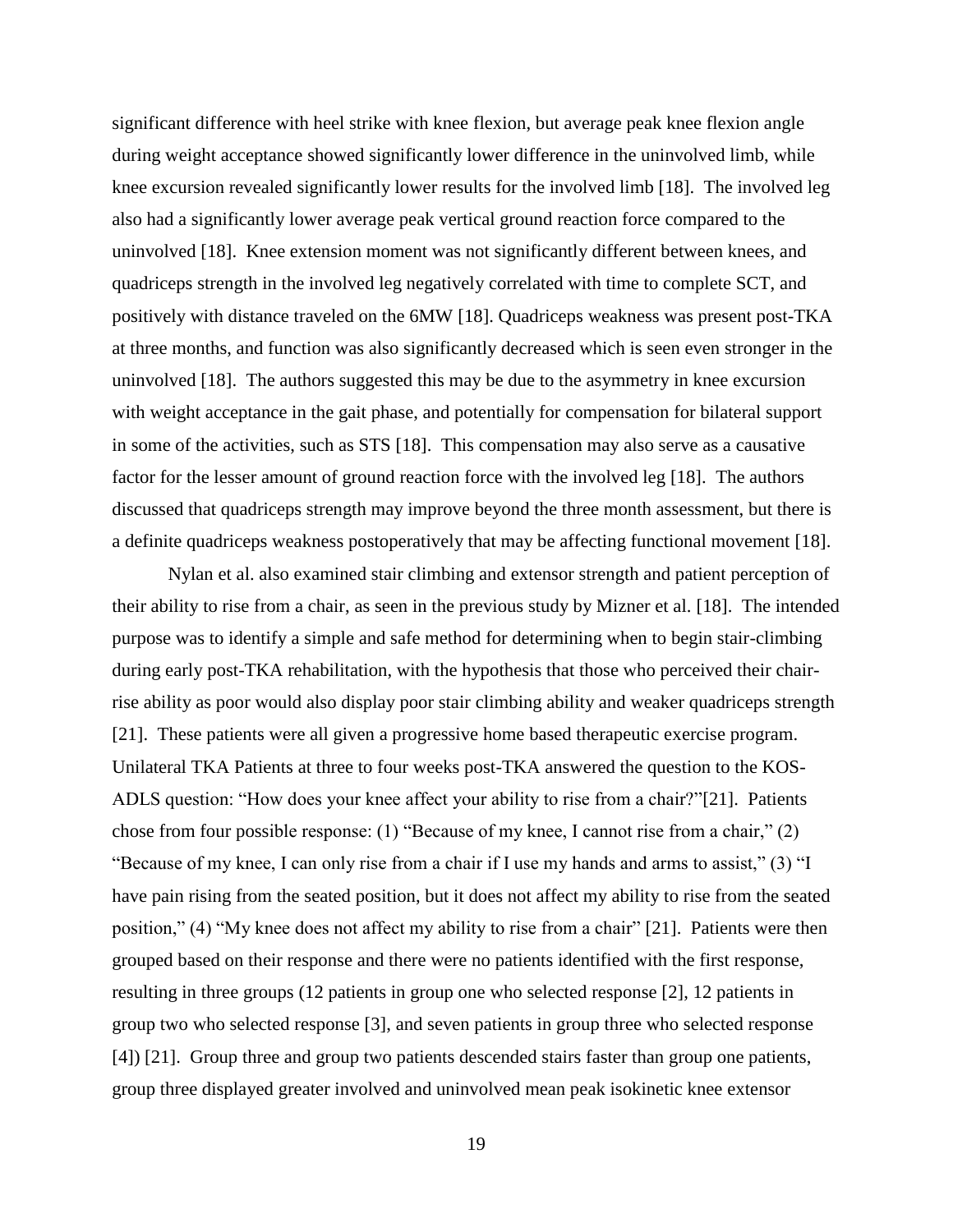significant difference with heel strike with knee flexion, but average peak knee flexion angle during weight acceptance showed significantly lower difference in the uninvolved limb, while knee excursion revealed significantly lower results for the involved limb [18]. The involved leg also had a significantly lower average peak vertical ground reaction force compared to the uninvolved [18]. Knee extension moment was not significantly different between knees, and quadriceps strength in the involved leg negatively correlated with time to complete SCT, and positively with distance traveled on the 6MW [18]. Quadriceps weakness was present post-TKA at three months, and function was also significantly decreased which is seen even stronger in the uninvolved [18]. The authors suggested this may be due to the asymmetry in knee excursion with weight acceptance in the gait phase, and potentially for compensation for bilateral support in some of the activities, such as STS [18]. This compensation may also serve as a causative factor for the lesser amount of ground reaction force with the involved leg [18]. The authors discussed that quadriceps strength may improve beyond the three month assessment, but there is a definite quadriceps weakness postoperatively that may be affecting functional movement [18].

Nylan et al. also examined stair climbing and extensor strength and patient perception of their ability to rise from a chair, as seen in the previous study by Mizner et al. [18]. The intended purpose was to identify a simple and safe method for determining when to begin stair-climbing during early post-TKA rehabilitation, with the hypothesis that those who perceived their chairrise ability as poor would also display poor stair climbing ability and weaker quadriceps strength [21]. These patients were all given a progressive home based therapeutic exercise program. Unilateral TKA Patients at three to four weeks post-TKA answered the question to the KOS-ADLS question: "How does your knee affect your ability to rise from a chair?"[21]. Patients chose from four possible response: (1) "Because of my knee, I cannot rise from a chair," (2) "Because of my knee, I can only rise from a chair if I use my hands and arms to assist," (3) "I have pain rising from the seated position, but it does not affect my ability to rise from the seated position," (4) "My knee does not affect my ability to rise from a chair" [21]. Patients were then grouped based on their response and there were no patients identified with the first response, resulting in three groups (12 patients in group one who selected response [2], 12 patients in group two who selected response [3], and seven patients in group three who selected response [4]) [21]. Group three and group two patients descended stairs faster than group one patients, group three displayed greater involved and uninvolved mean peak isokinetic knee extensor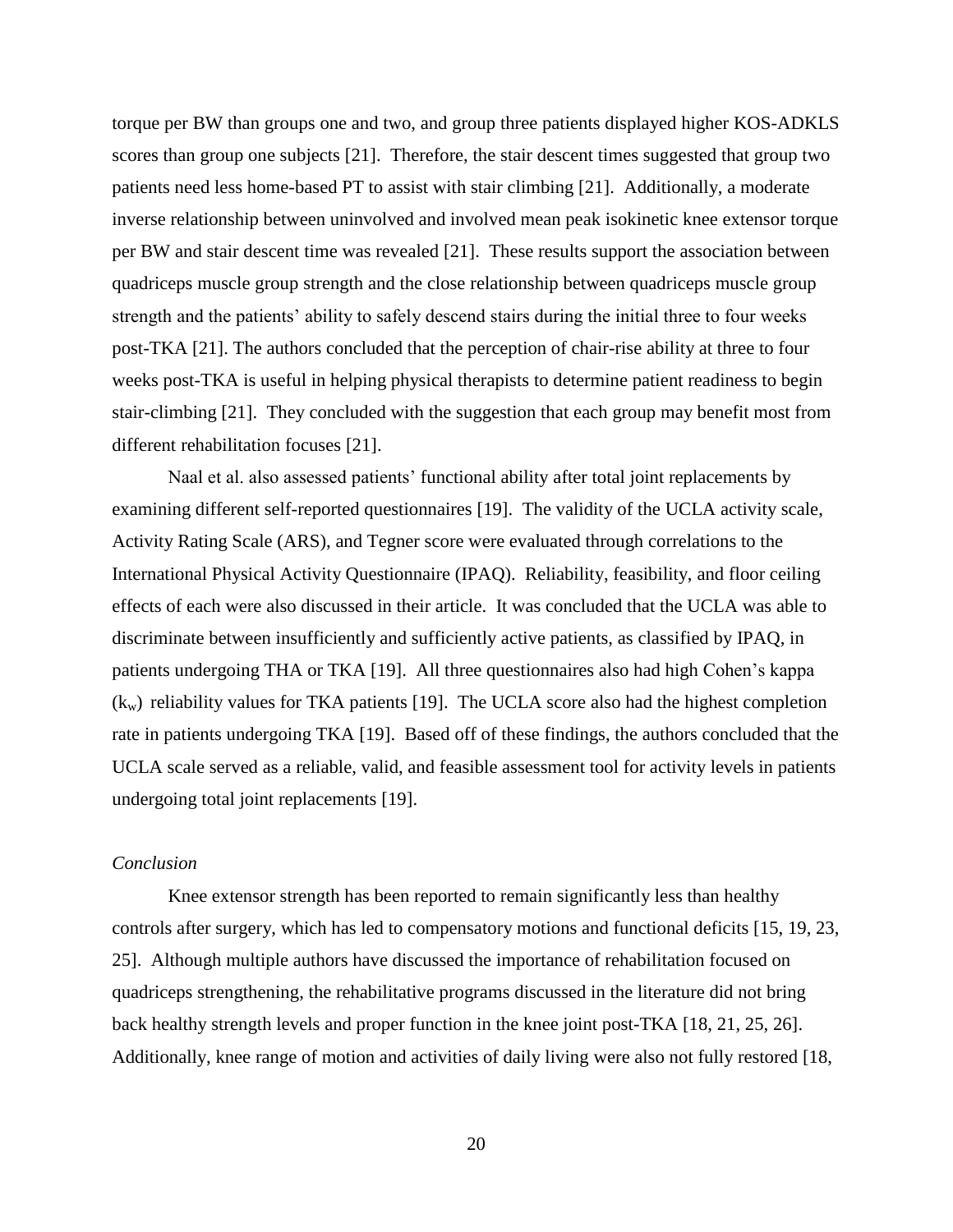torque per BW than groups one and two, and group three patients displayed higher KOS-ADKLS scores than group one subjects [21]. Therefore, the stair descent times suggested that group two patients need less home-based PT to assist with stair climbing [21]. Additionally, a moderate inverse relationship between uninvolved and involved mean peak isokinetic knee extensor torque per BW and stair descent time was revealed [21]. These results support the association between quadriceps muscle group strength and the close relationship between quadriceps muscle group strength and the patients' ability to safely descend stairs during the initial three to four weeks post-TKA [21]. The authors concluded that the perception of chair-rise ability at three to four weeks post-TKA is useful in helping physical therapists to determine patient readiness to begin stair-climbing [21]. They concluded with the suggestion that each group may benefit most from different rehabilitation focuses [21].

Naal et al. also assessed patients' functional ability after total joint replacements by examining different self-reported questionnaires [19]. The validity of the UCLA activity scale, Activity Rating Scale (ARS), and Tegner score were evaluated through correlations to the International Physical Activity Questionnaire (IPAQ). Reliability, feasibility, and floor ceiling effects of each were also discussed in their article. It was concluded that the UCLA was able to discriminate between insufficiently and sufficiently active patients, as classified by IPAQ, in patients undergoing THA or TKA [19]. All three questionnaires also had high Cohen's kappa  $(k_w)$  reliability values for TKA patients [19]. The UCLA score also had the highest completion rate in patients undergoing TKA [19]. Based off of these findings, the authors concluded that the UCLA scale served as a reliable, valid, and feasible assessment tool for activity levels in patients undergoing total joint replacements [19].

## *Conclusion*

Knee extensor strength has been reported to remain significantly less than healthy controls after surgery, which has led to compensatory motions and functional deficits [15, 19, 23, 25]. Although multiple authors have discussed the importance of rehabilitation focused on quadriceps strengthening, the rehabilitative programs discussed in the literature did not bring back healthy strength levels and proper function in the knee joint post-TKA [18, 21, 25, 26]. Additionally, knee range of motion and activities of daily living were also not fully restored [18,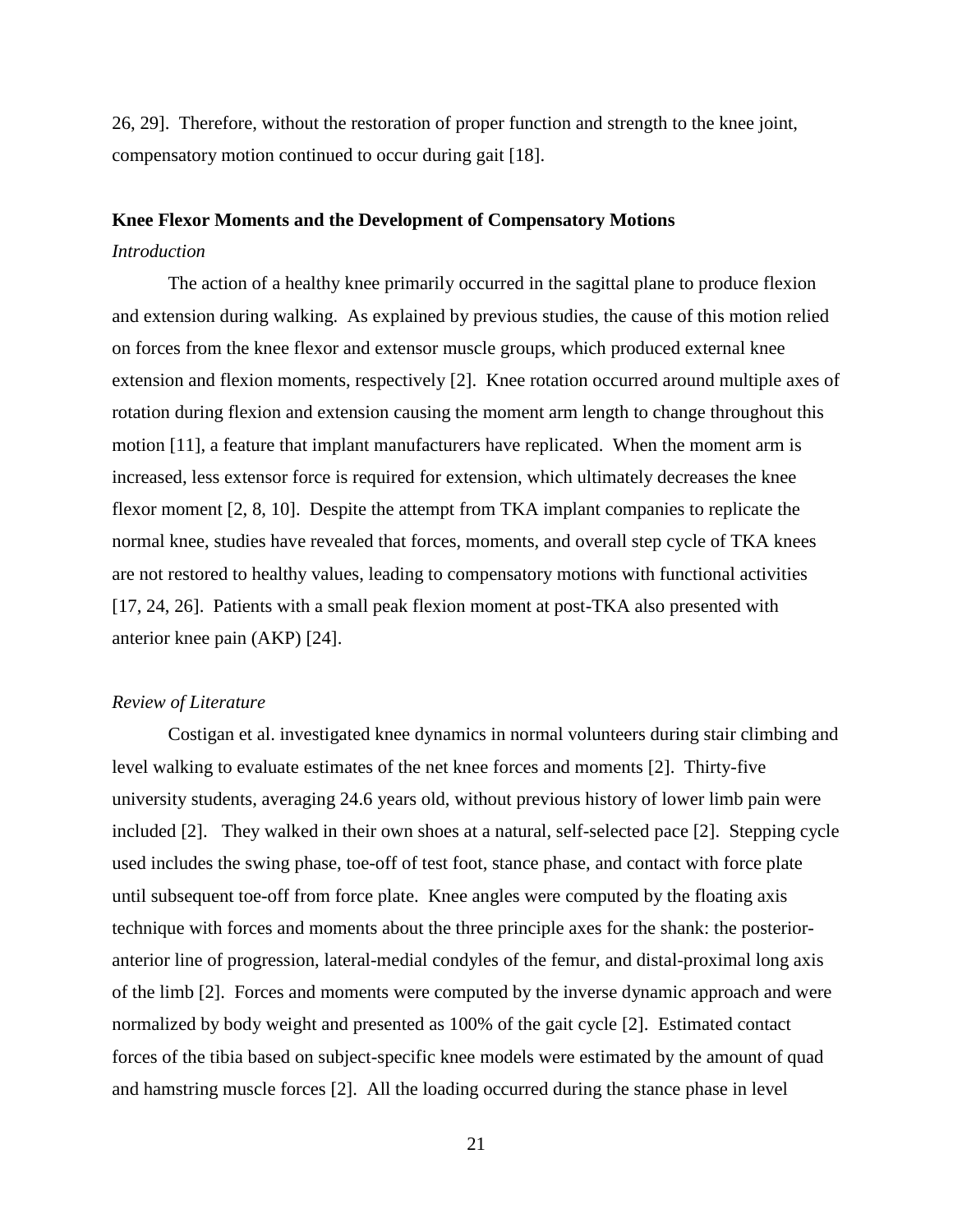26, 29]. Therefore, without the restoration of proper function and strength to the knee joint, compensatory motion continued to occur during gait [18].

#### **Knee Flexor Moments and the Development of Compensatory Motions**

### *Introduction*

The action of a healthy knee primarily occurred in the sagittal plane to produce flexion and extension during walking. As explained by previous studies, the cause of this motion relied on forces from the knee flexor and extensor muscle groups, which produced external knee extension and flexion moments, respectively [2]. Knee rotation occurred around multiple axes of rotation during flexion and extension causing the moment arm length to change throughout this motion [11], a feature that implant manufacturers have replicated. When the moment arm is increased, less extensor force is required for extension, which ultimately decreases the knee flexor moment [2, 8, 10]. Despite the attempt from TKA implant companies to replicate the normal knee, studies have revealed that forces, moments, and overall step cycle of TKA knees are not restored to healthy values, leading to compensatory motions with functional activities [17, 24, 26]. Patients with a small peak flexion moment at post-TKA also presented with anterior knee pain (AKP) [24].

### *Review of Literature*

Costigan et al. investigated knee dynamics in normal volunteers during stair climbing and level walking to evaluate estimates of the net knee forces and moments [2]. Thirty-five university students, averaging 24.6 years old, without previous history of lower limb pain were included [2]. They walked in their own shoes at a natural, self-selected pace [2]. Stepping cycle used includes the swing phase, toe-off of test foot, stance phase, and contact with force plate until subsequent toe-off from force plate. Knee angles were computed by the floating axis technique with forces and moments about the three principle axes for the shank: the posterioranterior line of progression, lateral-medial condyles of the femur, and distal-proximal long axis of the limb [2]. Forces and moments were computed by the inverse dynamic approach and were normalized by body weight and presented as 100% of the gait cycle [2]. Estimated contact forces of the tibia based on subject-specific knee models were estimated by the amount of quad and hamstring muscle forces [2]. All the loading occurred during the stance phase in level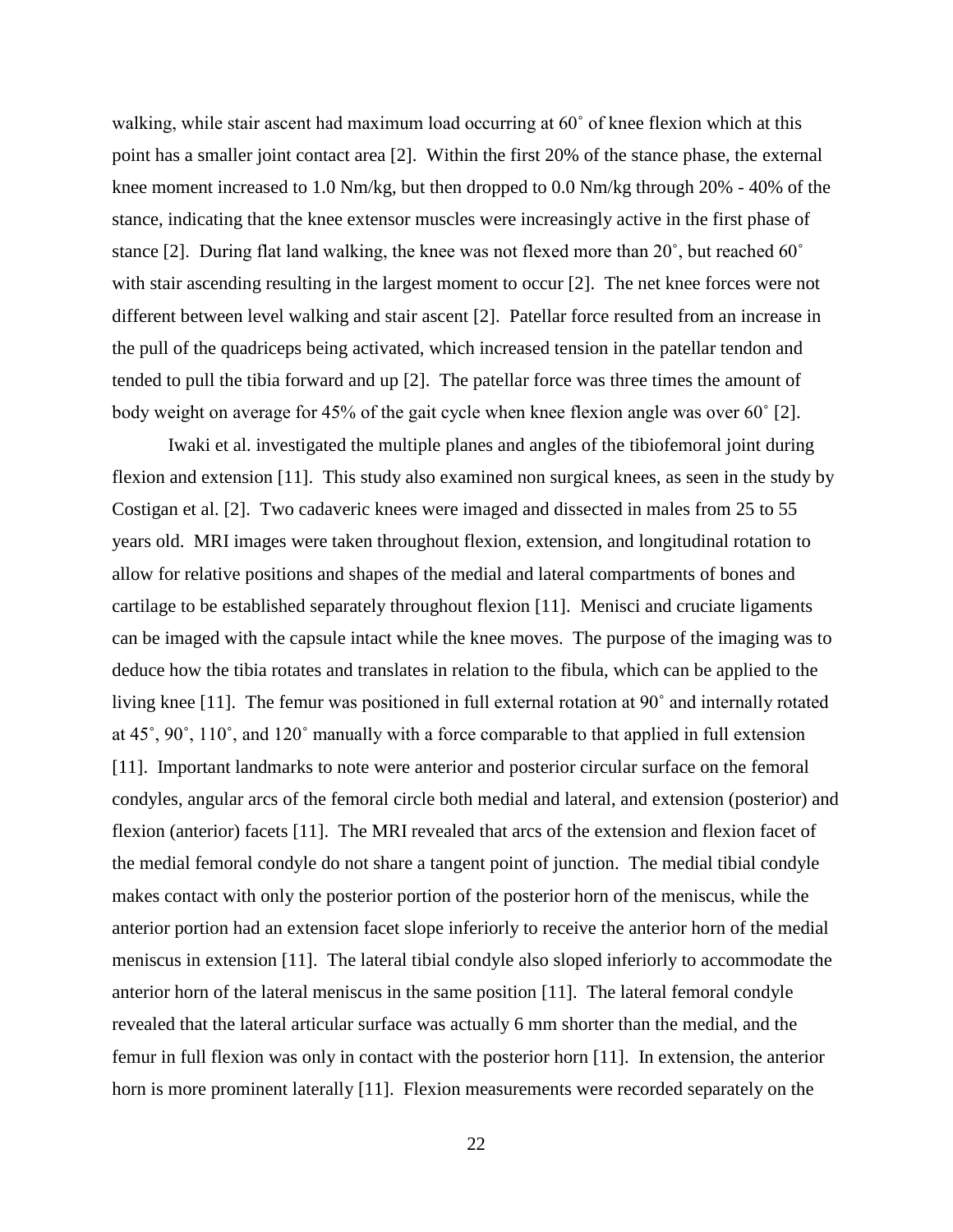walking, while stair ascent had maximum load occurring at 60° of knee flexion which at this point has a smaller joint contact area [2]. Within the first 20% of the stance phase, the external knee moment increased to 1.0 Nm/kg, but then dropped to 0.0 Nm/kg through 20% - 40% of the stance, indicating that the knee extensor muscles were increasingly active in the first phase of stance [2]. During flat land walking, the knee was not flexed more than 20˚, but reached 60˚ with stair ascending resulting in the largest moment to occur [2]. The net knee forces were not different between level walking and stair ascent [2]. Patellar force resulted from an increase in the pull of the quadriceps being activated, which increased tension in the patellar tendon and tended to pull the tibia forward and up [2]. The patellar force was three times the amount of body weight on average for 45% of the gait cycle when knee flexion angle was over 60˚ [2].

Iwaki et al. investigated the multiple planes and angles of the tibiofemoral joint during flexion and extension [11]. This study also examined non surgical knees, as seen in the study by Costigan et al. [2]. Two cadaveric knees were imaged and dissected in males from 25 to 55 years old. MRI images were taken throughout flexion, extension, and longitudinal rotation to allow for relative positions and shapes of the medial and lateral compartments of bones and cartilage to be established separately throughout flexion [11]. Menisci and cruciate ligaments can be imaged with the capsule intact while the knee moves. The purpose of the imaging was to deduce how the tibia rotates and translates in relation to the fibula, which can be applied to the living knee [11]. The femur was positioned in full external rotation at 90˚ and internally rotated at 45˚, 90˚, 110˚, and 120˚ manually with a force comparable to that applied in full extension [11]. Important landmarks to note were anterior and posterior circular surface on the femoral condyles, angular arcs of the femoral circle both medial and lateral, and extension (posterior) and flexion (anterior) facets [11]. The MRI revealed that arcs of the extension and flexion facet of the medial femoral condyle do not share a tangent point of junction. The medial tibial condyle makes contact with only the posterior portion of the posterior horn of the meniscus, while the anterior portion had an extension facet slope inferiorly to receive the anterior horn of the medial meniscus in extension [11]. The lateral tibial condyle also sloped inferiorly to accommodate the anterior horn of the lateral meniscus in the same position [11]. The lateral femoral condyle revealed that the lateral articular surface was actually 6 mm shorter than the medial, and the femur in full flexion was only in contact with the posterior horn [11]. In extension, the anterior horn is more prominent laterally [11]. Flexion measurements were recorded separately on the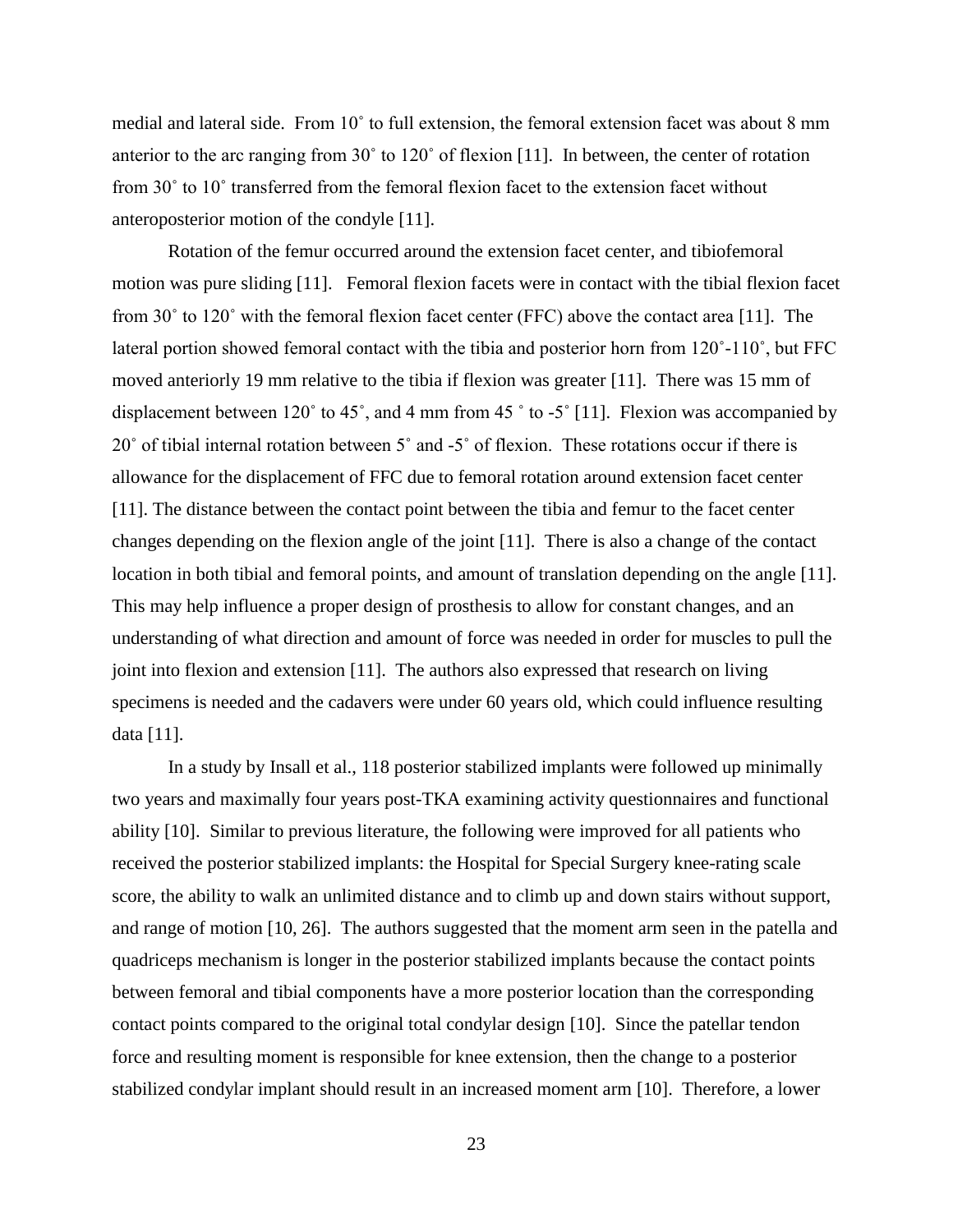medial and lateral side. From 10˚ to full extension, the femoral extension facet was about 8 mm anterior to the arc ranging from 30˚ to 120˚ of flexion [11]. In between, the center of rotation from 30˚ to 10˚ transferred from the femoral flexion facet to the extension facet without anteroposterior motion of the condyle [11].

Rotation of the femur occurred around the extension facet center, and tibiofemoral motion was pure sliding [11]. Femoral flexion facets were in contact with the tibial flexion facet from 30˚ to 120˚ with the femoral flexion facet center (FFC) above the contact area [11]. The lateral portion showed femoral contact with the tibia and posterior horn from 120˚-110˚, but FFC moved anteriorly 19 mm relative to the tibia if flexion was greater [11]. There was 15 mm of displacement between 120˚ to 45˚, and 4 mm from 45 ˚ to -5˚ [11]. Flexion was accompanied by 20˚ of tibial internal rotation between 5˚ and -5˚ of flexion. These rotations occur if there is allowance for the displacement of FFC due to femoral rotation around extension facet center [11]. The distance between the contact point between the tibia and femur to the facet center changes depending on the flexion angle of the joint [11]. There is also a change of the contact location in both tibial and femoral points, and amount of translation depending on the angle [11]. This may help influence a proper design of prosthesis to allow for constant changes, and an understanding of what direction and amount of force was needed in order for muscles to pull the joint into flexion and extension [11]. The authors also expressed that research on living specimens is needed and the cadavers were under 60 years old, which could influence resulting data [11].

In a study by Insall et al., 118 posterior stabilized implants were followed up minimally two years and maximally four years post-TKA examining activity questionnaires and functional ability [10]. Similar to previous literature, the following were improved for all patients who received the posterior stabilized implants: the Hospital for Special Surgery knee-rating scale score, the ability to walk an unlimited distance and to climb up and down stairs without support, and range of motion [10, 26]. The authors suggested that the moment arm seen in the patella and quadriceps mechanism is longer in the posterior stabilized implants because the contact points between femoral and tibial components have a more posterior location than the corresponding contact points compared to the original total condylar design [10]. Since the patellar tendon force and resulting moment is responsible for knee extension, then the change to a posterior stabilized condylar implant should result in an increased moment arm [10]. Therefore, a lower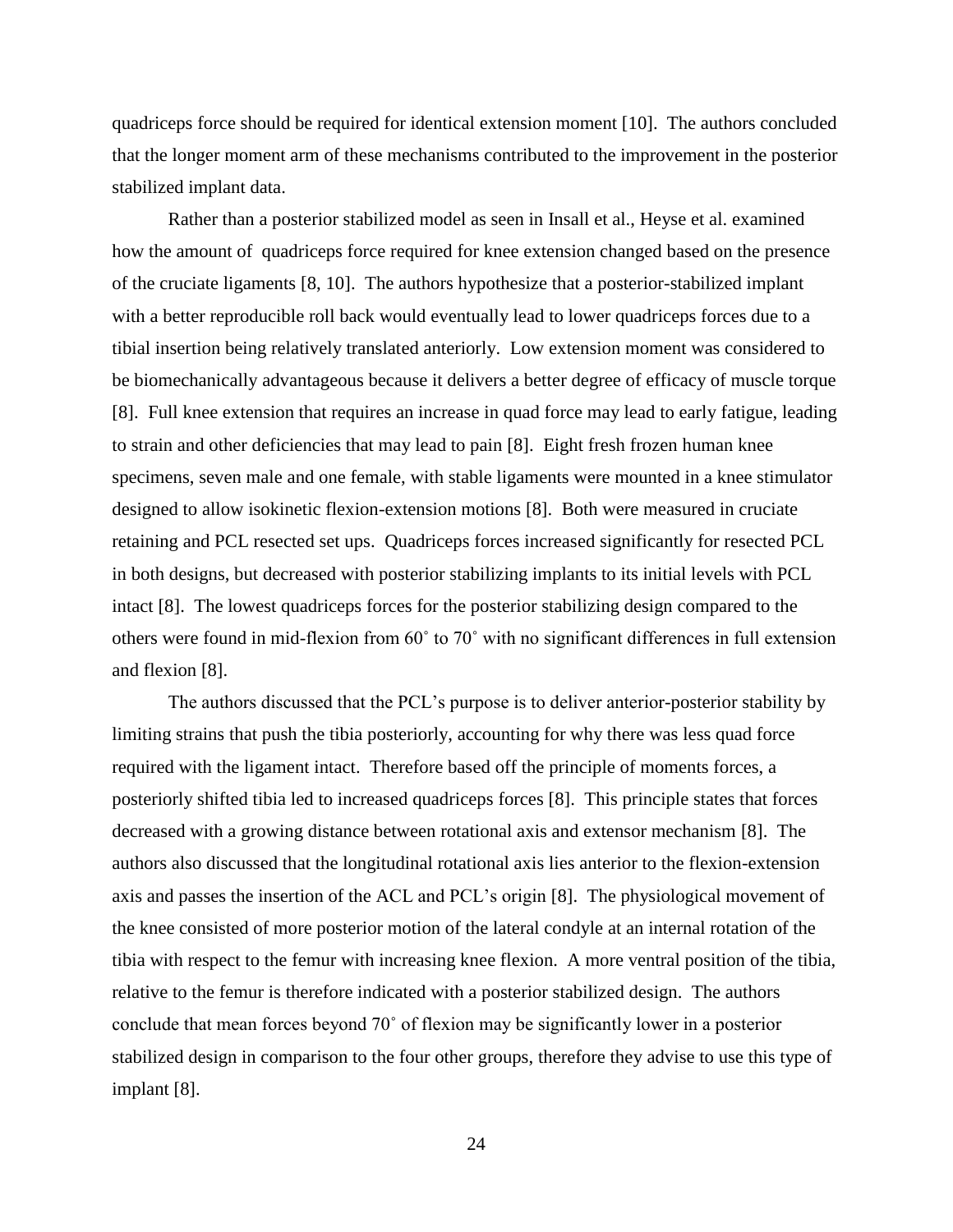quadriceps force should be required for identical extension moment [10]. The authors concluded that the longer moment arm of these mechanisms contributed to the improvement in the posterior stabilized implant data.

Rather than a posterior stabilized model as seen in Insall et al., Heyse et al. examined how the amount of quadriceps force required for knee extension changed based on the presence of the cruciate ligaments [8, 10]. The authors hypothesize that a posterior-stabilized implant with a better reproducible roll back would eventually lead to lower quadriceps forces due to a tibial insertion being relatively translated anteriorly. Low extension moment was considered to be biomechanically advantageous because it delivers a better degree of efficacy of muscle torque [8]. Full knee extension that requires an increase in quad force may lead to early fatigue, leading to strain and other deficiencies that may lead to pain [8]. Eight fresh frozen human knee specimens, seven male and one female, with stable ligaments were mounted in a knee stimulator designed to allow isokinetic flexion-extension motions [8]. Both were measured in cruciate retaining and PCL resected set ups. Quadriceps forces increased significantly for resected PCL in both designs, but decreased with posterior stabilizing implants to its initial levels with PCL intact [8]. The lowest quadriceps forces for the posterior stabilizing design compared to the others were found in mid-flexion from 60˚ to 70˚ with no significant differences in full extension and flexion [8].

The authors discussed that the PCL's purpose is to deliver anterior-posterior stability by limiting strains that push the tibia posteriorly, accounting for why there was less quad force required with the ligament intact. Therefore based off the principle of moments forces, a posteriorly shifted tibia led to increased quadriceps forces [8]. This principle states that forces decreased with a growing distance between rotational axis and extensor mechanism [8]. The authors also discussed that the longitudinal rotational axis lies anterior to the flexion-extension axis and passes the insertion of the ACL and PCL's origin [8]. The physiological movement of the knee consisted of more posterior motion of the lateral condyle at an internal rotation of the tibia with respect to the femur with increasing knee flexion. A more ventral position of the tibia, relative to the femur is therefore indicated with a posterior stabilized design. The authors conclude that mean forces beyond 70˚ of flexion may be significantly lower in a posterior stabilized design in comparison to the four other groups, therefore they advise to use this type of implant [8].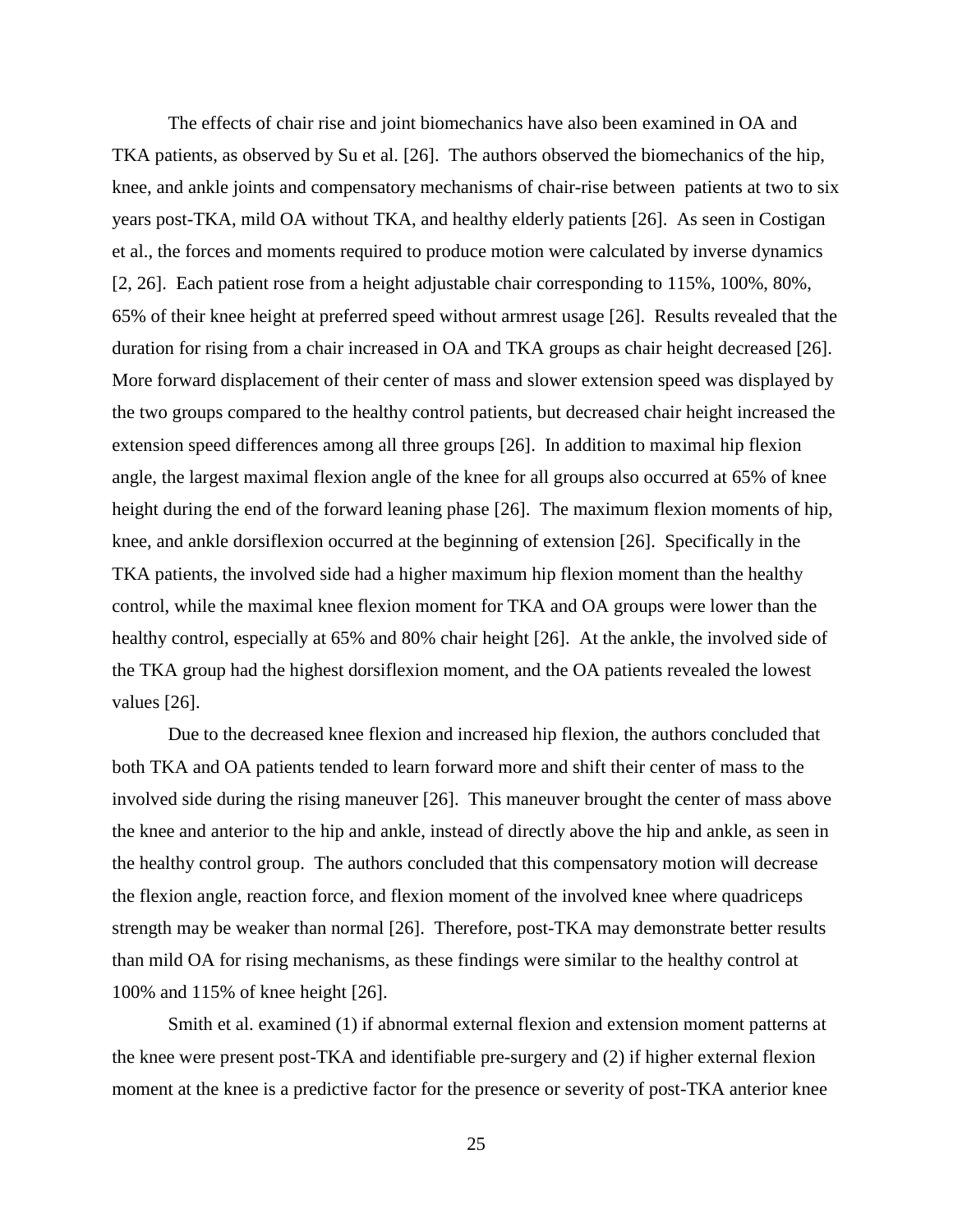The effects of chair rise and joint biomechanics have also been examined in OA and TKA patients, as observed by Su et al. [26]. The authors observed the biomechanics of the hip, knee, and ankle joints and compensatory mechanisms of chair-rise between patients at two to six years post-TKA, mild OA without TKA, and healthy elderly patients [26]. As seen in Costigan et al., the forces and moments required to produce motion were calculated by inverse dynamics [2, 26]. Each patient rose from a height adjustable chair corresponding to 115%, 100%, 80%, 65% of their knee height at preferred speed without armrest usage [26]. Results revealed that the duration for rising from a chair increased in OA and TKA groups as chair height decreased [26]. More forward displacement of their center of mass and slower extension speed was displayed by the two groups compared to the healthy control patients, but decreased chair height increased the extension speed differences among all three groups [26]. In addition to maximal hip flexion angle, the largest maximal flexion angle of the knee for all groups also occurred at 65% of knee height during the end of the forward leaning phase [26]. The maximum flexion moments of hip, knee, and ankle dorsiflexion occurred at the beginning of extension [26]. Specifically in the TKA patients, the involved side had a higher maximum hip flexion moment than the healthy control, while the maximal knee flexion moment for TKA and OA groups were lower than the healthy control, especially at 65% and 80% chair height [26]. At the ankle, the involved side of the TKA group had the highest dorsiflexion moment, and the OA patients revealed the lowest values [26].

Due to the decreased knee flexion and increased hip flexion, the authors concluded that both TKA and OA patients tended to learn forward more and shift their center of mass to the involved side during the rising maneuver [26]. This maneuver brought the center of mass above the knee and anterior to the hip and ankle, instead of directly above the hip and ankle, as seen in the healthy control group. The authors concluded that this compensatory motion will decrease the flexion angle, reaction force, and flexion moment of the involved knee where quadriceps strength may be weaker than normal [26]. Therefore, post-TKA may demonstrate better results than mild OA for rising mechanisms, as these findings were similar to the healthy control at 100% and 115% of knee height [26].

Smith et al. examined (1) if abnormal external flexion and extension moment patterns at the knee were present post-TKA and identifiable pre-surgery and (2) if higher external flexion moment at the knee is a predictive factor for the presence or severity of post-TKA anterior knee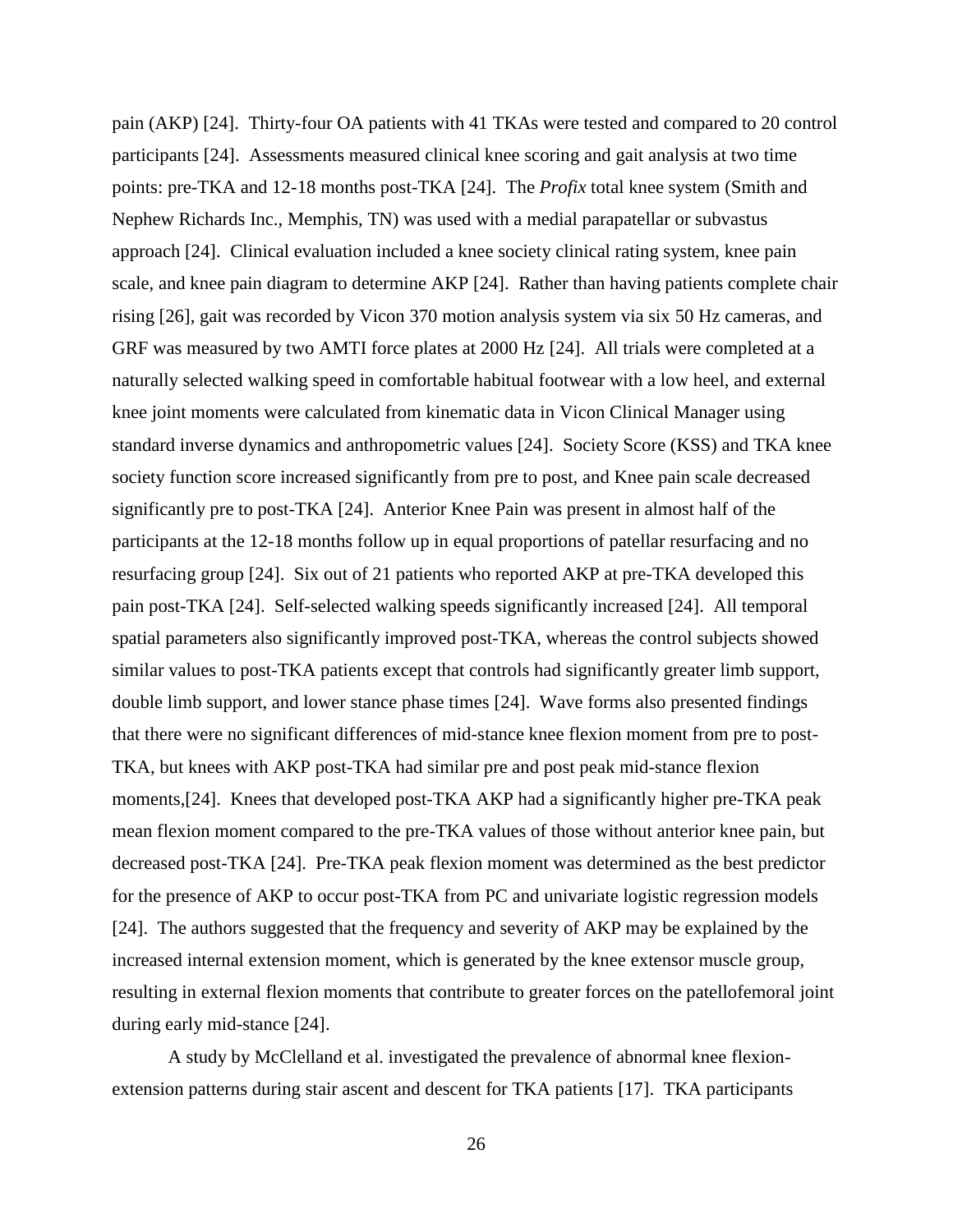pain (AKP) [24]. Thirty-four OA patients with 41 TKAs were tested and compared to 20 control participants [24]. Assessments measured clinical knee scoring and gait analysis at two time points: pre-TKA and 12-18 months post-TKA [24]. The *Profix* total knee system (Smith and Nephew Richards Inc., Memphis, TN) was used with a medial parapatellar or subvastus approach [24]. Clinical evaluation included a knee society clinical rating system, knee pain scale, and knee pain diagram to determine AKP [24]. Rather than having patients complete chair rising [26], gait was recorded by Vicon 370 motion analysis system via six 50 Hz cameras, and GRF was measured by two AMTI force plates at 2000 Hz [24]. All trials were completed at a naturally selected walking speed in comfortable habitual footwear with a low heel, and external knee joint moments were calculated from kinematic data in Vicon Clinical Manager using standard inverse dynamics and anthropometric values [24]. Society Score (KSS) and TKA knee society function score increased significantly from pre to post, and Knee pain scale decreased significantly pre to post-TKA [24]. Anterior Knee Pain was present in almost half of the participants at the 12-18 months follow up in equal proportions of patellar resurfacing and no resurfacing group [24]. Six out of 21 patients who reported AKP at pre-TKA developed this pain post-TKA [24]. Self-selected walking speeds significantly increased [24]. All temporal spatial parameters also significantly improved post-TKA, whereas the control subjects showed similar values to post-TKA patients except that controls had significantly greater limb support, double limb support, and lower stance phase times [24]. Wave forms also presented findings that there were no significant differences of mid-stance knee flexion moment from pre to post-TKA, but knees with AKP post-TKA had similar pre and post peak mid-stance flexion moments,[24]. Knees that developed post-TKA AKP had a significantly higher pre-TKA peak mean flexion moment compared to the pre-TKA values of those without anterior knee pain, but decreased post-TKA [24]. Pre-TKA peak flexion moment was determined as the best predictor for the presence of AKP to occur post-TKA from PC and univariate logistic regression models [24]. The authors suggested that the frequency and severity of AKP may be explained by the increased internal extension moment, which is generated by the knee extensor muscle group, resulting in external flexion moments that contribute to greater forces on the patellofemoral joint during early mid-stance [24].

A study by McClelland et al. investigated the prevalence of abnormal knee flexionextension patterns during stair ascent and descent for TKA patients [17]. TKA participants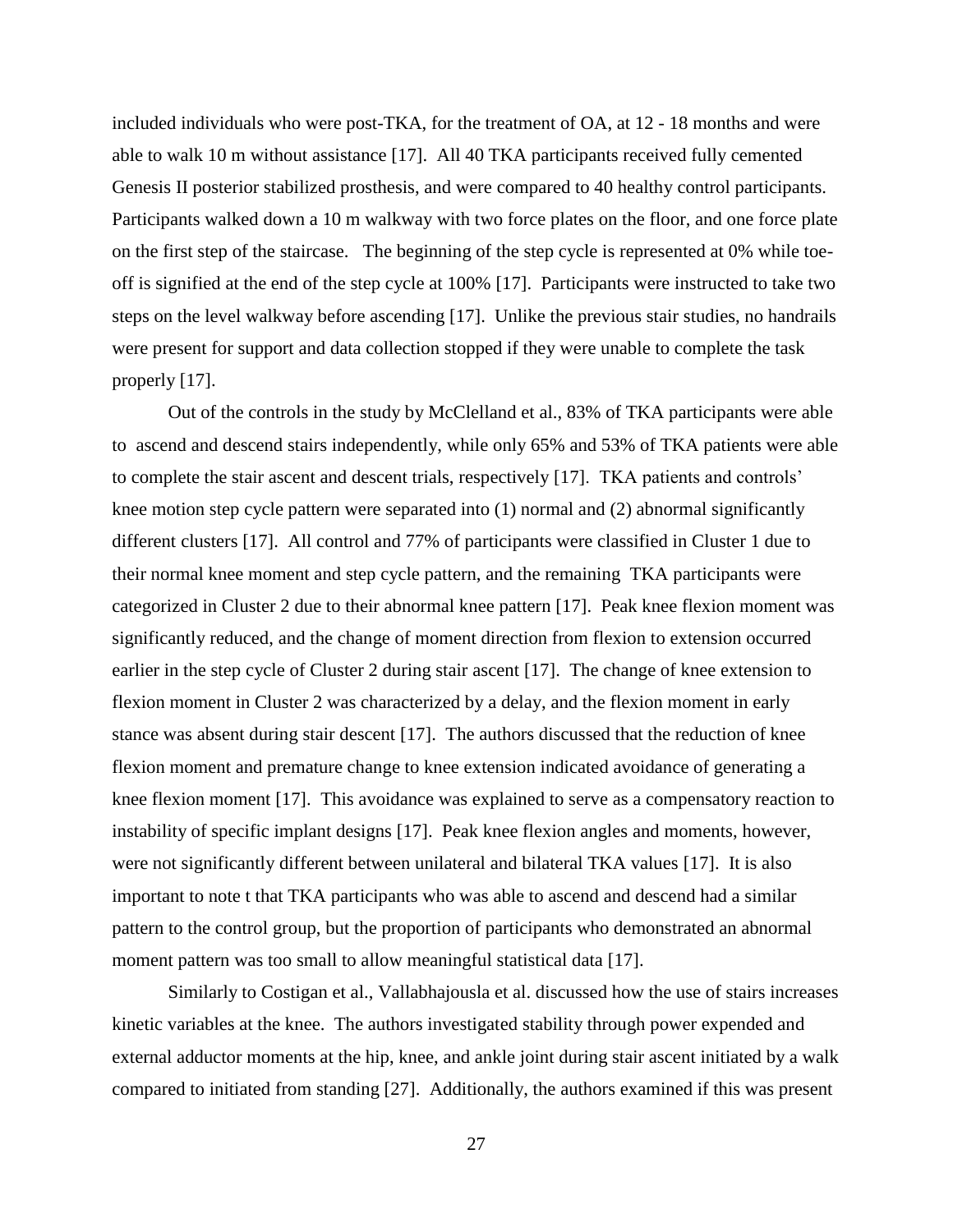included individuals who were post-TKA, for the treatment of OA, at 12 - 18 months and were able to walk 10 m without assistance [17]. All 40 TKA participants received fully cemented Genesis II posterior stabilized prosthesis, and were compared to 40 healthy control participants. Participants walked down a 10 m walkway with two force plates on the floor, and one force plate on the first step of the staircase. The beginning of the step cycle is represented at 0% while toeoff is signified at the end of the step cycle at 100% [17]. Participants were instructed to take two steps on the level walkway before ascending [17]. Unlike the previous stair studies, no handrails were present for support and data collection stopped if they were unable to complete the task properly [17].

Out of the controls in the study by McClelland et al., 83% of TKA participants were able to ascend and descend stairs independently, while only 65% and 53% of TKA patients were able to complete the stair ascent and descent trials, respectively [17]. TKA patients and controls' knee motion step cycle pattern were separated into (1) normal and (2) abnormal significantly different clusters [17]. All control and 77% of participants were classified in Cluster 1 due to their normal knee moment and step cycle pattern, and the remaining TKA participants were categorized in Cluster 2 due to their abnormal knee pattern [17]. Peak knee flexion moment was significantly reduced, and the change of moment direction from flexion to extension occurred earlier in the step cycle of Cluster 2 during stair ascent [17]. The change of knee extension to flexion moment in Cluster 2 was characterized by a delay, and the flexion moment in early stance was absent during stair descent [17]. The authors discussed that the reduction of knee flexion moment and premature change to knee extension indicated avoidance of generating a knee flexion moment [17]. This avoidance was explained to serve as a compensatory reaction to instability of specific implant designs [17]. Peak knee flexion angles and moments, however, were not significantly different between unilateral and bilateral TKA values [17]. It is also important to note t that TKA participants who was able to ascend and descend had a similar pattern to the control group, but the proportion of participants who demonstrated an abnormal moment pattern was too small to allow meaningful statistical data [17].

Similarly to Costigan et al., Vallabhajousla et al. discussed how the use of stairs increases kinetic variables at the knee. The authors investigated stability through power expended and external adductor moments at the hip, knee, and ankle joint during stair ascent initiated by a walk compared to initiated from standing [27]. Additionally, the authors examined if this was present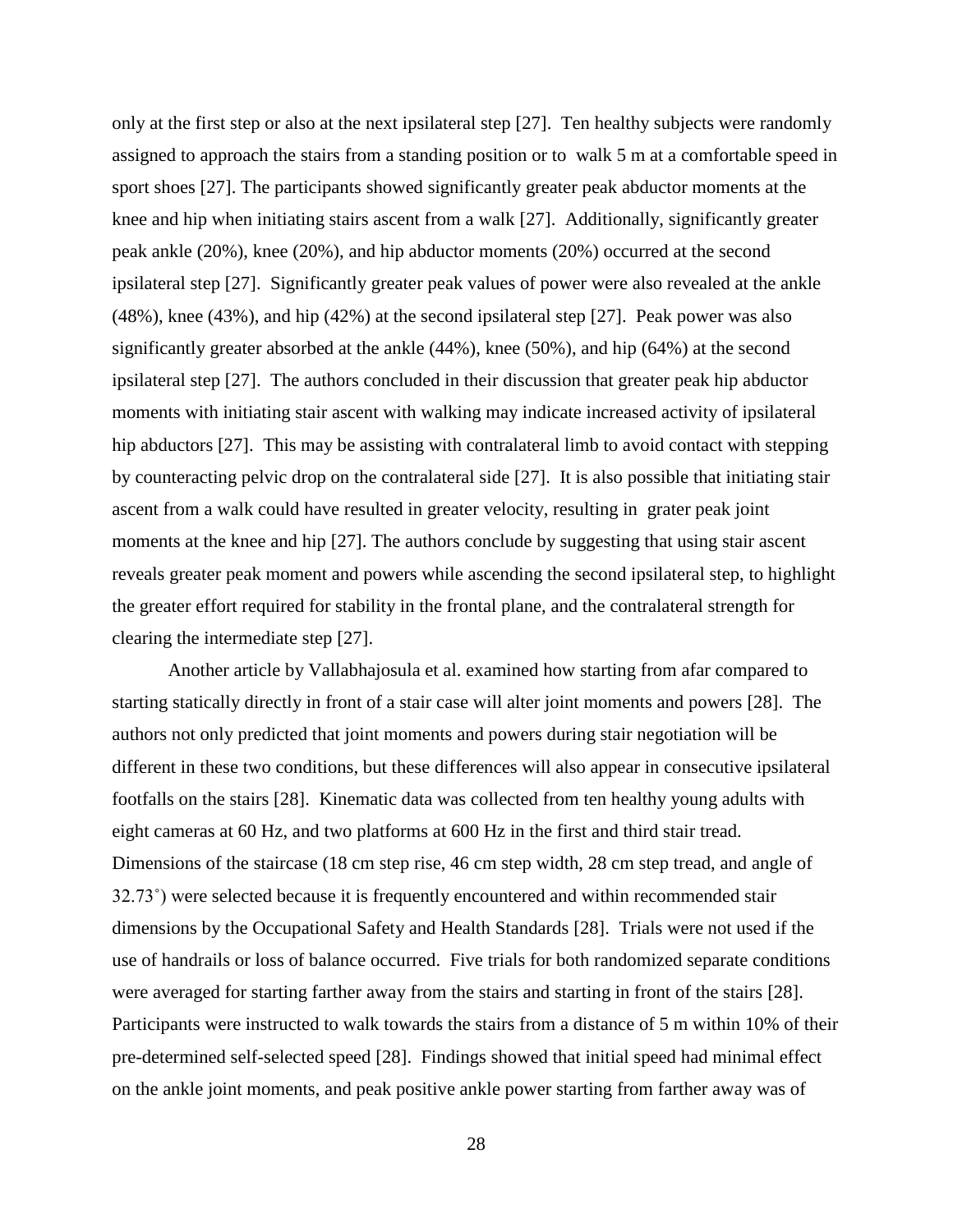only at the first step or also at the next ipsilateral step [27]. Ten healthy subjects were randomly assigned to approach the stairs from a standing position or to walk 5 m at a comfortable speed in sport shoes [27]. The participants showed significantly greater peak abductor moments at the knee and hip when initiating stairs ascent from a walk [27]. Additionally, significantly greater peak ankle (20%), knee (20%), and hip abductor moments (20%) occurred at the second ipsilateral step [27]. Significantly greater peak values of power were also revealed at the ankle (48%), knee (43%), and hip (42%) at the second ipsilateral step [27]. Peak power was also significantly greater absorbed at the ankle (44%), knee (50%), and hip (64%) at the second ipsilateral step [27]. The authors concluded in their discussion that greater peak hip abductor moments with initiating stair ascent with walking may indicate increased activity of ipsilateral hip abductors [27]. This may be assisting with contralateral limb to avoid contact with stepping by counteracting pelvic drop on the contralateral side [27]. It is also possible that initiating stair ascent from a walk could have resulted in greater velocity, resulting in grater peak joint moments at the knee and hip [27]. The authors conclude by suggesting that using stair ascent reveals greater peak moment and powers while ascending the second ipsilateral step, to highlight the greater effort required for stability in the frontal plane, and the contralateral strength for clearing the intermediate step [27].

Another article by Vallabhajosula et al. examined how starting from afar compared to starting statically directly in front of a stair case will alter joint moments and powers [28]. The authors not only predicted that joint moments and powers during stair negotiation will be different in these two conditions, but these differences will also appear in consecutive ipsilateral footfalls on the stairs [28]. Kinematic data was collected from ten healthy young adults with eight cameras at 60 Hz, and two platforms at 600 Hz in the first and third stair tread. Dimensions of the staircase (18 cm step rise, 46 cm step width, 28 cm step tread, and angle of 32.73˚) were selected because it is frequently encountered and within recommended stair dimensions by the Occupational Safety and Health Standards [28]. Trials were not used if the use of handrails or loss of balance occurred. Five trials for both randomized separate conditions were averaged for starting farther away from the stairs and starting in front of the stairs [28]. Participants were instructed to walk towards the stairs from a distance of 5 m within 10% of their pre-determined self-selected speed [28]. Findings showed that initial speed had minimal effect on the ankle joint moments, and peak positive ankle power starting from farther away was of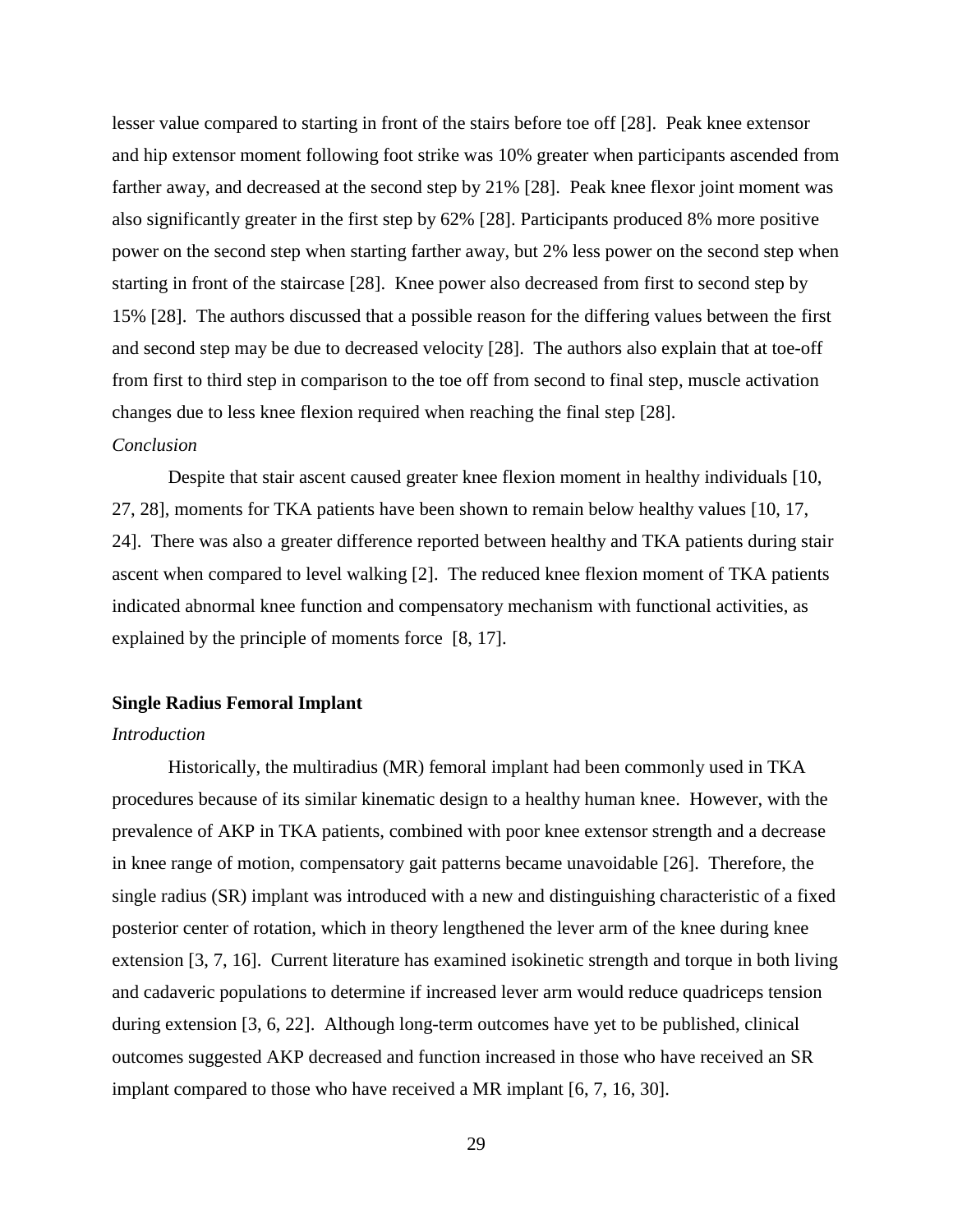lesser value compared to starting in front of the stairs before toe off [28]. Peak knee extensor and hip extensor moment following foot strike was 10% greater when participants ascended from farther away, and decreased at the second step by 21% [28]. Peak knee flexor joint moment was also significantly greater in the first step by 62% [28]. Participants produced 8% more positive power on the second step when starting farther away, but 2% less power on the second step when starting in front of the staircase [28]. Knee power also decreased from first to second step by 15% [28]. The authors discussed that a possible reason for the differing values between the first and second step may be due to decreased velocity [28]. The authors also explain that at toe-off from first to third step in comparison to the toe off from second to final step, muscle activation changes due to less knee flexion required when reaching the final step [28].

## *Conclusion*

Despite that stair ascent caused greater knee flexion moment in healthy individuals [10, 27, 28], moments for TKA patients have been shown to remain below healthy values [10, 17, 24]. There was also a greater difference reported between healthy and TKA patients during stair ascent when compared to level walking [2]. The reduced knee flexion moment of TKA patients indicated abnormal knee function and compensatory mechanism with functional activities, as explained by the principle of moments force [8, 17].

### **Single Radius Femoral Implant**

## *Introduction*

Historically, the multiradius (MR) femoral implant had been commonly used in TKA procedures because of its similar kinematic design to a healthy human knee. However, with the prevalence of AKP in TKA patients, combined with poor knee extensor strength and a decrease in knee range of motion, compensatory gait patterns became unavoidable [26]. Therefore, the single radius (SR) implant was introduced with a new and distinguishing characteristic of a fixed posterior center of rotation, which in theory lengthened the lever arm of the knee during knee extension [3, 7, 16]. Current literature has examined isokinetic strength and torque in both living and cadaveric populations to determine if increased lever arm would reduce quadriceps tension during extension [3, 6, 22]. Although long-term outcomes have yet to be published, clinical outcomes suggested AKP decreased and function increased in those who have received an SR implant compared to those who have received a MR implant [6, 7, 16, 30].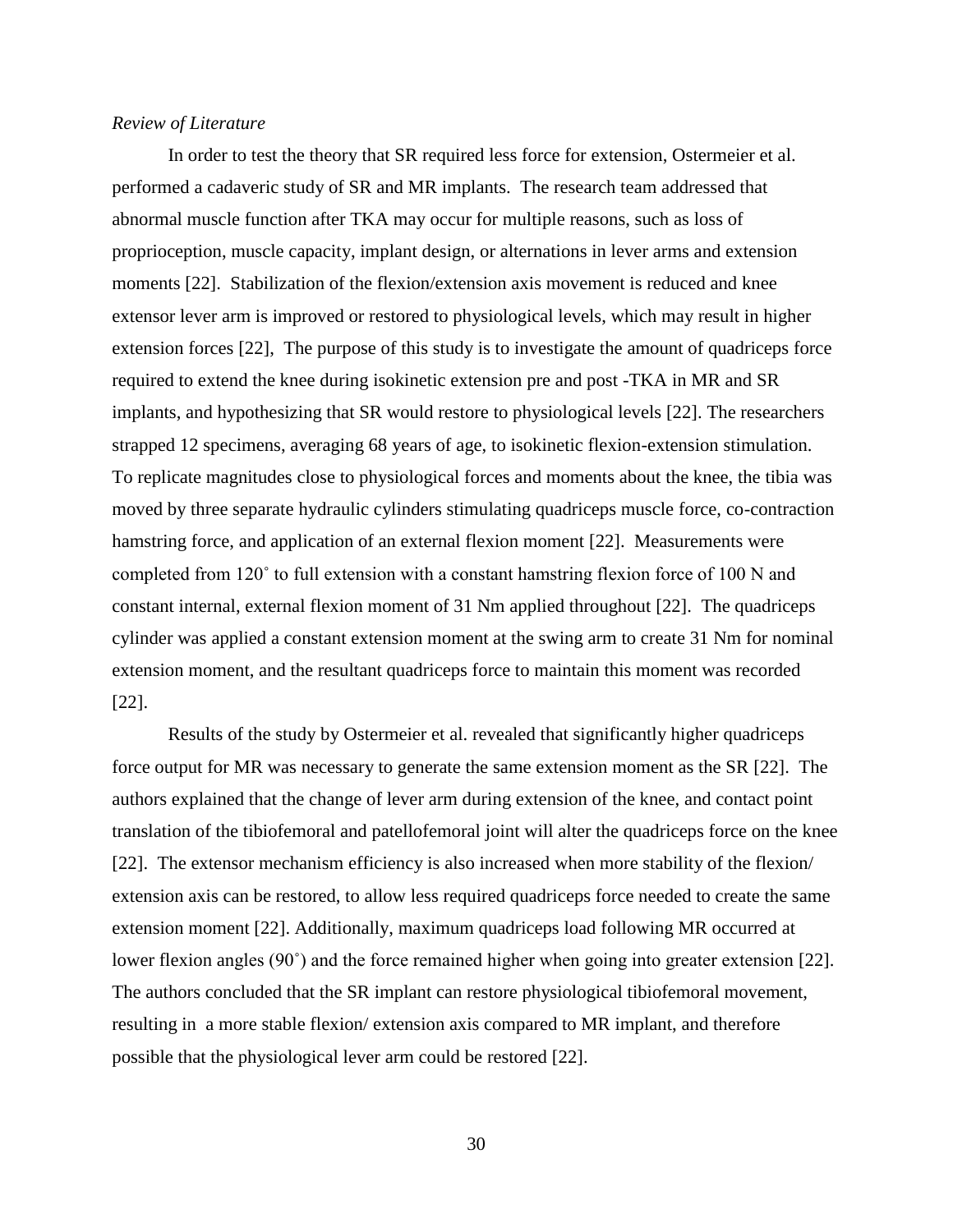## *Review of Literature*

In order to test the theory that SR required less force for extension, Ostermeier et al. performed a cadaveric study of SR and MR implants. The research team addressed that abnormal muscle function after TKA may occur for multiple reasons, such as loss of proprioception, muscle capacity, implant design, or alternations in lever arms and extension moments [22]. Stabilization of the flexion/extension axis movement is reduced and knee extensor lever arm is improved or restored to physiological levels, which may result in higher extension forces [22], The purpose of this study is to investigate the amount of quadriceps force required to extend the knee during isokinetic extension pre and post -TKA in MR and SR implants, and hypothesizing that SR would restore to physiological levels [22]. The researchers strapped 12 specimens, averaging 68 years of age, to isokinetic flexion-extension stimulation. To replicate magnitudes close to physiological forces and moments about the knee, the tibia was moved by three separate hydraulic cylinders stimulating quadriceps muscle force, co-contraction hamstring force, and application of an external flexion moment [22]. Measurements were completed from 120˚ to full extension with a constant hamstring flexion force of 100 N and constant internal, external flexion moment of 31 Nm applied throughout [22]. The quadriceps cylinder was applied a constant extension moment at the swing arm to create 31 Nm for nominal extension moment, and the resultant quadriceps force to maintain this moment was recorded [22].

Results of the study by Ostermeier et al. revealed that significantly higher quadriceps force output for MR was necessary to generate the same extension moment as the SR [22]. The authors explained that the change of lever arm during extension of the knee, and contact point translation of the tibiofemoral and patellofemoral joint will alter the quadriceps force on the knee [22]. The extensor mechanism efficiency is also increased when more stability of the flexion/ extension axis can be restored, to allow less required quadriceps force needed to create the same extension moment [22]. Additionally, maximum quadriceps load following MR occurred at lower flexion angles (90˚) and the force remained higher when going into greater extension [22]. The authors concluded that the SR implant can restore physiological tibiofemoral movement, resulting in a more stable flexion/ extension axis compared to MR implant, and therefore possible that the physiological lever arm could be restored [22].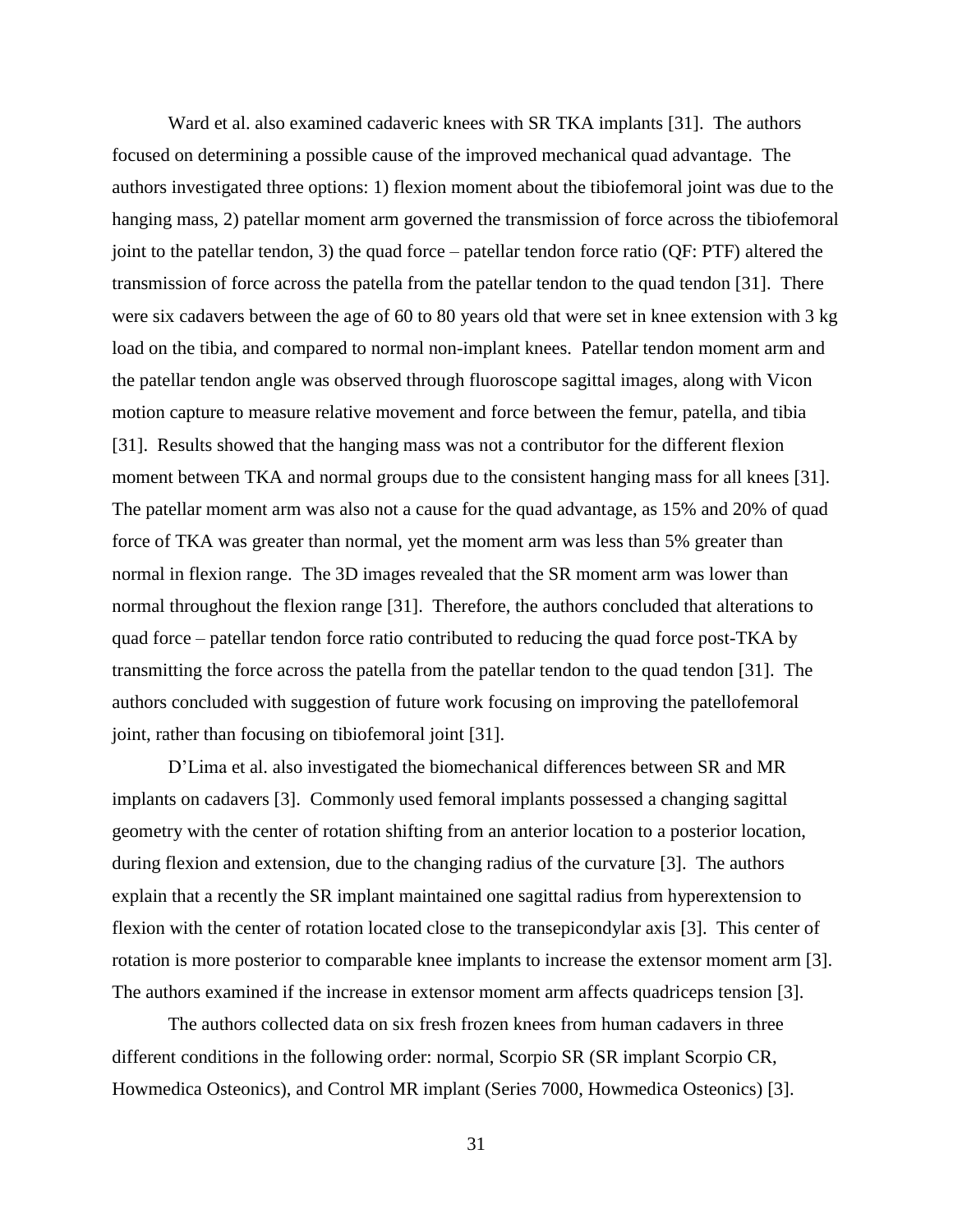Ward et al. also examined cadaveric knees with SR TKA implants [31]. The authors focused on determining a possible cause of the improved mechanical quad advantage. The authors investigated three options: 1) flexion moment about the tibiofemoral joint was due to the hanging mass, 2) patellar moment arm governed the transmission of force across the tibiofemoral joint to the patellar tendon, 3) the quad force – patellar tendon force ratio (QF: PTF) altered the transmission of force across the patella from the patellar tendon to the quad tendon [31]. There were six cadavers between the age of 60 to 80 years old that were set in knee extension with 3 kg load on the tibia, and compared to normal non-implant knees. Patellar tendon moment arm and the patellar tendon angle was observed through fluoroscope sagittal images, along with Vicon motion capture to measure relative movement and force between the femur, patella, and tibia [31]. Results showed that the hanging mass was not a contributor for the different flexion moment between TKA and normal groups due to the consistent hanging mass for all knees [31]. The patellar moment arm was also not a cause for the quad advantage, as 15% and 20% of quad force of TKA was greater than normal, yet the moment arm was less than 5% greater than normal in flexion range. The 3D images revealed that the SR moment arm was lower than normal throughout the flexion range [31]. Therefore, the authors concluded that alterations to quad force – patellar tendon force ratio contributed to reducing the quad force post-TKA by transmitting the force across the patella from the patellar tendon to the quad tendon [31]. The authors concluded with suggestion of future work focusing on improving the patellofemoral joint, rather than focusing on tibiofemoral joint [31].

D'Lima et al. also investigated the biomechanical differences between SR and MR implants on cadavers [3]. Commonly used femoral implants possessed a changing sagittal geometry with the center of rotation shifting from an anterior location to a posterior location, during flexion and extension, due to the changing radius of the curvature [3]. The authors explain that a recently the SR implant maintained one sagittal radius from hyperextension to flexion with the center of rotation located close to the transepicondylar axis [3]. This center of rotation is more posterior to comparable knee implants to increase the extensor moment arm [3]. The authors examined if the increase in extensor moment arm affects quadriceps tension [3].

The authors collected data on six fresh frozen knees from human cadavers in three different conditions in the following order: normal, Scorpio SR (SR implant Scorpio CR, Howmedica Osteonics), and Control MR implant (Series 7000, Howmedica Osteonics) [3].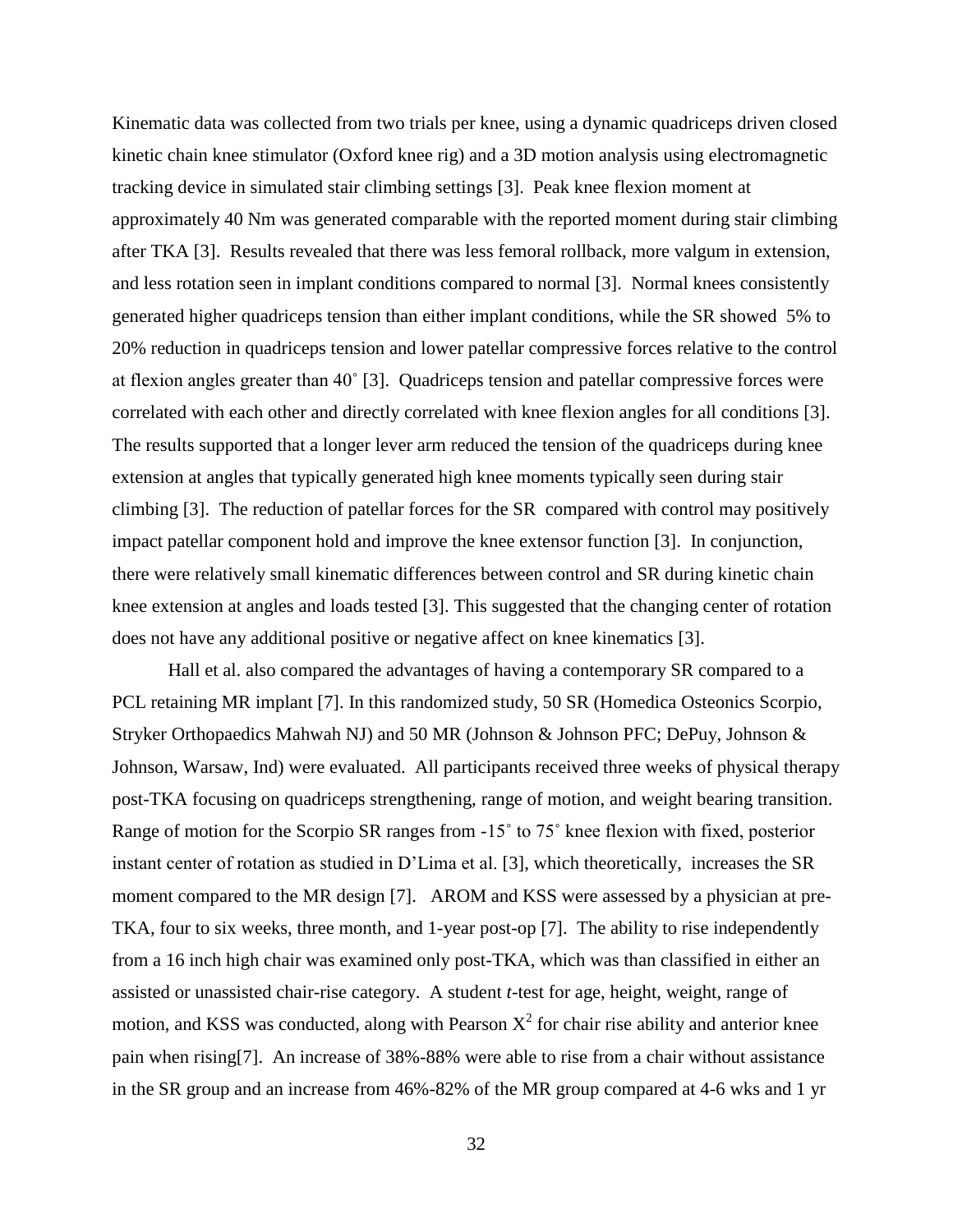Kinematic data was collected from two trials per knee, using a dynamic quadriceps driven closed kinetic chain knee stimulator (Oxford knee rig) and a 3D motion analysis using electromagnetic tracking device in simulated stair climbing settings [3]. Peak knee flexion moment at approximately 40 Nm was generated comparable with the reported moment during stair climbing after TKA [3]. Results revealed that there was less femoral rollback, more valgum in extension, and less rotation seen in implant conditions compared to normal [3]. Normal knees consistently generated higher quadriceps tension than either implant conditions, while the SR showed 5% to 20% reduction in quadriceps tension and lower patellar compressive forces relative to the control at flexion angles greater than 40˚ [3]. Quadriceps tension and patellar compressive forces were correlated with each other and directly correlated with knee flexion angles for all conditions [3]. The results supported that a longer lever arm reduced the tension of the quadriceps during knee extension at angles that typically generated high knee moments typically seen during stair climbing [3]. The reduction of patellar forces for the SR compared with control may positively impact patellar component hold and improve the knee extensor function [3]. In conjunction, there were relatively small kinematic differences between control and SR during kinetic chain knee extension at angles and loads tested [3]. This suggested that the changing center of rotation does not have any additional positive or negative affect on knee kinematics [3].

Hall et al. also compared the advantages of having a contemporary SR compared to a PCL retaining MR implant [7]. In this randomized study, 50 SR (Homedica Osteonics Scorpio, Stryker Orthopaedics Mahwah NJ) and 50 MR (Johnson & Johnson PFC; DePuy, Johnson & Johnson, Warsaw, Ind) were evaluated. All participants received three weeks of physical therapy post-TKA focusing on quadriceps strengthening, range of motion, and weight bearing transition. Range of motion for the Scorpio SR ranges from -15˚ to 75˚ knee flexion with fixed, posterior instant center of rotation as studied in D'Lima et al. [3], which theoretically, increases the SR moment compared to the MR design [7]. AROM and KSS were assessed by a physician at pre-TKA, four to six weeks, three month, and 1-year post-op [7]. The ability to rise independently from a 16 inch high chair was examined only post-TKA, which was than classified in either an assisted or unassisted chair-rise category. A student *t*-test for age, height, weight, range of motion, and KSS was conducted, along with Pearson  $X^2$  for chair rise ability and anterior knee pain when rising[7]. An increase of 38%-88% were able to rise from a chair without assistance in the SR group and an increase from 46%-82% of the MR group compared at 4-6 wks and 1 yr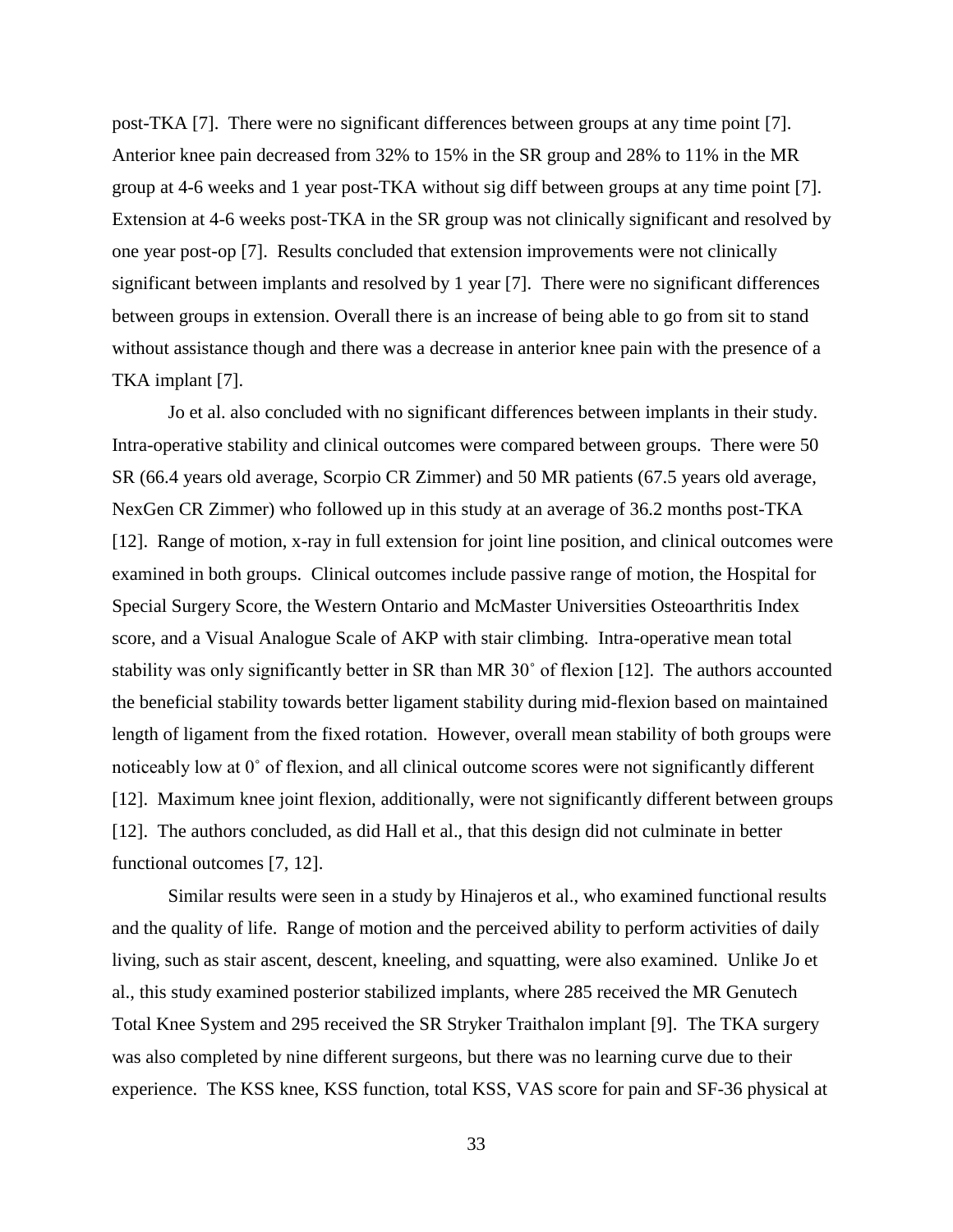post-TKA [7]. There were no significant differences between groups at any time point [7]. Anterior knee pain decreased from 32% to 15% in the SR group and 28% to 11% in the MR group at 4-6 weeks and 1 year post-TKA without sig diff between groups at any time point [7]. Extension at 4-6 weeks post-TKA in the SR group was not clinically significant and resolved by one year post-op [7]. Results concluded that extension improvements were not clinically significant between implants and resolved by 1 year [7]. There were no significant differences between groups in extension. Overall there is an increase of being able to go from sit to stand without assistance though and there was a decrease in anterior knee pain with the presence of a TKA implant [7].

Jo et al. also concluded with no significant differences between implants in their study. Intra-operative stability and clinical outcomes were compared between groups. There were 50 SR (66.4 years old average, Scorpio CR Zimmer) and 50 MR patients (67.5 years old average, NexGen CR Zimmer) who followed up in this study at an average of 36.2 months post-TKA [12]. Range of motion, x-ray in full extension for joint line position, and clinical outcomes were examined in both groups. Clinical outcomes include passive range of motion, the Hospital for Special Surgery Score, the Western Ontario and McMaster Universities Osteoarthritis Index score, and a Visual Analogue Scale of AKP with stair climbing. Intra-operative mean total stability was only significantly better in SR than MR 30˚ of flexion [12]. The authors accounted the beneficial stability towards better ligament stability during mid-flexion based on maintained length of ligament from the fixed rotation. However, overall mean stability of both groups were noticeably low at 0˚ of flexion, and all clinical outcome scores were not significantly different [12]. Maximum knee joint flexion, additionally, were not significantly different between groups [12]. The authors concluded, as did Hall et al., that this design did not culminate in better functional outcomes [7, 12].

Similar results were seen in a study by Hinajeros et al., who examined functional results and the quality of life. Range of motion and the perceived ability to perform activities of daily living, such as stair ascent, descent, kneeling, and squatting, were also examined. Unlike Jo et al., this study examined posterior stabilized implants, where 285 received the MR Genutech Total Knee System and 295 received the SR Stryker Traithalon implant [9]. The TKA surgery was also completed by nine different surgeons, but there was no learning curve due to their experience. The KSS knee, KSS function, total KSS, VAS score for pain and SF-36 physical at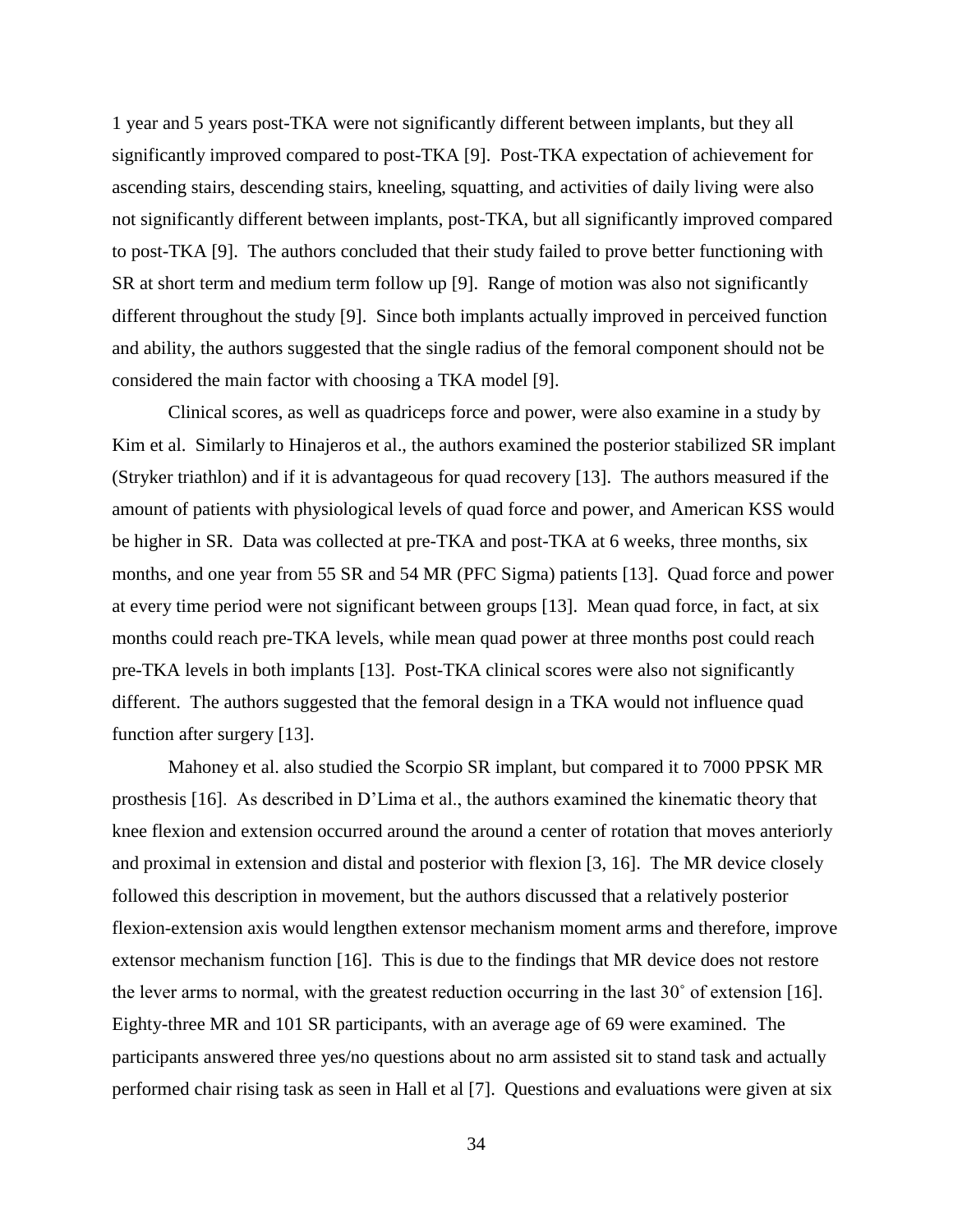1 year and 5 years post-TKA were not significantly different between implants, but they all significantly improved compared to post-TKA [9]. Post-TKA expectation of achievement for ascending stairs, descending stairs, kneeling, squatting, and activities of daily living were also not significantly different between implants, post-TKA, but all significantly improved compared to post-TKA [9]. The authors concluded that their study failed to prove better functioning with SR at short term and medium term follow up [9]. Range of motion was also not significantly different throughout the study [9]. Since both implants actually improved in perceived function and ability, the authors suggested that the single radius of the femoral component should not be considered the main factor with choosing a TKA model [9].

Clinical scores, as well as quadriceps force and power, were also examine in a study by Kim et al. Similarly to Hinajeros et al., the authors examined the posterior stabilized SR implant (Stryker triathlon) and if it is advantageous for quad recovery [13]. The authors measured if the amount of patients with physiological levels of quad force and power, and American KSS would be higher in SR. Data was collected at pre-TKA and post-TKA at 6 weeks, three months, six months, and one year from 55 SR and 54 MR (PFC Sigma) patients [13]. Quad force and power at every time period were not significant between groups [13]. Mean quad force, in fact, at six months could reach pre-TKA levels, while mean quad power at three months post could reach pre-TKA levels in both implants [13]. Post-TKA clinical scores were also not significantly different. The authors suggested that the femoral design in a TKA would not influence quad function after surgery [13].

Mahoney et al. also studied the Scorpio SR implant, but compared it to 7000 PPSK MR prosthesis [16]. As described in D'Lima et al., the authors examined the kinematic theory that knee flexion and extension occurred around the around a center of rotation that moves anteriorly and proximal in extension and distal and posterior with flexion [3, 16]. The MR device closely followed this description in movement, but the authors discussed that a relatively posterior flexion-extension axis would lengthen extensor mechanism moment arms and therefore, improve extensor mechanism function [16]. This is due to the findings that MR device does not restore the lever arms to normal, with the greatest reduction occurring in the last 30˚ of extension [16]. Eighty-three MR and 101 SR participants, with an average age of 69 were examined. The participants answered three yes/no questions about no arm assisted sit to stand task and actually performed chair rising task as seen in Hall et al [7]. Questions and evaluations were given at six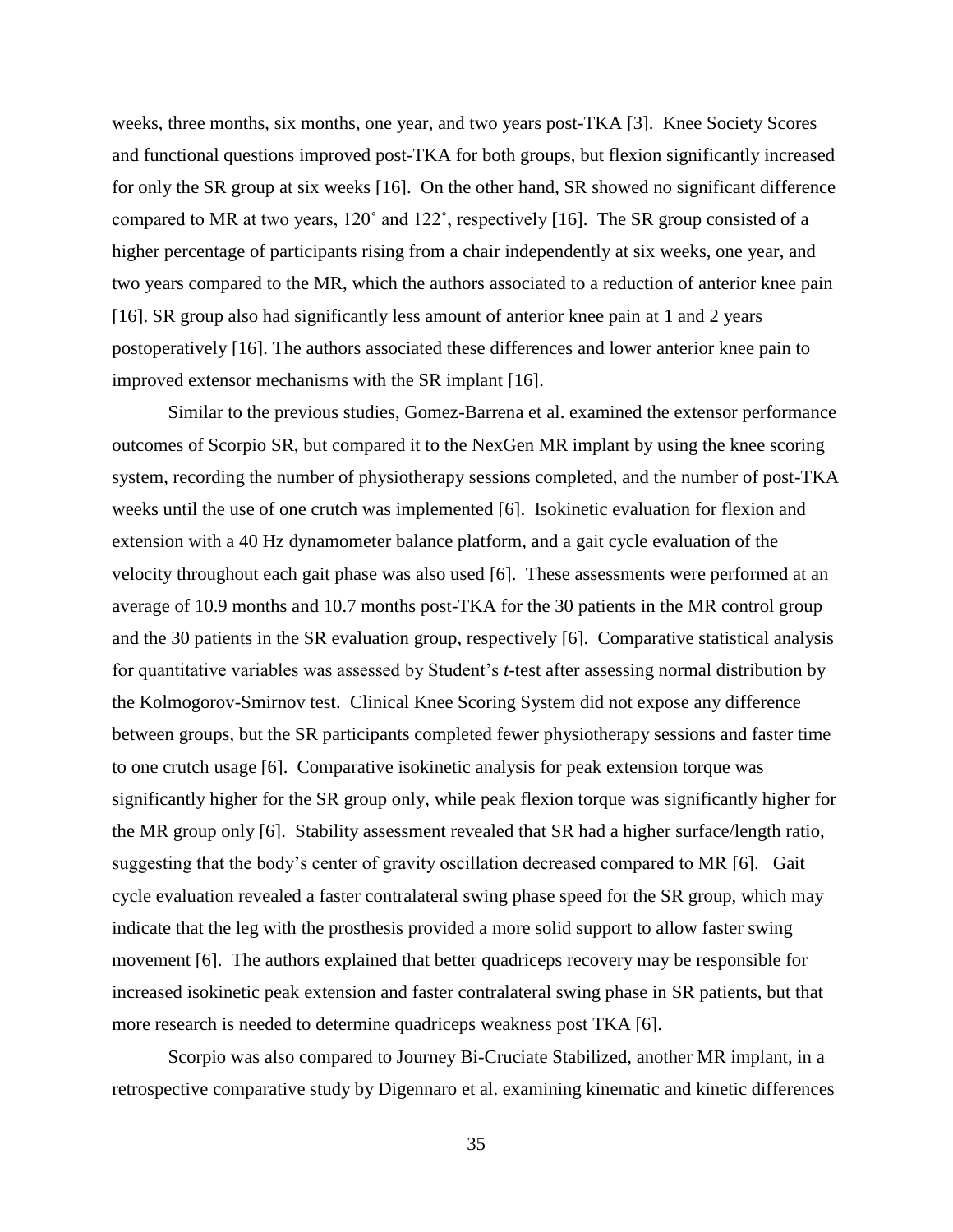weeks, three months, six months, one year, and two years post-TKA [3]. Knee Society Scores and functional questions improved post-TKA for both groups, but flexion significantly increased for only the SR group at six weeks [16]. On the other hand, SR showed no significant difference compared to MR at two years, 120˚ and 122˚, respectively [16]. The SR group consisted of a higher percentage of participants rising from a chair independently at six weeks, one year, and two years compared to the MR, which the authors associated to a reduction of anterior knee pain [16]. SR group also had significantly less amount of anterior knee pain at 1 and 2 years postoperatively [16]. The authors associated these differences and lower anterior knee pain to improved extensor mechanisms with the SR implant [16].

Similar to the previous studies, Gomez-Barrena et al. examined the extensor performance outcomes of Scorpio SR, but compared it to the NexGen MR implant by using the knee scoring system, recording the number of physiotherapy sessions completed, and the number of post-TKA weeks until the use of one crutch was implemented [6]. Isokinetic evaluation for flexion and extension with a 40 Hz dynamometer balance platform, and a gait cycle evaluation of the velocity throughout each gait phase was also used [6]. These assessments were performed at an average of 10.9 months and 10.7 months post-TKA for the 30 patients in the MR control group and the 30 patients in the SR evaluation group, respectively [6]. Comparative statistical analysis for quantitative variables was assessed by Student's *t-*test after assessing normal distribution by the Kolmogorov-Smirnov test. Clinical Knee Scoring System did not expose any difference between groups, but the SR participants completed fewer physiotherapy sessions and faster time to one crutch usage [6]. Comparative isokinetic analysis for peak extension torque was significantly higher for the SR group only, while peak flexion torque was significantly higher for the MR group only [6]. Stability assessment revealed that SR had a higher surface/length ratio, suggesting that the body's center of gravity oscillation decreased compared to MR [6]. Gait cycle evaluation revealed a faster contralateral swing phase speed for the SR group, which may indicate that the leg with the prosthesis provided a more solid support to allow faster swing movement [6]. The authors explained that better quadriceps recovery may be responsible for increased isokinetic peak extension and faster contralateral swing phase in SR patients, but that more research is needed to determine quadriceps weakness post TKA [6].

Scorpio was also compared to Journey Bi-Cruciate Stabilized, another MR implant, in a retrospective comparative study by Digennaro et al. examining kinematic and kinetic differences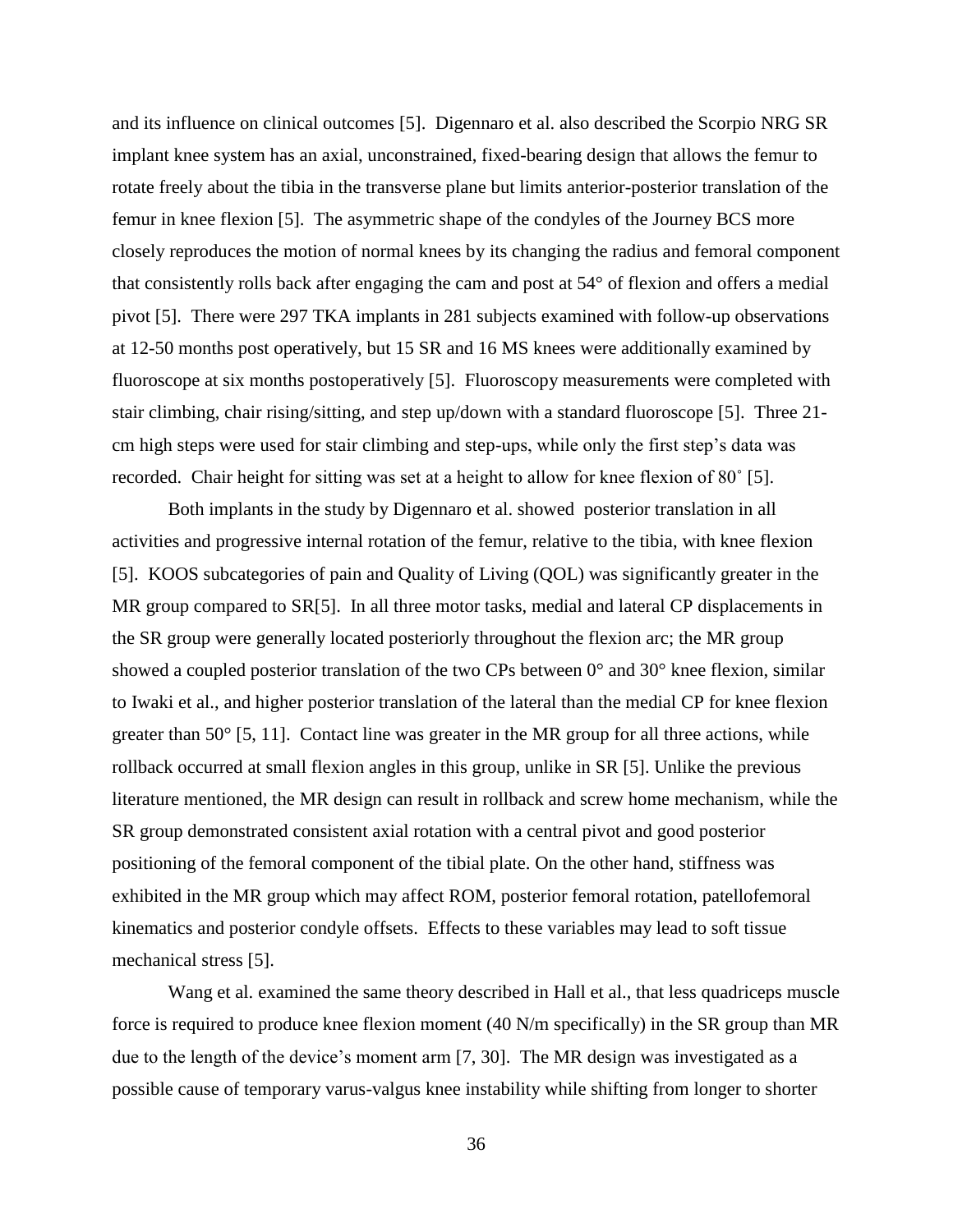and its influence on clinical outcomes [5]. Digennaro et al. also described the Scorpio NRG SR implant knee system has an axial, unconstrained, fixed-bearing design that allows the femur to rotate freely about the tibia in the transverse plane but limits anterior-posterior translation of the femur in knee flexion [5]. The asymmetric shape of the condyles of the Journey BCS more closely reproduces the motion of normal knees by its changing the radius and femoral component that consistently rolls back after engaging the cam and post at 54° of flexion and offers a medial pivot [5]. There were 297 TKA implants in 281 subjects examined with follow-up observations at 12-50 months post operatively, but 15 SR and 16 MS knees were additionally examined by fluoroscope at six months postoperatively [5]. Fluoroscopy measurements were completed with stair climbing, chair rising/sitting, and step up/down with a standard fluoroscope [5]. Three 21 cm high steps were used for stair climbing and step-ups, while only the first step's data was recorded. Chair height for sitting was set at a height to allow for knee flexion of 80˚ [5].

Both implants in the study by Digennaro et al. showed posterior translation in all activities and progressive internal rotation of the femur, relative to the tibia, with knee flexion [5]. KOOS subcategories of pain and Quality of Living (QOL) was significantly greater in the MR group compared to SR[5]. In all three motor tasks, medial and lateral CP displacements in the SR group were generally located posteriorly throughout the flexion arc; the MR group showed a coupled posterior translation of the two CPs between 0° and 30° knee flexion, similar to Iwaki et al., and higher posterior translation of the lateral than the medial CP for knee flexion greater than  $50^{\circ}$  [5, 11]. Contact line was greater in the MR group for all three actions, while rollback occurred at small flexion angles in this group, unlike in SR [5]. Unlike the previous literature mentioned, the MR design can result in rollback and screw home mechanism, while the SR group demonstrated consistent axial rotation with a central pivot and good posterior positioning of the femoral component of the tibial plate. On the other hand, stiffness was exhibited in the MR group which may affect ROM, posterior femoral rotation, patellofemoral kinematics and posterior condyle offsets. Effects to these variables may lead to soft tissue mechanical stress [5].

Wang et al. examined the same theory described in Hall et al., that less quadriceps muscle force is required to produce knee flexion moment (40 N/m specifically) in the SR group than MR due to the length of the device's moment arm [7, 30]. The MR design was investigated as a possible cause of temporary varus-valgus knee instability while shifting from longer to shorter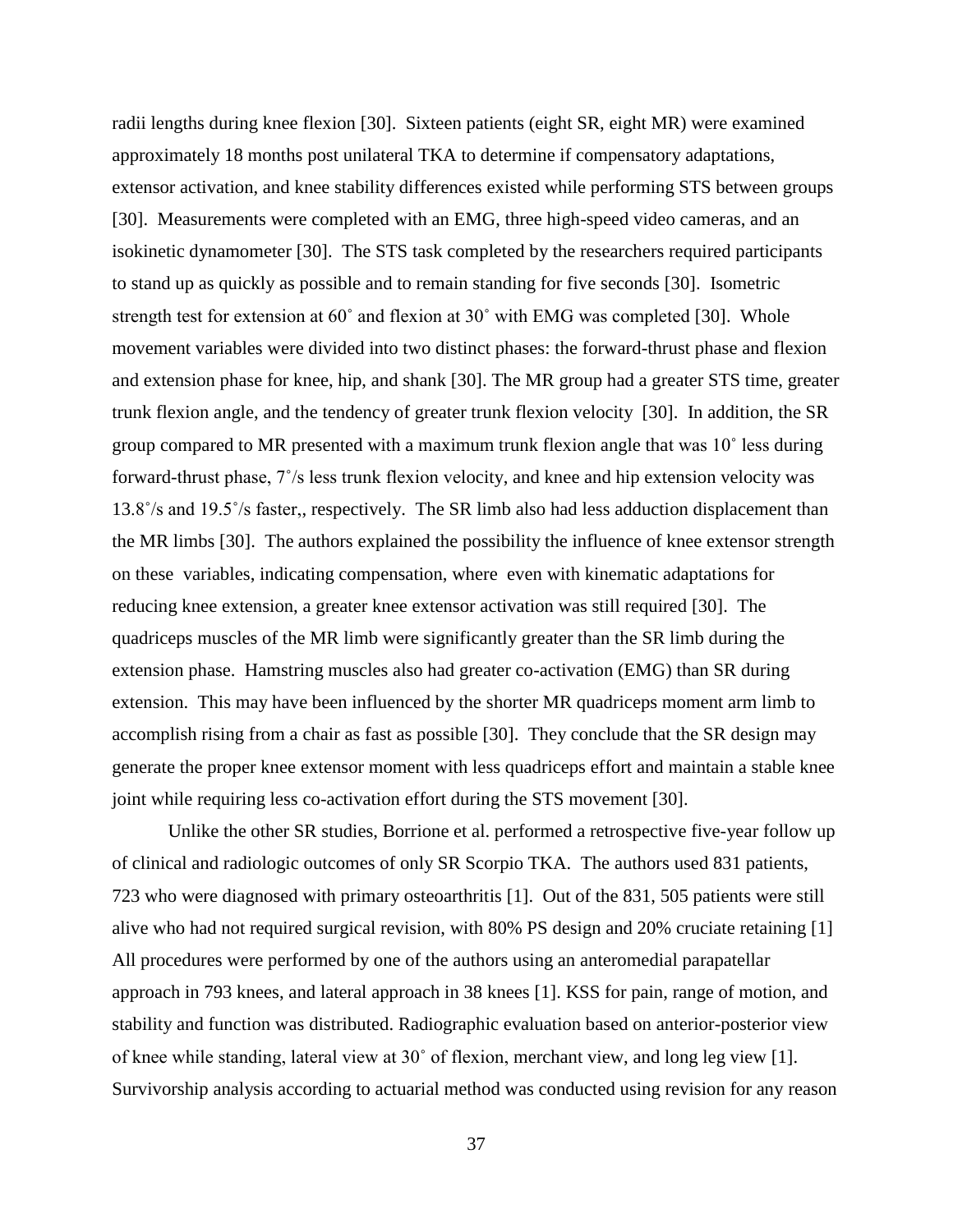radii lengths during knee flexion [30]. Sixteen patients (eight SR, eight MR) were examined approximately 18 months post unilateral TKA to determine if compensatory adaptations, extensor activation, and knee stability differences existed while performing STS between groups [30]. Measurements were completed with an EMG, three high-speed video cameras, and an isokinetic dynamometer [30]. The STS task completed by the researchers required participants to stand up as quickly as possible and to remain standing for five seconds [30]. Isometric strength test for extension at 60˚ and flexion at 30˚ with EMG was completed [30]. Whole movement variables were divided into two distinct phases: the forward-thrust phase and flexion and extension phase for knee, hip, and shank [30]. The MR group had a greater STS time, greater trunk flexion angle, and the tendency of greater trunk flexion velocity [30]. In addition, the SR group compared to MR presented with a maximum trunk flexion angle that was 10˚ less during forward-thrust phase, 7˚/s less trunk flexion velocity, and knee and hip extension velocity was 13.8˚/s and 19.5˚/s faster,, respectively. The SR limb also had less adduction displacement than the MR limbs [30]. The authors explained the possibility the influence of knee extensor strength on these variables, indicating compensation, where even with kinematic adaptations for reducing knee extension, a greater knee extensor activation was still required [30]. The quadriceps muscles of the MR limb were significantly greater than the SR limb during the extension phase. Hamstring muscles also had greater co-activation (EMG) than SR during extension. This may have been influenced by the shorter MR quadriceps moment arm limb to accomplish rising from a chair as fast as possible [30]. They conclude that the SR design may generate the proper knee extensor moment with less quadriceps effort and maintain a stable knee joint while requiring less co-activation effort during the STS movement [30].

Unlike the other SR studies, Borrione et al. performed a retrospective five-year follow up of clinical and radiologic outcomes of only SR Scorpio TKA. The authors used 831 patients, 723 who were diagnosed with primary osteoarthritis [1]. Out of the 831, 505 patients were still alive who had not required surgical revision, with 80% PS design and 20% cruciate retaining [1] All procedures were performed by one of the authors using an anteromedial parapatellar approach in 793 knees, and lateral approach in 38 knees [1]. KSS for pain, range of motion, and stability and function was distributed. Radiographic evaluation based on anterior-posterior view of knee while standing, lateral view at 30˚ of flexion, merchant view, and long leg view [1]. Survivorship analysis according to actuarial method was conducted using revision for any reason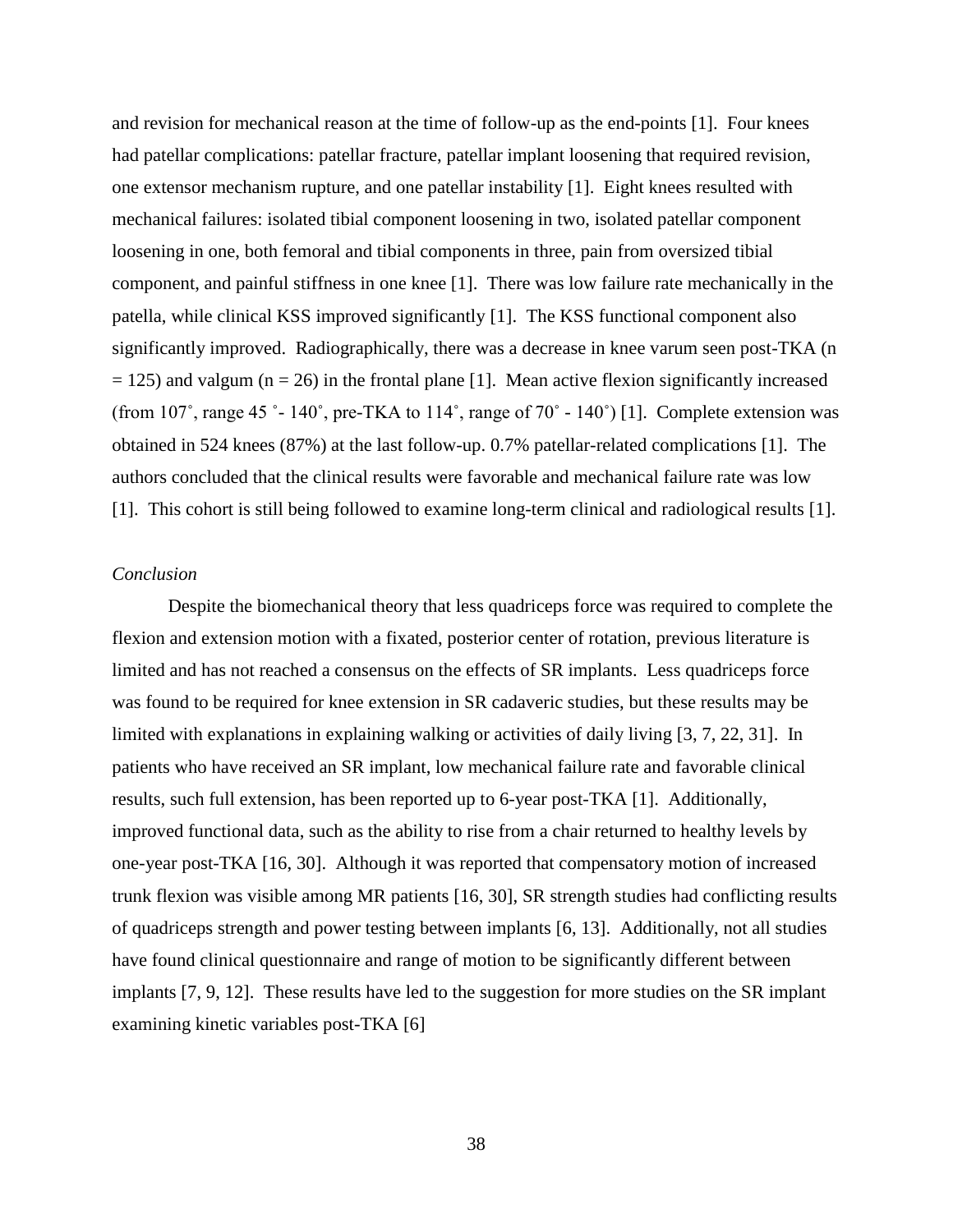and revision for mechanical reason at the time of follow-up as the end-points [1]. Four knees had patellar complications: patellar fracture, patellar implant loosening that required revision, one extensor mechanism rupture, and one patellar instability [1]. Eight knees resulted with mechanical failures: isolated tibial component loosening in two, isolated patellar component loosening in one, both femoral and tibial components in three, pain from oversized tibial component, and painful stiffness in one knee [1]. There was low failure rate mechanically in the patella, while clinical KSS improved significantly [1]. The KSS functional component also significantly improved. Radiographically, there was a decrease in knee varum seen post-TKA (n  $= 125$ ) and valgum (n = 26) in the frontal plane [1]. Mean active flexion significantly increased (from  $107^\circ$ , range 45  $^\circ$ - 140 $^\circ$ , pre-TKA to 114 $^\circ$ , range of  $70^\circ$  - 140 $^\circ$ ) [1]. Complete extension was obtained in 524 knees (87%) at the last follow-up. 0.7% patellar-related complications [1]. The authors concluded that the clinical results were favorable and mechanical failure rate was low [1]. This cohort is still being followed to examine long-term clinical and radiological results [1].

### *Conclusion*

Despite the biomechanical theory that less quadriceps force was required to complete the flexion and extension motion with a fixated, posterior center of rotation, previous literature is limited and has not reached a consensus on the effects of SR implants. Less quadriceps force was found to be required for knee extension in SR cadaveric studies, but these results may be limited with explanations in explaining walking or activities of daily living [3, 7, 22, 31]. In patients who have received an SR implant, low mechanical failure rate and favorable clinical results, such full extension, has been reported up to 6-year post-TKA [1]. Additionally, improved functional data, such as the ability to rise from a chair returned to healthy levels by one-year post-TKA [16, 30]. Although it was reported that compensatory motion of increased trunk flexion was visible among MR patients [16, 30], SR strength studies had conflicting results of quadriceps strength and power testing between implants [6, 13]. Additionally, not all studies have found clinical questionnaire and range of motion to be significantly different between implants [7, 9, 12]. These results have led to the suggestion for more studies on the SR implant examining kinetic variables post-TKA [6]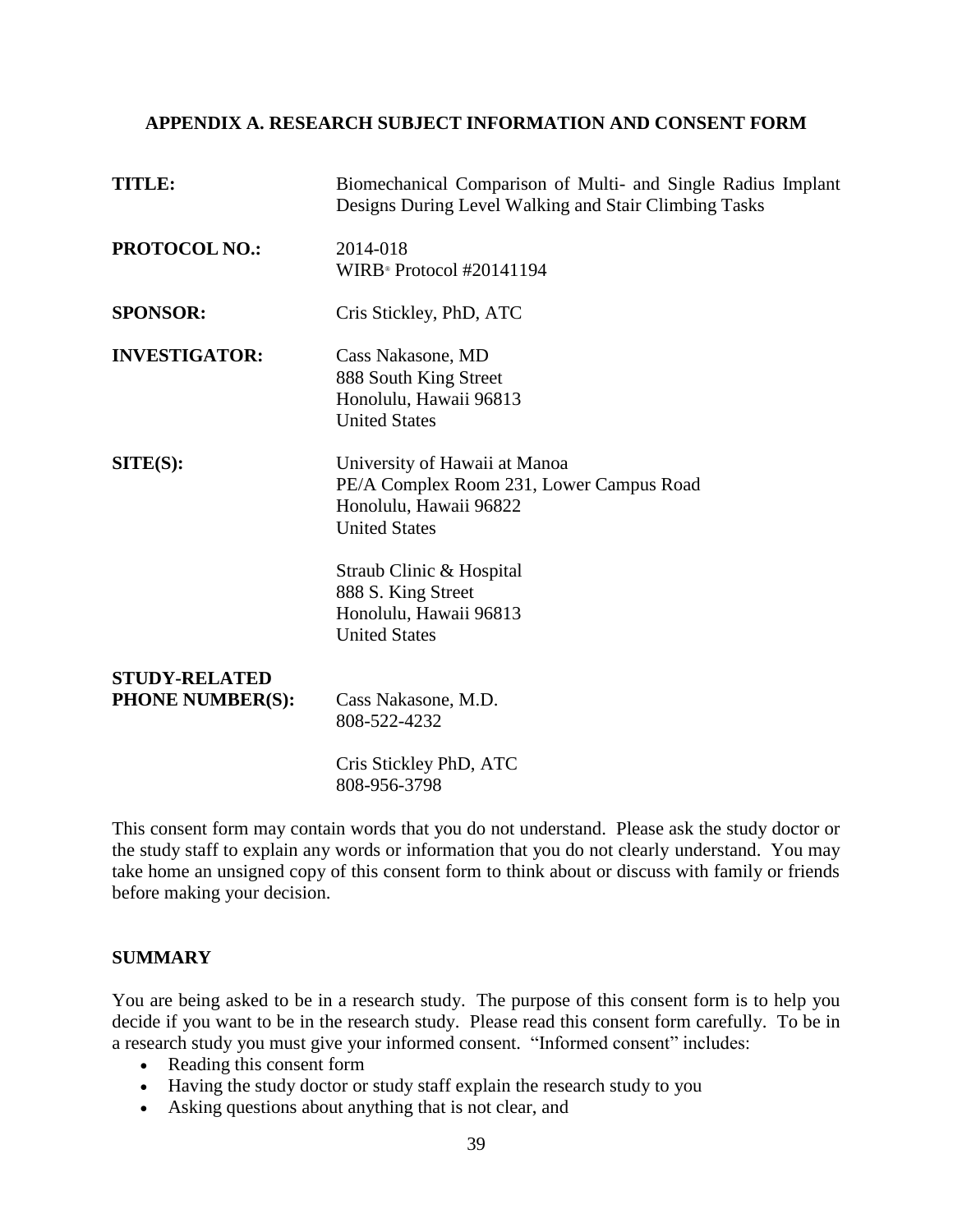# **APPENDIX A. RESEARCH SUBJECT INFORMATION AND CONSENT FORM**

| <b>TITLE:</b>                                   | Biomechanical Comparison of Multi- and Single Radius Implant<br>Designs During Level Walking and Stair Climbing Tasks       |
|-------------------------------------------------|-----------------------------------------------------------------------------------------------------------------------------|
| <b>PROTOCOL NO.:</b>                            | 2014-018<br>WIRB <sup>®</sup> Protocol #20141194                                                                            |
| <b>SPONSOR:</b>                                 | Cris Stickley, PhD, ATC                                                                                                     |
| <b>INVESTIGATOR:</b>                            | Cass Nakasone, MD<br>888 South King Street<br>Honolulu, Hawaii 96813<br><b>United States</b>                                |
| SITE(S):                                        | University of Hawaii at Manoa<br>PE/A Complex Room 231, Lower Campus Road<br>Honolulu, Hawaii 96822<br><b>United States</b> |
|                                                 | Straub Clinic & Hospital<br>888 S. King Street<br>Honolulu, Hawaii 96813<br><b>United States</b>                            |
| <b>STUDY-RELATED</b><br><b>PHONE NUMBER(S):</b> | Cass Nakasone, M.D.<br>808-522-4232                                                                                         |
|                                                 | Cris Stickley PhD, ATC<br>808-956-3798                                                                                      |

This consent form may contain words that you do not understand. Please ask the study doctor or the study staff to explain any words or information that you do not clearly understand. You may take home an unsigned copy of this consent form to think about or discuss with family or friends before making your decision.

# **SUMMARY**

You are being asked to be in a research study. The purpose of this consent form is to help you decide if you want to be in the research study. Please read this consent form carefully. To be in a research study you must give your informed consent. "Informed consent" includes:

- Reading this consent form
- Having the study doctor or study staff explain the research study to you
- Asking questions about anything that is not clear, and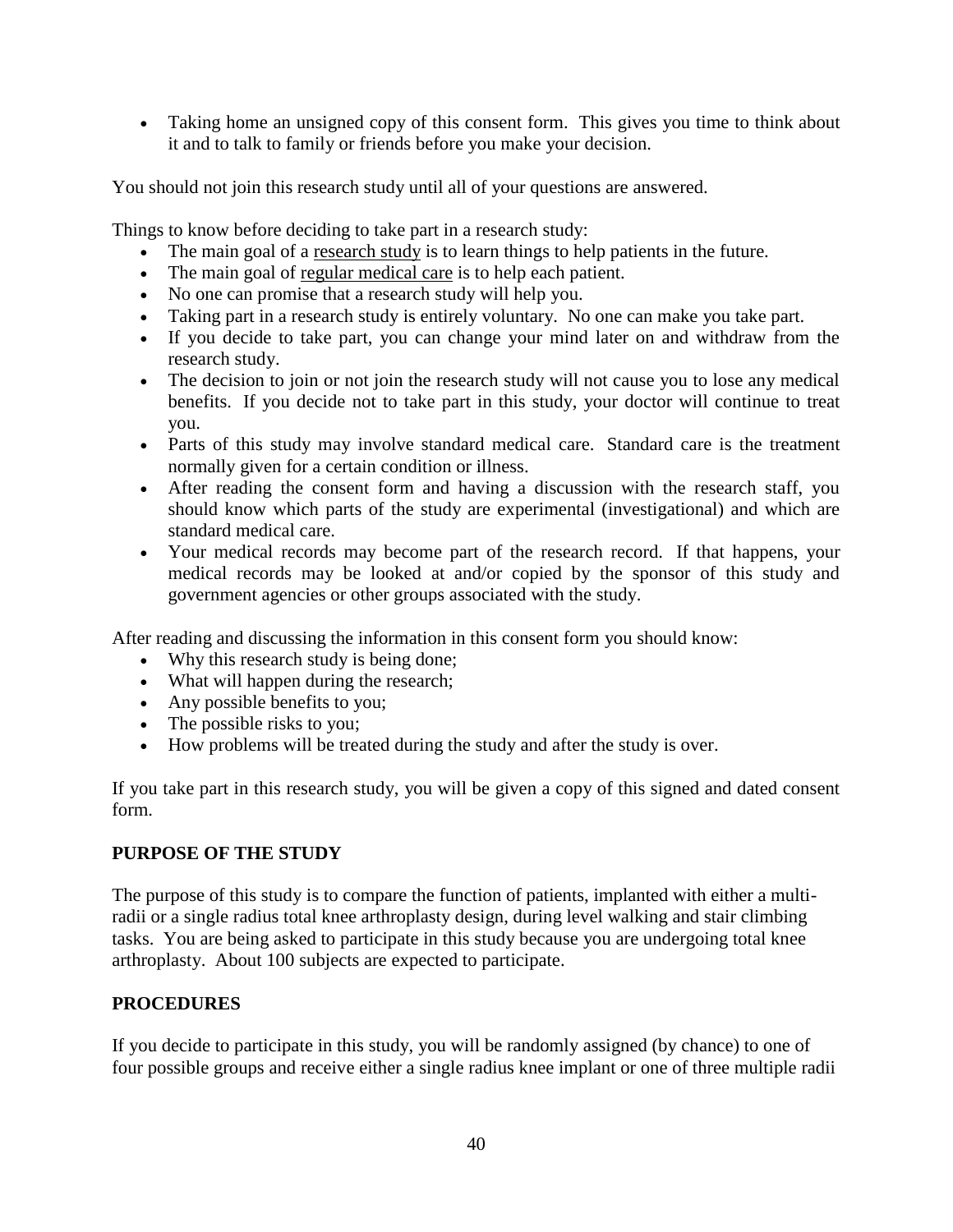Taking home an unsigned copy of this consent form. This gives you time to think about it and to talk to family or friends before you make your decision.

You should not join this research study until all of your questions are answered.

Things to know before deciding to take part in a research study:

- The main goal of a research study is to learn things to help patients in the future.
- The main goal of regular medical care is to help each patient.
- No one can promise that a research study will help you.
- Taking part in a research study is entirely voluntary. No one can make you take part.
- If you decide to take part, you can change your mind later on and withdraw from the research study.
- The decision to join or not join the research study will not cause you to lose any medical benefits. If you decide not to take part in this study, your doctor will continue to treat you.
- Parts of this study may involve standard medical care. Standard care is the treatment normally given for a certain condition or illness.
- After reading the consent form and having a discussion with the research staff, you should know which parts of the study are experimental (investigational) and which are standard medical care.
- Your medical records may become part of the research record. If that happens, your medical records may be looked at and/or copied by the sponsor of this study and government agencies or other groups associated with the study.

After reading and discussing the information in this consent form you should know:

- Why this research study is being done;
- What will happen during the research;
- Any possible benefits to you;
- The possible risks to you;
- How problems will be treated during the study and after the study is over.

If you take part in this research study, you will be given a copy of this signed and dated consent form.

# **PURPOSE OF THE STUDY**

The purpose of this study is to compare the function of patients, implanted with either a multiradii or a single radius total knee arthroplasty design, during level walking and stair climbing tasks. You are being asked to participate in this study because you are undergoing total knee arthroplasty. About 100 subjects are expected to participate.

# **PROCEDURES**

If you decide to participate in this study, you will be randomly assigned (by chance) to one of four possible groups and receive either a single radius knee implant or one of three multiple radii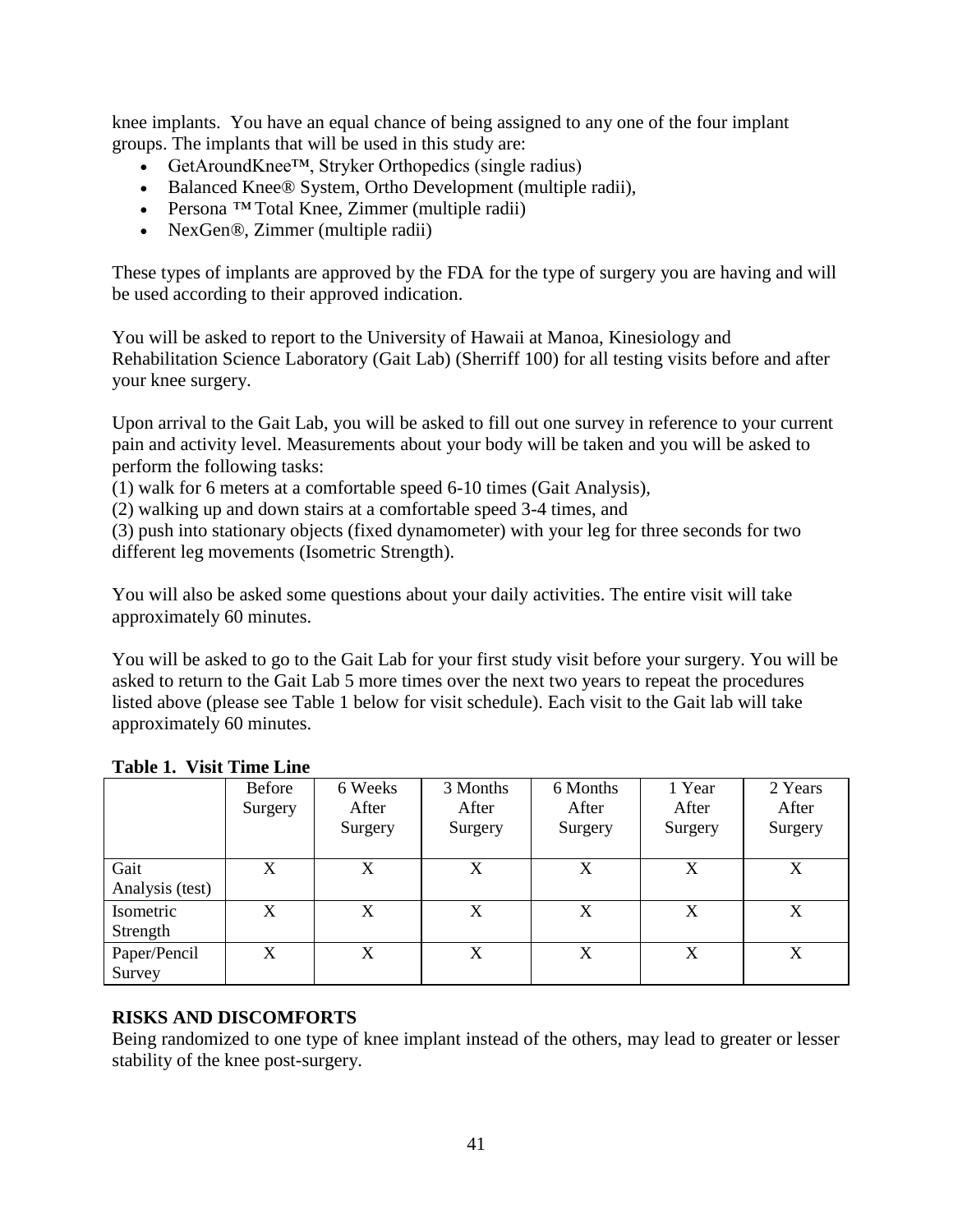knee implants. You have an equal chance of being assigned to any one of the four implant groups. The implants that will be used in this study are:

- GetAroundKnee™, Stryker Orthopedics (single radius)
- Balanced Knee® System, Ortho Development (multiple radii),
- Persona *™* Total Knee, Zimmer (multiple radii)
- NexGen*®*, Zimmer (multiple radii)

These types of implants are approved by the FDA for the type of surgery you are having and will be used according to their approved indication.

You will be asked to report to the University of Hawaii at Manoa, Kinesiology and Rehabilitation Science Laboratory (Gait Lab) (Sherriff 100) for all testing visits before and after your knee surgery.

Upon arrival to the Gait Lab, you will be asked to fill out one survey in reference to your current pain and activity level. Measurements about your body will be taken and you will be asked to perform the following tasks:

(1) walk for 6 meters at a comfortable speed 6-10 times (Gait Analysis),

(2) walking up and down stairs at a comfortable speed 3-4 times, and

(3) push into stationary objects (fixed dynamometer) with your leg for three seconds for two different leg movements (Isometric Strength).

You will also be asked some questions about your daily activities. The entire visit will take approximately 60 minutes.

You will be asked to go to the Gait Lab for your first study visit before your surgery. You will be asked to return to the Gait Lab 5 more times over the next two years to repeat the procedures listed above (please see Table 1 below for visit schedule). Each visit to the Gait lab will take approximately 60 minutes.

|                         | Before<br>Surgery | 6 Weeks<br>After<br>Surgery | 3 Months<br>After<br>Surgery | 6 Months<br>After<br>Surgery | 1 Year<br>After<br>Surgery | 2 Years<br>After<br>Surgery |
|-------------------------|-------------------|-----------------------------|------------------------------|------------------------------|----------------------------|-----------------------------|
| Gait<br>Analysis (test) | X                 | X                           | X                            | X                            | X                          | X                           |
| Isometric<br>Strength   | X                 | X                           | X                            | X                            | X                          | X                           |
| Paper/Pencil<br>Survey  | X                 | X                           | X                            | X                            | X                          | X                           |

# **Table 1. Visit Time Line**

# **RISKS AND DISCOMFORTS**

Being randomized to one type of knee implant instead of the others, may lead to greater or lesser stability of the knee post-surgery.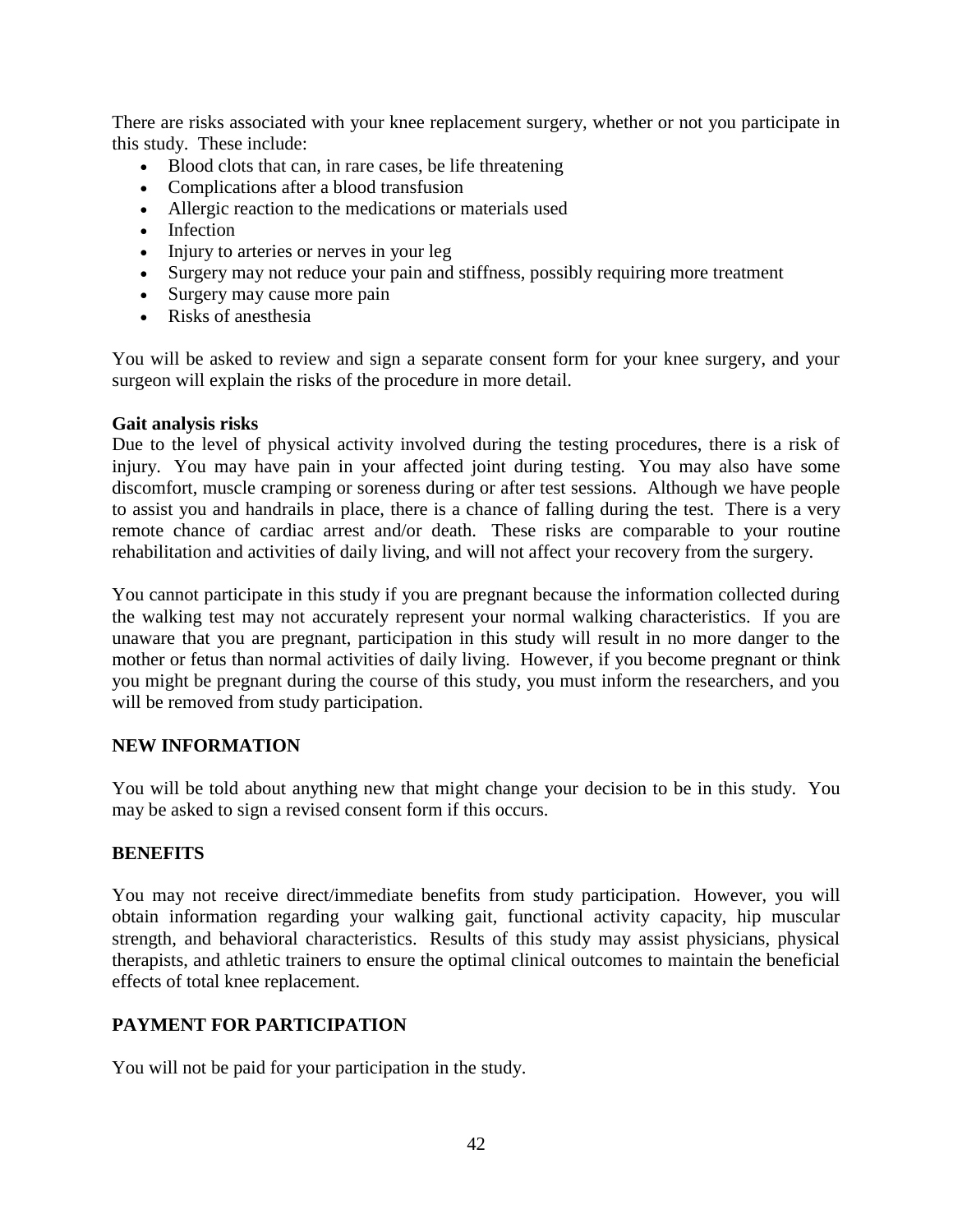There are risks associated with your knee replacement surgery, whether or not you participate in this study. These include:

- Blood clots that can, in rare cases, be life threatening
- Complications after a blood transfusion
- Allergic reaction to the medications or materials used
- Infection
- Injury to arteries or nerves in your leg
- Surgery may not reduce your pain and stiffness, possibly requiring more treatment
- Surgery may cause more pain
- Risks of anesthesia

You will be asked to review and sign a separate consent form for your knee surgery, and your surgeon will explain the risks of the procedure in more detail.

## **Gait analysis risks**

Due to the level of physical activity involved during the testing procedures, there is a risk of injury. You may have pain in your affected joint during testing. You may also have some discomfort, muscle cramping or soreness during or after test sessions. Although we have people to assist you and handrails in place, there is a chance of falling during the test. There is a very remote chance of cardiac arrest and/or death. These risks are comparable to your routine rehabilitation and activities of daily living, and will not affect your recovery from the surgery.

You cannot participate in this study if you are pregnant because the information collected during the walking test may not accurately represent your normal walking characteristics. If you are unaware that you are pregnant, participation in this study will result in no more danger to the mother or fetus than normal activities of daily living. However, if you become pregnant or think you might be pregnant during the course of this study, you must inform the researchers, and you will be removed from study participation.

# **NEW INFORMATION**

You will be told about anything new that might change your decision to be in this study. You may be asked to sign a revised consent form if this occurs.

# **BENEFITS**

You may not receive direct/immediate benefits from study participation. However, you will obtain information regarding your walking gait, functional activity capacity, hip muscular strength, and behavioral characteristics. Results of this study may assist physicians, physical therapists, and athletic trainers to ensure the optimal clinical outcomes to maintain the beneficial effects of total knee replacement.

# **PAYMENT FOR PARTICIPATION**

You will not be paid for your participation in the study.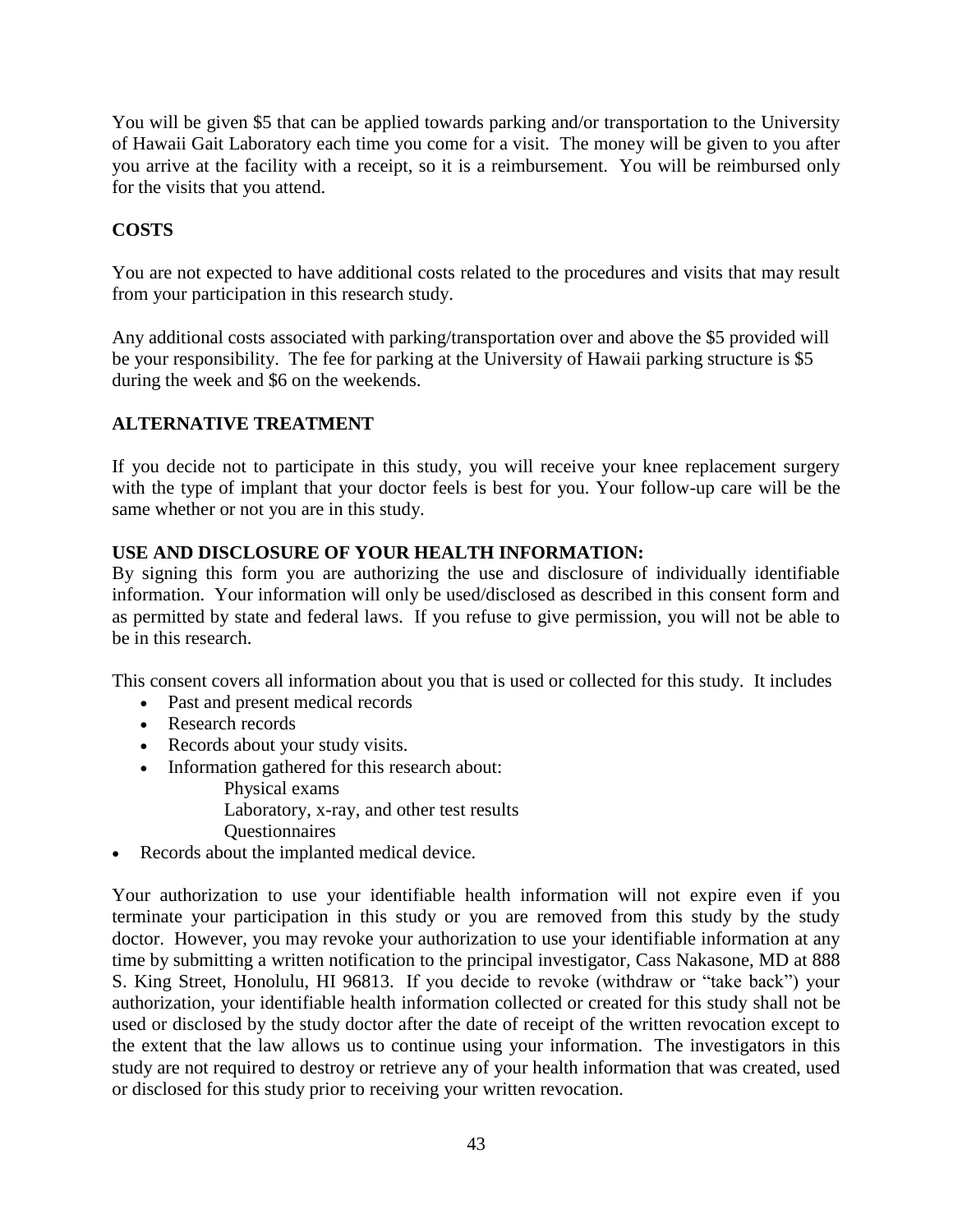You will be given \$5 that can be applied towards parking and/or transportation to the University of Hawaii Gait Laboratory each time you come for a visit. The money will be given to you after you arrive at the facility with a receipt, so it is a reimbursement. You will be reimbursed only for the visits that you attend.

# **COSTS**

You are not expected to have additional costs related to the procedures and visits that may result from your participation in this research study.

Any additional costs associated with parking/transportation over and above the \$5 provided will be your responsibility. The fee for parking at the University of Hawaii parking structure is \$5 during the week and \$6 on the weekends.

# **ALTERNATIVE TREATMENT**

If you decide not to participate in this study, you will receive your knee replacement surgery with the type of implant that your doctor feels is best for you. Your follow-up care will be the same whether or not you are in this study.

# **USE AND DISCLOSURE OF YOUR HEALTH INFORMATION:**

By signing this form you are authorizing the use and disclosure of individually identifiable information. Your information will only be used/disclosed as described in this consent form and as permitted by state and federal laws. If you refuse to give permission, you will not be able to be in this research.

This consent covers all information about you that is used or collected for this study. It includes

- Past and present medical records
- Research records
- Records about your study visits.
- Information gathered for this research about:

Physical exams

Laboratory, x-ray, and other test results

**Ouestionnaires** 

Records about the implanted medical device.

Your authorization to use your identifiable health information will not expire even if you terminate your participation in this study or you are removed from this study by the study doctor. However, you may revoke your authorization to use your identifiable information at any time by submitting a written notification to the principal investigator*,* Cass Nakasone, MD at 888 S. King Street, Honolulu, HI 96813. If you decide to revoke (withdraw or "take back") your authorization, your identifiable health information collected or created for this study shall not be used or disclosed by the study doctor after the date of receipt of the written revocation except to the extent that the law allows us to continue using your information. The investigators in this study are not required to destroy or retrieve any of your health information that was created, used or disclosed for this study prior to receiving your written revocation.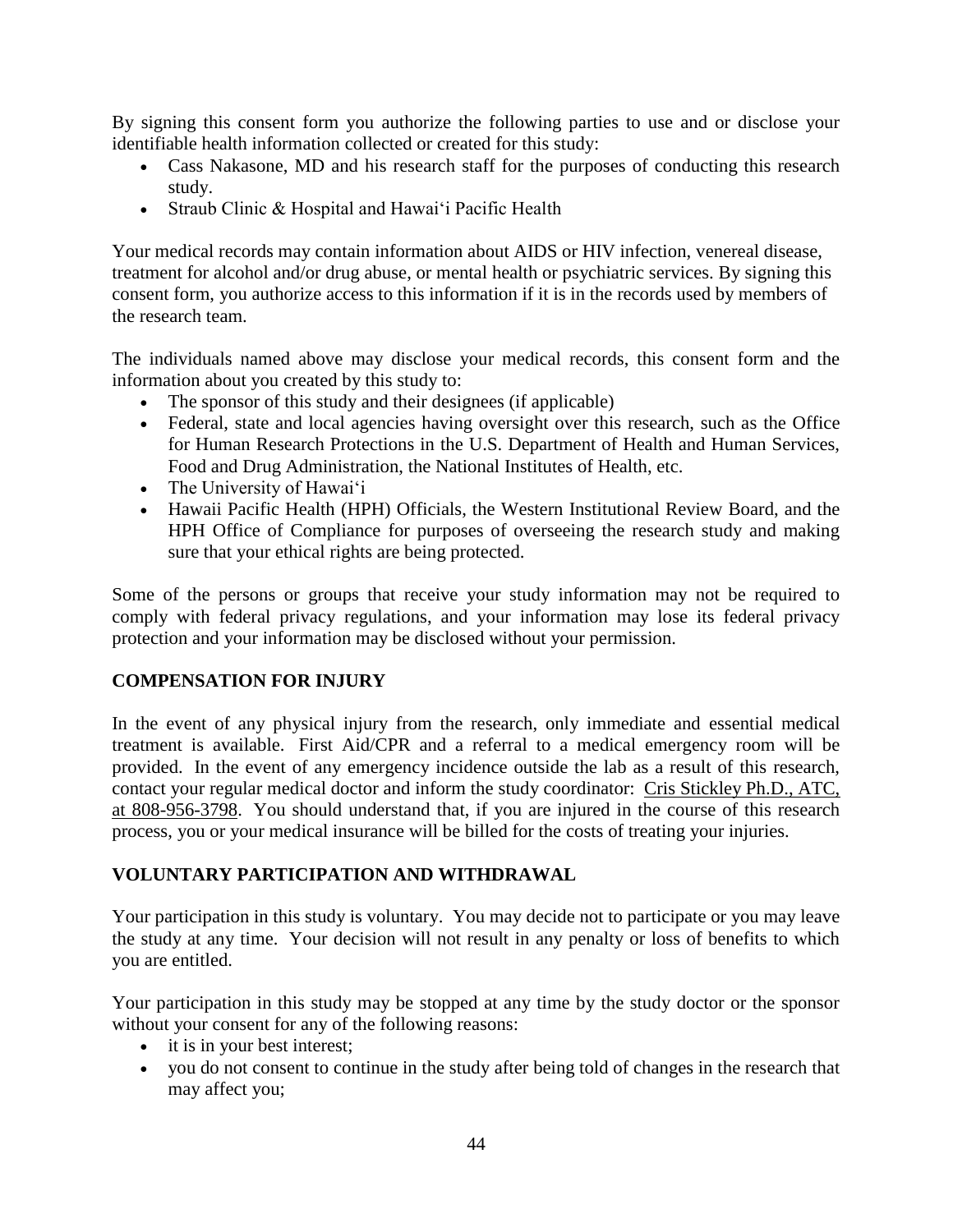By signing this consent form you authorize the following parties to use and or disclose your identifiable health information collected or created for this study:

- Cass Nakasone, MD and his research staff for the purposes of conducting this research study.
- Straub Clinic & Hospital and Hawai'i Pacific Health

Your medical records may contain information about AIDS or HIV infection, venereal disease, treatment for alcohol and/or drug abuse, or mental health or psychiatric services. By signing this consent form, you authorize access to this information if it is in the records used by members of the research team.

The individuals named above may disclose your medical records, this consent form and the information about you created by this study to:

- The sponsor of this study and their designees (if applicable)
- Federal, state and local agencies having oversight over this research, such as the Office for Human Research Protections in the U.S. Department of Health and Human Services, Food and Drug Administration, the National Institutes of Health, etc.
- The University of Hawai'i
- Hawaii Pacific Health (HPH) Officials, the Western Institutional Review Board, and the HPH Office of Compliance for purposes of overseeing the research study and making sure that your ethical rights are being protected.

Some of the persons or groups that receive your study information may not be required to comply with federal privacy regulations, and your information may lose its federal privacy protection and your information may be disclosed without your permission.

# **COMPENSATION FOR INJURY**

In the event of any physical injury from the research, only immediate and essential medical treatment is available. First Aid/CPR and a referral to a medical emergency room will be provided. In the event of any emergency incidence outside the lab as a result of this research, contact your regular medical doctor and inform the study coordinator: Cris Stickley Ph.D., ATC, at 808-956-3798. You should understand that, if you are injured in the course of this research process, you or your medical insurance will be billed for the costs of treating your injuries.

# **VOLUNTARY PARTICIPATION AND WITHDRAWAL**

Your participation in this study is voluntary. You may decide not to participate or you may leave the study at any time. Your decision will not result in any penalty or loss of benefits to which you are entitled.

Your participation in this study may be stopped at any time by the study doctor or the sponsor without your consent for any of the following reasons:

- it is in your best interest;
- you do not consent to continue in the study after being told of changes in the research that may affect you;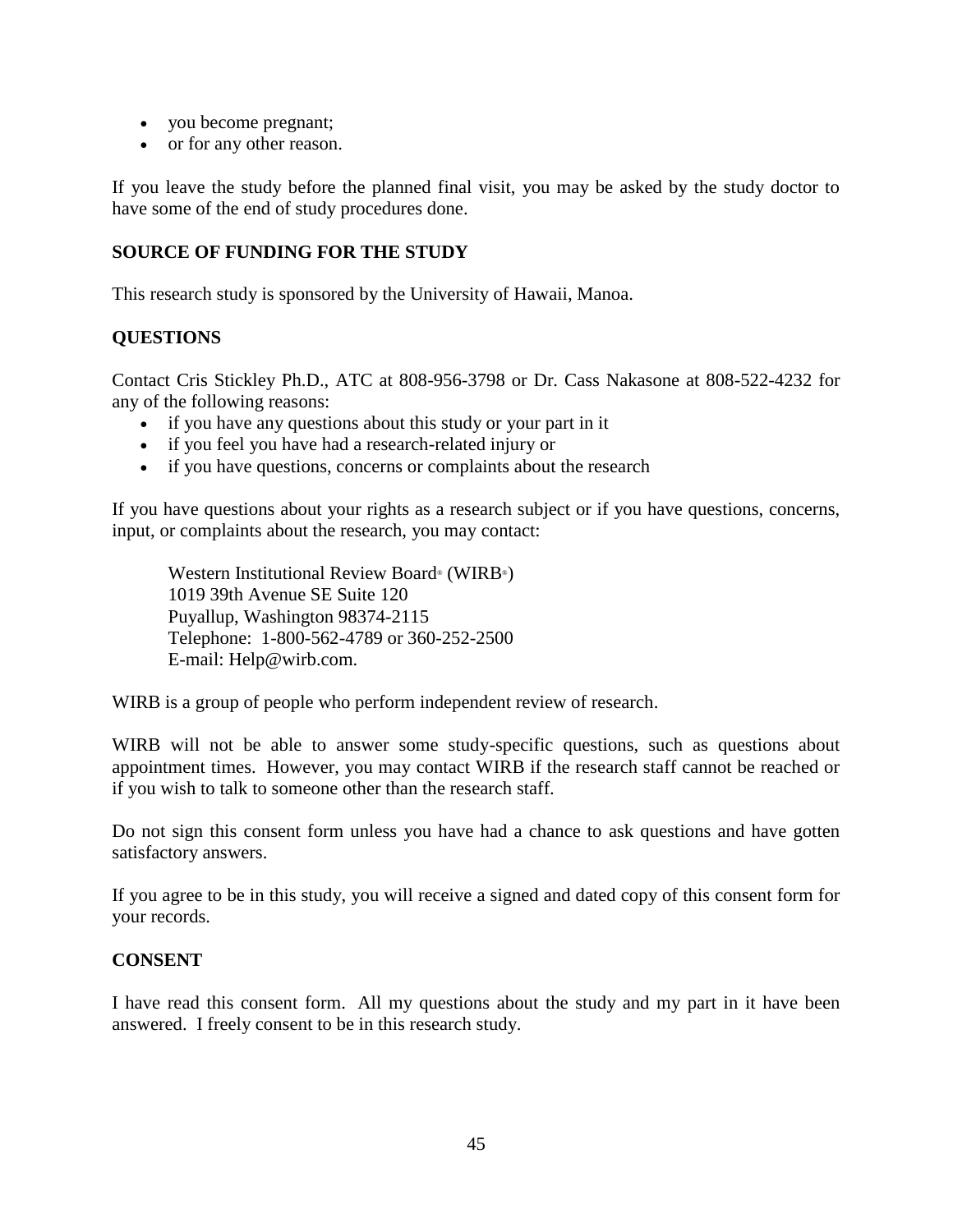- you become pregnant;
- or for any other reason.

If you leave the study before the planned final visit, you may be asked by the study doctor to have some of the end of study procedures done.

# **SOURCE OF FUNDING FOR THE STUDY**

This research study is sponsored by the University of Hawaii, Manoa.

# **QUESTIONS**

Contact Cris Stickley Ph.D., ATC at 808-956-3798 or Dr. Cass Nakasone at 808-522-4232 for any of the following reasons:

- if you have any questions about this study or your part in it
- if you feel you have had a research-related injury or
- if you have questions, concerns or complaints about the research

If you have questions about your rights as a research subject or if you have questions, concerns, input, or complaints about the research, you may contact:

Western Institutional Review Board® (WIRB® ) 1019 39th Avenue SE Suite 120 Puyallup, Washington 98374-2115 Telephone: 1-800-562-4789 or 360-252-2500 E-mail: Help@wirb.com.

WIRB is a group of people who perform independent review of research.

WIRB will not be able to answer some study-specific questions, such as questions about appointment times. However, you may contact WIRB if the research staff cannot be reached or if you wish to talk to someone other than the research staff.

Do not sign this consent form unless you have had a chance to ask questions and have gotten satisfactory answers.

If you agree to be in this study, you will receive a signed and dated copy of this consent form for your records.

# **CONSENT**

I have read this consent form. All my questions about the study and my part in it have been answered. I freely consent to be in this research study.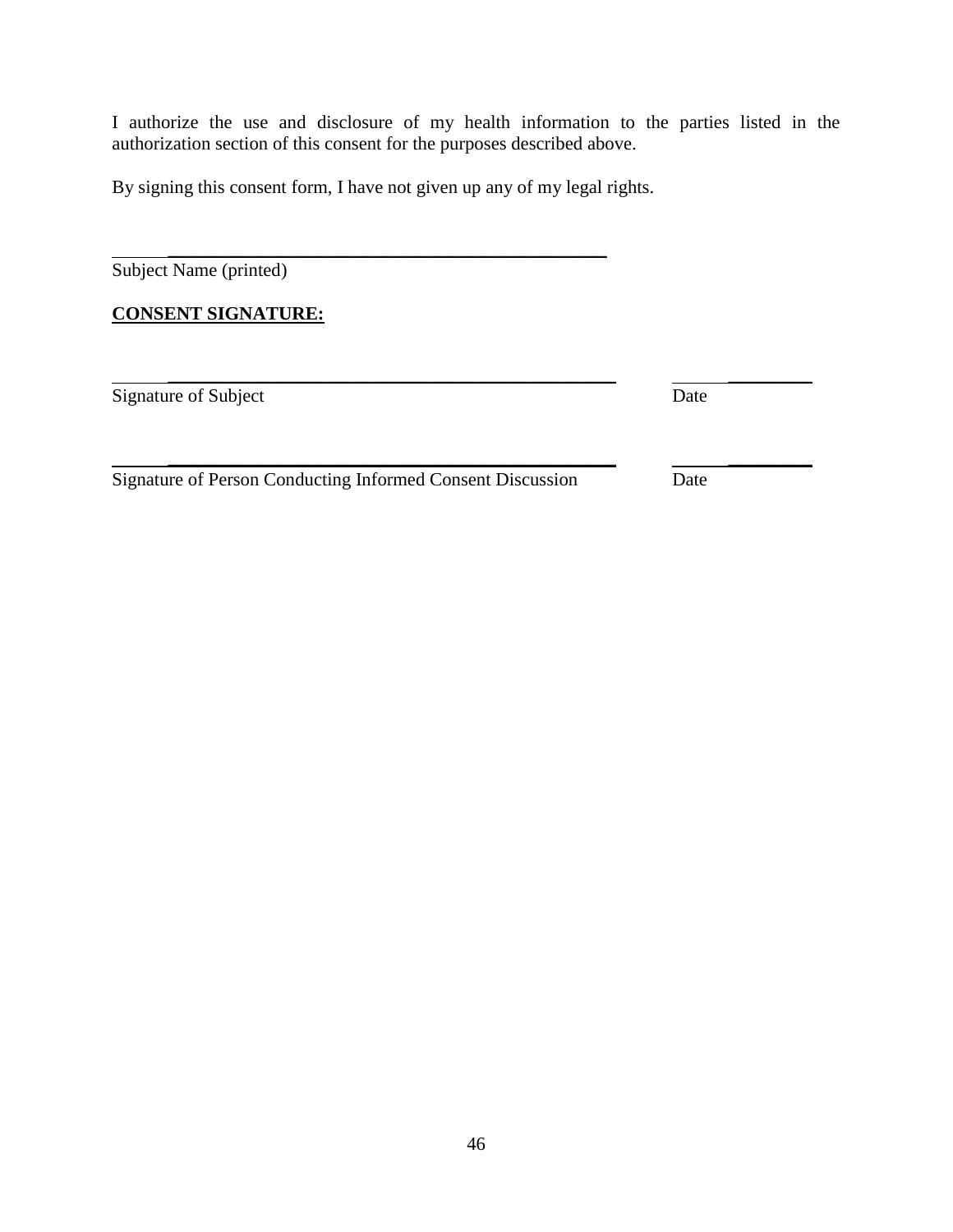I authorize the use and disclosure of my health information to the parties listed in the authorization section of this consent for the purposes described above.

\_\_\_\_\_\_\_\_\_\_\_\_\_\_\_\_\_\_\_\_\_\_\_\_\_\_\_\_\_\_\_\_\_\_\_\_\_\_\_\_\_\_\_\_\_\_\_\_ \_\_\_\_\_\_\_\_\_

By signing this consent form, I have not given up any of my legal rights.

\_\_\_\_\_\_\_\_\_\_\_\_\_\_\_\_\_\_\_\_\_\_\_\_\_\_\_\_\_\_\_\_\_\_\_\_\_\_\_\_\_\_\_\_\_\_\_

Subject Name (printed)

# **CONSENT SIGNATURE:**

Signature of Subject Date

Signature of Person Conducting Informed Consent Discussion Date

\_\_\_\_\_\_\_\_\_\_\_\_\_\_\_\_\_\_\_\_\_\_\_\_\_\_\_\_\_\_\_\_\_\_\_\_\_\_\_\_\_\_\_\_\_\_\_\_ \_\_\_\_\_\_\_\_\_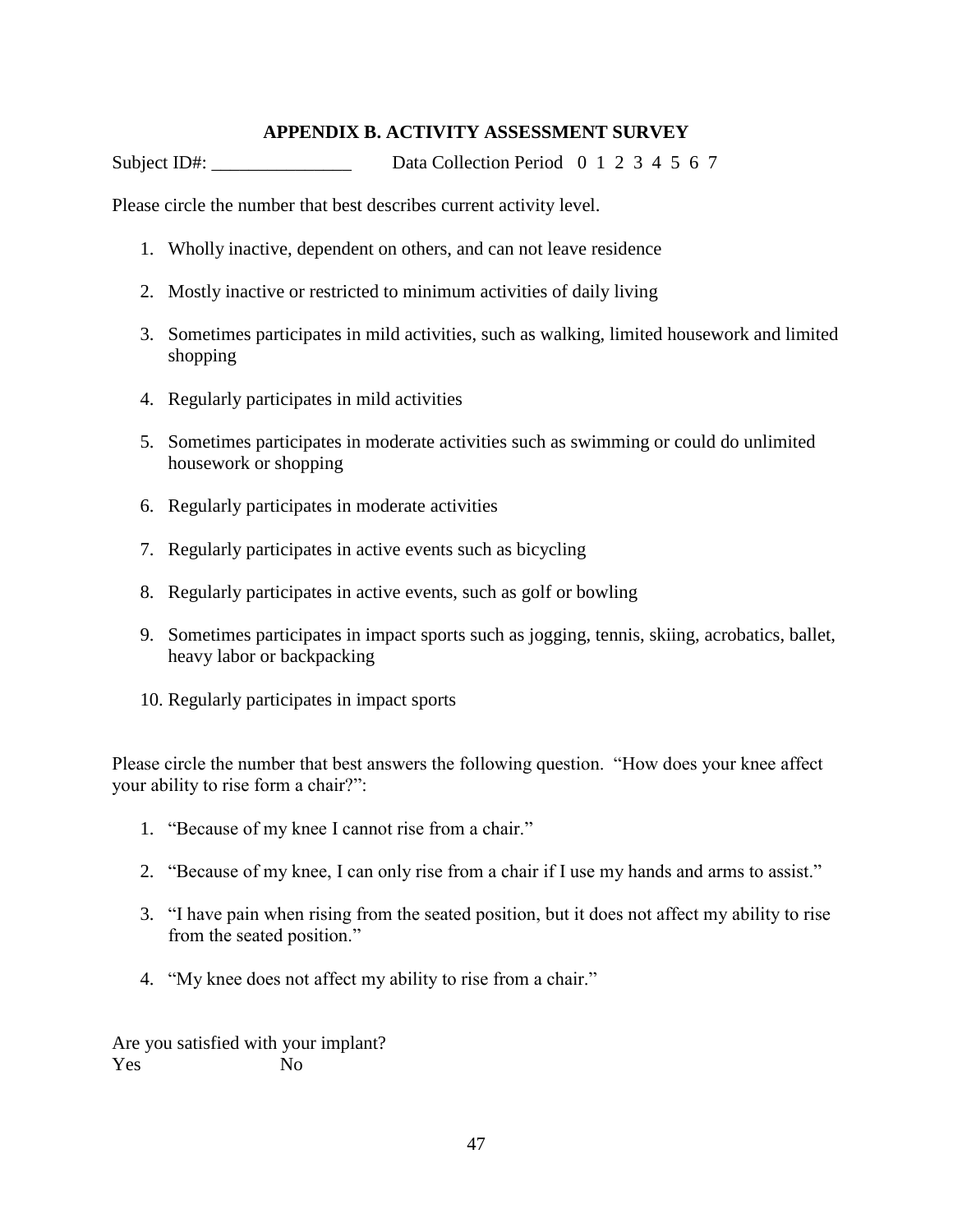# **APPENDIX B. ACTIVITY ASSESSMENT SURVEY**

Subject ID#:  $Data Collection Period 0 1 2 3 4 5 6 7$ 

Please circle the number that best describes current activity level.

- 1. Wholly inactive, dependent on others, and can not leave residence
- 2. Mostly inactive or restricted to minimum activities of daily living
- 3. Sometimes participates in mild activities, such as walking, limited housework and limited shopping
- 4. Regularly participates in mild activities
- 5. Sometimes participates in moderate activities such as swimming or could do unlimited housework or shopping
- 6. Regularly participates in moderate activities
- 7. Regularly participates in active events such as bicycling
- 8. Regularly participates in active events, such as golf or bowling
- 9. Sometimes participates in impact sports such as jogging, tennis, skiing, acrobatics, ballet, heavy labor or backpacking
- 10. Regularly participates in impact sports

Please circle the number that best answers the following question. "How does your knee affect your ability to rise form a chair?":

- 1. "Because of my knee I cannot rise from a chair."
- 2. "Because of my knee, I can only rise from a chair if I use my hands and arms to assist."
- 3. "I have pain when rising from the seated position, but it does not affect my ability to rise from the seated position."
- 4. "My knee does not affect my ability to rise from a chair."

Are you satisfied with your implant? Yes No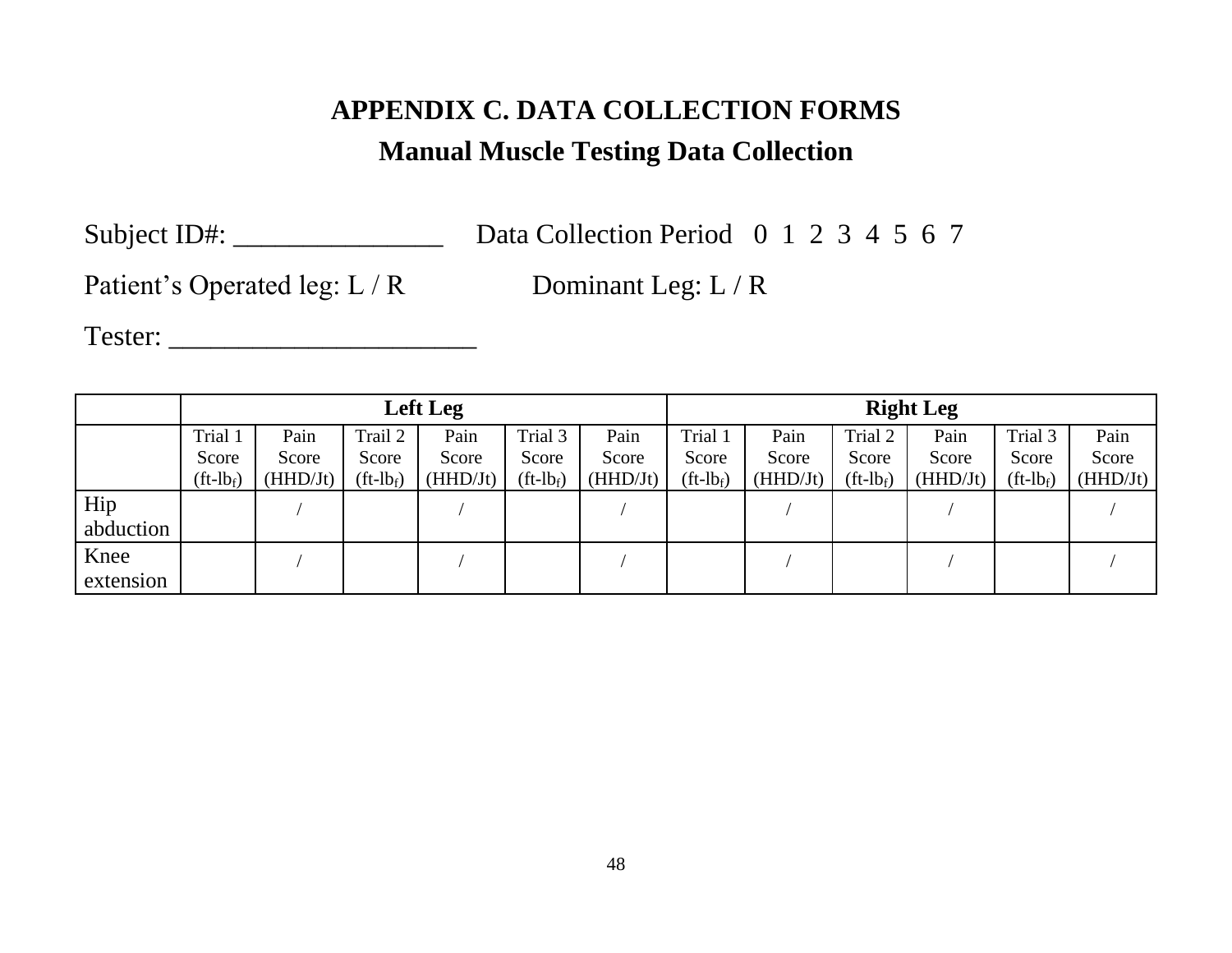# **APPENDIX C. DATA COLLECTION FORMS Manual Muscle Testing Data Collection**

Subject ID#: \_\_\_\_\_\_\_\_\_\_\_\_\_\_\_\_\_\_\_\_\_\_\_\_ Data Collection Period 0 1 2 3 4 5 6 7

Patient's Operated leg: L / R Dominant Leg: L / R

Tester: \_\_\_\_\_\_\_\_\_\_\_\_\_\_\_\_\_\_\_\_\_\_

|                   | Left Leg                       |                           |                                             |                           |                                             |                           | <b>Right Leg</b>                            |                           |                                             |                           |                                             |                           |
|-------------------|--------------------------------|---------------------------|---------------------------------------------|---------------------------|---------------------------------------------|---------------------------|---------------------------------------------|---------------------------|---------------------------------------------|---------------------------|---------------------------------------------|---------------------------|
|                   | Trial 1<br>Score<br>$(ft-lbf)$ | Pain<br>Score<br>(HHD/Jt) | Trail 2<br>Score<br>$({\rm ft-lb}_{\rm f})$ | Pain<br>Score<br>(HHD/Jt) | Trial 3<br>Score<br>$({\rm ft-lb}_{\rm f})$ | Pain<br>Score<br>(HHD/Jt) | Trial 1<br>Score<br>$({\rm ft-lb}_{\rm f})$ | Pain<br>Score<br>(HHD/Jt) | Trial 2<br>Score<br>$({\rm ft-lb}_{\rm f})$ | Pain<br>Score<br>(HHD/Jt) | Trial 3<br>Score<br>$({\rm ft-lb}_{\rm f})$ | Pain<br>Score<br>(HHD/Jt) |
| Hip<br>abduction  |                                |                           |                                             |                           |                                             |                           |                                             |                           |                                             |                           |                                             |                           |
| Knee<br>extension |                                |                           |                                             |                           |                                             |                           |                                             |                           |                                             |                           |                                             |                           |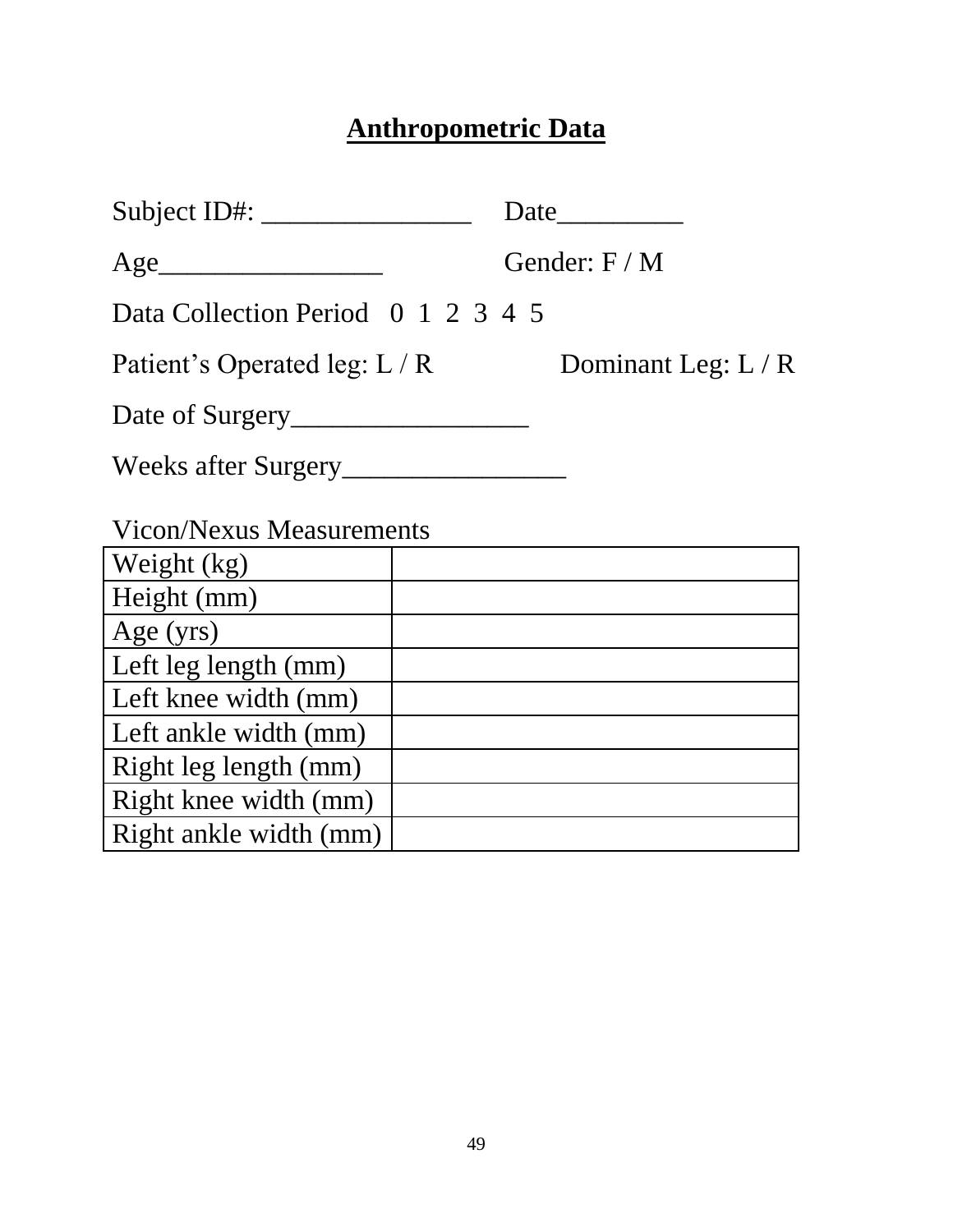# **Anthropometric Data**

| Subject ID#: $\_\_\_\_\_\_\_\_\_\_\_\_\_\_\_\_\_\_\_\_\_\_\_$ |  | Date                |
|---------------------------------------------------------------|--|---------------------|
| Age                                                           |  | Gender: $F/M$       |
| Data Collection Period 0 1 2 3 4 5                            |  |                     |
| Patient's Operated leg: L / R                                 |  | Dominant Leg: $L/R$ |
|                                                               |  |                     |
| Weeks after Surgery                                           |  |                     |
| <b>Vicon/Nexus Measurements</b>                               |  |                     |
| Weight $(kg)$                                                 |  |                     |
| Height (mm)                                                   |  |                     |
| Age (yrs)                                                     |  |                     |
| Left leg length (mm)                                          |  |                     |
| Left knee width (mm)                                          |  |                     |
| Left ankle width (mm)                                         |  |                     |
| Right leg length (mm)                                         |  |                     |
| Right knee width (mm)                                         |  |                     |
| Right ankle width (mm)                                        |  |                     |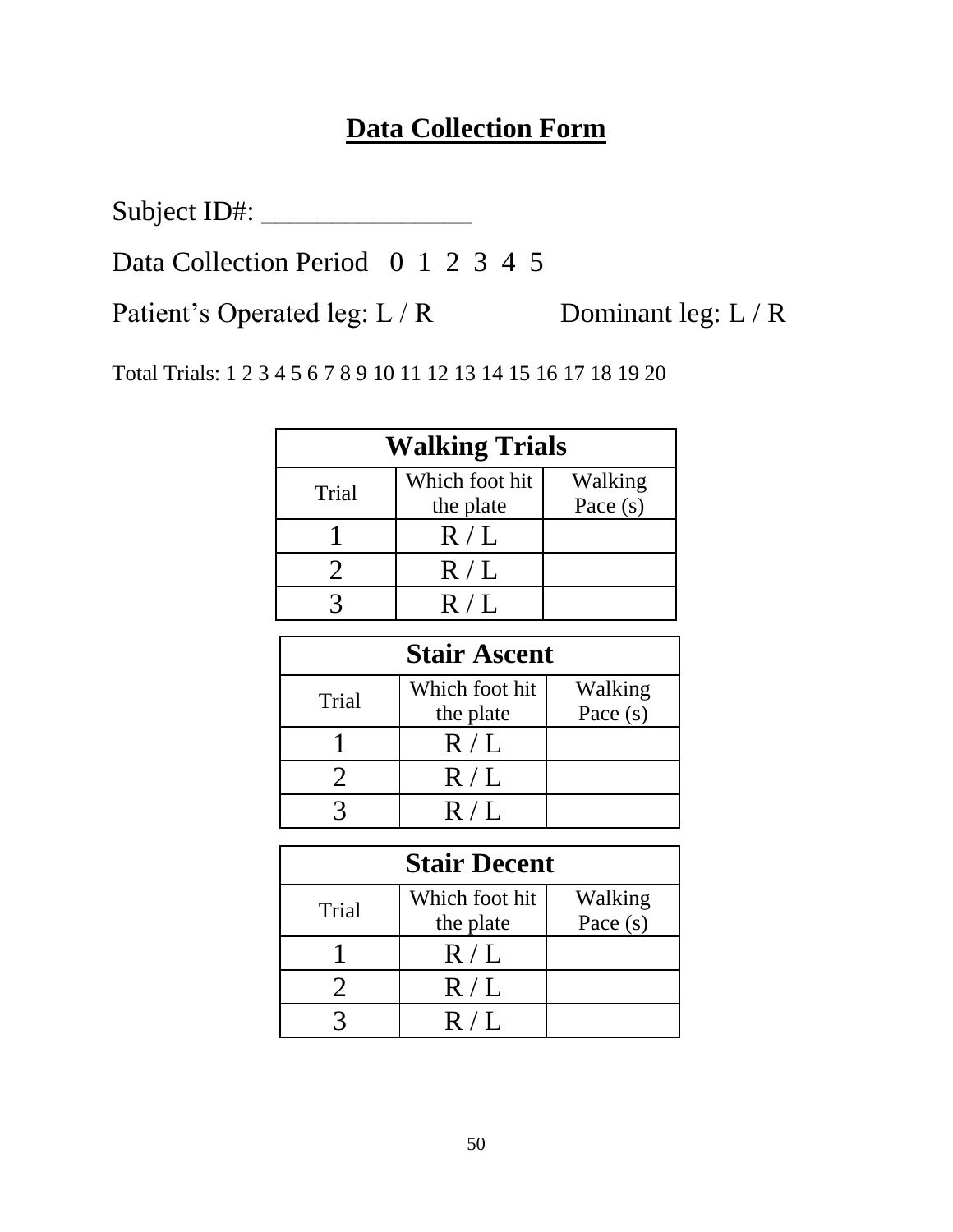# **Data Collection Form**

Subject ID#: \_\_\_\_\_\_\_\_\_\_\_\_\_\_\_

Data Collection Period 0 1 2 3 4 5

Patient's Operated leg: L / R Dominant leg: L / R

Total Trials: 1 2 3 4 5 6 7 8 9 10 11 12 13 14 15 16 17 18 19 20

| <b>Walking Trials</b> |                             |                       |  |
|-----------------------|-----------------------------|-----------------------|--|
| Trial                 | Which foot hit<br>the plate | Walking<br>Pace $(s)$ |  |
|                       | R/L                         |                       |  |
|                       | R/L                         |                       |  |
|                       | R/I                         |                       |  |

| <b>Stair Ascent</b> |                             |                       |  |
|---------------------|-----------------------------|-----------------------|--|
| Trial               | Which foot hit<br>the plate | Walking<br>Pace $(s)$ |  |
|                     | R/L                         |                       |  |
|                     | R/L                         |                       |  |
|                     | R/I                         |                       |  |

| <b>Stair Decent</b> |                             |                       |  |
|---------------------|-----------------------------|-----------------------|--|
| Trial               | Which foot hit<br>the plate | Walking<br>Pace $(s)$ |  |
|                     | R/L                         |                       |  |
|                     | R/L                         |                       |  |
|                     | R/I                         |                       |  |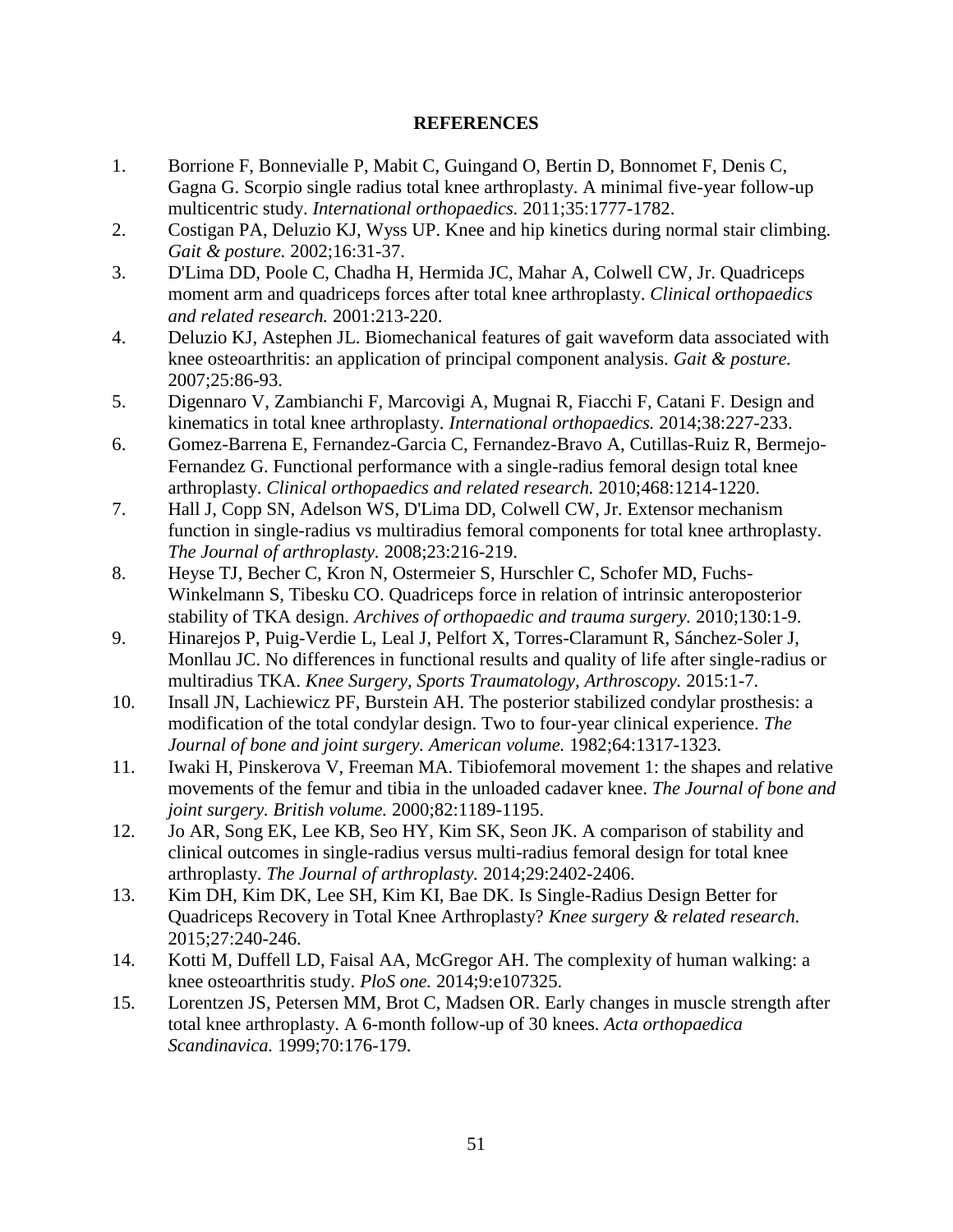# **REFERENCES**

- 1. Borrione F, Bonnevialle P, Mabit C, Guingand O, Bertin D, Bonnomet F, Denis C, Gagna G. Scorpio single radius total knee arthroplasty. A minimal five-year follow-up multicentric study. *International orthopaedics.* 2011;35:1777-1782.
- 2. Costigan PA, Deluzio KJ, Wyss UP. Knee and hip kinetics during normal stair climbing. *Gait & posture.* 2002;16:31-37.
- 3. D'Lima DD, Poole C, Chadha H, Hermida JC, Mahar A, Colwell CW, Jr. Quadriceps moment arm and quadriceps forces after total knee arthroplasty. *Clinical orthopaedics and related research.* 2001:213-220.
- 4. Deluzio KJ, Astephen JL. Biomechanical features of gait waveform data associated with knee osteoarthritis: an application of principal component analysis. *Gait & posture.*  2007;25:86-93.
- 5. Digennaro V, Zambianchi F, Marcovigi A, Mugnai R, Fiacchi F, Catani F. Design and kinematics in total knee arthroplasty. *International orthopaedics.* 2014;38:227-233.
- 6. Gomez-Barrena E, Fernandez-Garcia C, Fernandez-Bravo A, Cutillas-Ruiz R, Bermejo-Fernandez G. Functional performance with a single-radius femoral design total knee arthroplasty. *Clinical orthopaedics and related research.* 2010;468:1214-1220.
- 7. Hall J, Copp SN, Adelson WS, D'Lima DD, Colwell CW, Jr. Extensor mechanism function in single-radius vs multiradius femoral components for total knee arthroplasty. *The Journal of arthroplasty.* 2008;23:216-219.
- 8. Heyse TJ, Becher C, Kron N, Ostermeier S, Hurschler C, Schofer MD, Fuchs-Winkelmann S, Tibesku CO. Quadriceps force in relation of intrinsic anteroposterior stability of TKA design. *Archives of orthopaedic and trauma surgery.* 2010;130:1-9.
- 9. Hinarejos P, Puig-Verdie L, Leal J, Pelfort X, Torres-Claramunt R, Sánchez-Soler J, Monllau JC. No differences in functional results and quality of life after single-radius or multiradius TKA. *Knee Surgery, Sports Traumatology, Arthroscopy.* 2015:1-7.
- 10. Insall JN, Lachiewicz PF, Burstein AH. The posterior stabilized condylar prosthesis: a modification of the total condylar design. Two to four-year clinical experience. *The Journal of bone and joint surgery. American volume.* 1982;64:1317-1323.
- 11. Iwaki H, Pinskerova V, Freeman MA. Tibiofemoral movement 1: the shapes and relative movements of the femur and tibia in the unloaded cadaver knee. *The Journal of bone and joint surgery. British volume.* 2000;82:1189-1195.
- 12. Jo AR, Song EK, Lee KB, Seo HY, Kim SK, Seon JK. A comparison of stability and clinical outcomes in single-radius versus multi-radius femoral design for total knee arthroplasty. *The Journal of arthroplasty.* 2014;29:2402-2406.
- 13. Kim DH, Kim DK, Lee SH, Kim KI, Bae DK. Is Single-Radius Design Better for Quadriceps Recovery in Total Knee Arthroplasty? *Knee surgery & related research.*  2015;27:240-246.
- 14. Kotti M, Duffell LD, Faisal AA, McGregor AH. The complexity of human walking: a knee osteoarthritis study. *PloS one.* 2014;9:e107325.
- 15. Lorentzen JS, Petersen MM, Brot C, Madsen OR. Early changes in muscle strength after total knee arthroplasty. A 6-month follow-up of 30 knees. *Acta orthopaedica Scandinavica.* 1999;70:176-179.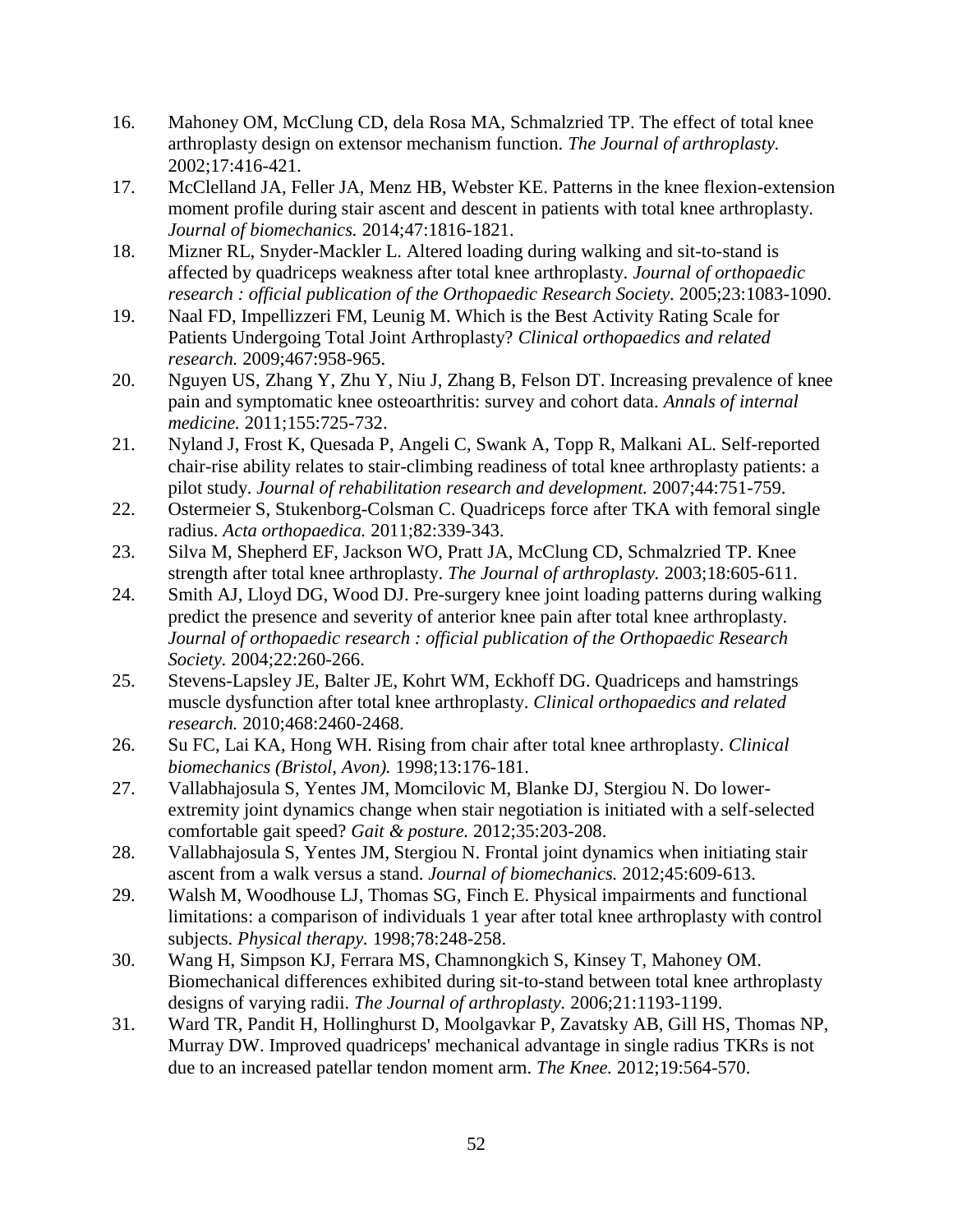- 16. Mahoney OM, McClung CD, dela Rosa MA, Schmalzried TP. The effect of total knee arthroplasty design on extensor mechanism function. *The Journal of arthroplasty.*  2002;17:416-421.
- 17. McClelland JA, Feller JA, Menz HB, Webster KE. Patterns in the knee flexion-extension moment profile during stair ascent and descent in patients with total knee arthroplasty. *Journal of biomechanics.* 2014;47:1816-1821.
- 18. Mizner RL, Snyder-Mackler L. Altered loading during walking and sit-to-stand is affected by quadriceps weakness after total knee arthroplasty. *Journal of orthopaedic research : official publication of the Orthopaedic Research Society.* 2005;23:1083-1090.
- 19. Naal FD, Impellizzeri FM, Leunig M. Which is the Best Activity Rating Scale for Patients Undergoing Total Joint Arthroplasty? *Clinical orthopaedics and related research.* 2009;467:958-965.
- 20. Nguyen US, Zhang Y, Zhu Y, Niu J, Zhang B, Felson DT. Increasing prevalence of knee pain and symptomatic knee osteoarthritis: survey and cohort data. *Annals of internal medicine.* 2011;155:725-732.
- 21. Nyland J, Frost K, Quesada P, Angeli C, Swank A, Topp R, Malkani AL. Self-reported chair-rise ability relates to stair-climbing readiness of total knee arthroplasty patients: a pilot study. *Journal of rehabilitation research and development.* 2007;44:751-759.
- 22. Ostermeier S, Stukenborg-Colsman C. Quadriceps force after TKA with femoral single radius. *Acta orthopaedica.* 2011;82:339-343.
- 23. Silva M, Shepherd EF, Jackson WO, Pratt JA, McClung CD, Schmalzried TP. Knee strength after total knee arthroplasty. *The Journal of arthroplasty.* 2003;18:605-611.
- 24. Smith AJ, Lloyd DG, Wood DJ. Pre-surgery knee joint loading patterns during walking predict the presence and severity of anterior knee pain after total knee arthroplasty. *Journal of orthopaedic research : official publication of the Orthopaedic Research Society.* 2004;22:260-266.
- 25. Stevens-Lapsley JE, Balter JE, Kohrt WM, Eckhoff DG. Quadriceps and hamstrings muscle dysfunction after total knee arthroplasty. *Clinical orthopaedics and related research.* 2010;468:2460-2468.
- 26. Su FC, Lai KA, Hong WH. Rising from chair after total knee arthroplasty. *Clinical biomechanics (Bristol, Avon).* 1998;13:176-181.
- 27. Vallabhajosula S, Yentes JM, Momcilovic M, Blanke DJ, Stergiou N. Do lowerextremity joint dynamics change when stair negotiation is initiated with a self-selected comfortable gait speed? *Gait & posture.* 2012;35:203-208.
- 28. Vallabhajosula S, Yentes JM, Stergiou N. Frontal joint dynamics when initiating stair ascent from a walk versus a stand. *Journal of biomechanics.* 2012;45:609-613.
- 29. Walsh M, Woodhouse LJ, Thomas SG, Finch E. Physical impairments and functional limitations: a comparison of individuals 1 year after total knee arthroplasty with control subjects. *Physical therapy.* 1998;78:248-258.
- 30. Wang H, Simpson KJ, Ferrara MS, Chamnongkich S, Kinsey T, Mahoney OM. Biomechanical differences exhibited during sit-to-stand between total knee arthroplasty designs of varying radii. *The Journal of arthroplasty.* 2006;21:1193-1199.
- 31. Ward TR, Pandit H, Hollinghurst D, Moolgavkar P, Zavatsky AB, Gill HS, Thomas NP, Murray DW. Improved quadriceps' mechanical advantage in single radius TKRs is not due to an increased patellar tendon moment arm. *The Knee.* 2012;19:564-570.